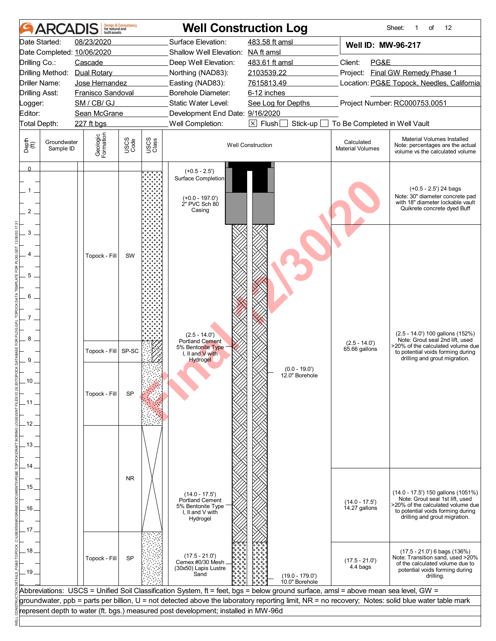|                                | <b>ARCAI</b>             | built assets                             | <b>Design &amp; Consultancy</b><br>for natural and |               | <b>Well Construction Log</b>                                                                                                       |                          |                                                     |                                       | 12<br>Sheet:<br>of<br>1                                                                                                                               |  |  |
|--------------------------------|--------------------------|------------------------------------------|----------------------------------------------------|---------------|------------------------------------------------------------------------------------------------------------------------------------|--------------------------|-----------------------------------------------------|---------------------------------------|-------------------------------------------------------------------------------------------------------------------------------------------------------|--|--|
| Date Started:                  |                          | 08/23/2020<br>Date Completed: 10/06/2020 |                                                    |               | Surface Elevation:<br>Shallow Well Elevation: NA ft amsl                                                                           | 483.58 ft amsl           |                                                     | Well ID: MW-96-217                    |                                                                                                                                                       |  |  |
| Drilling Co.:                  |                          | Cascade                                  |                                                    |               | Deep Well Elevation:                                                                                                               | 483.61 ft amsl           |                                                     | Client:<br>PG&E                       |                                                                                                                                                       |  |  |
|                                |                          | Drilling Method: Dual Rotary             |                                                    |               | Northing (NAD83):                                                                                                                  | 2103539.22               |                                                     |                                       | Project: Final GW Remedy Phase 1                                                                                                                      |  |  |
| Driller Name:                  |                          | Jose Hernandez                           |                                                    |               | Easting (NAD83):                                                                                                                   | 7615813.49               |                                                     |                                       | Location: PG&E Topock, Needles, California                                                                                                            |  |  |
| <b>Drilling Asst:</b>          |                          | Franisco Sandoval                        |                                                    |               | <b>Borehole Diameter:</b>                                                                                                          | 6-12 inches              |                                                     |                                       |                                                                                                                                                       |  |  |
| Logger:                        |                          | SM / CB/ GJ                              |                                                    |               | Static Water Level:                                                                                                                |                          | Project Number: RC000753.0051<br>See Log for Depths |                                       |                                                                                                                                                       |  |  |
| Editor:                        |                          | Sean McGrane                             |                                                    |               | Development End Date: 9/16/2020                                                                                                    |                          |                                                     |                                       |                                                                                                                                                       |  |  |
| Total Depth:                   |                          | 227 ft bgs                               |                                                    |               | Well Completion:                                                                                                                   | $\boxed{\times}$ Flush   | Stick-up                                            | To Be Completed in Well Vault         |                                                                                                                                                       |  |  |
| Depth<br>$\bigoplus_{i=1}^{n}$ | Groundwater<br>Sample ID | Geologic<br>Formation                    | USCS<br>Code                                       | USCS<br>Class |                                                                                                                                    | <b>Well Construction</b> |                                                     | Calculated<br><b>Material Volumes</b> | Material Volumes Installed<br>Note: percentages are the actual<br>volume vs the calculated volume                                                     |  |  |
| $\overline{0}$<br>2            |                          |                                          |                                                    |               | $(+0.5 - 2.5')$<br>Surface Completion<br>$(+0.0 - 197.0')$<br>2" PVC Sch 80<br>Casing                                              |                          |                                                     |                                       | $(+0.5 - 2.5)$ 24 bags<br>Note: 30" diameter concrete pad<br>with 18" diameter lockable vault<br>Quikrete concrete dyed Buff                          |  |  |
| 3<br>5<br>6<br>7<br>8          |                          | Topock - Fill                            | SW                                                 |               | $(2.5 - 14.0')$<br>Portland Cement                                                                                                 |                          |                                                     |                                       | (2.5 - 14.0') 100 gallons (152%)<br>Note: Grout seal 2nd lift, used                                                                                   |  |  |
|                                |                          | Topock - Fill                            | SP-SC                                              |               | 5% Bentonite Type<br>I, II and V with                                                                                              |                          |                                                     | $(2.5 - 14.0')$<br>65.66 gallons      | >20% of the calculated volume due<br>to potential voids forming during                                                                                |  |  |
| 9                              |                          |                                          |                                                    |               | <b>Hydrogel</b>                                                                                                                    |                          |                                                     |                                       | drilling and grout migration.                                                                                                                         |  |  |
| 10 <sub>1</sub>                |                          |                                          |                                                    |               |                                                                                                                                    |                          | $(0.0 - 19.0')$<br>12.0" Borehole                   |                                       |                                                                                                                                                       |  |  |
|                                |                          | Topock - Fill                            | SP                                                 |               |                                                                                                                                    |                          |                                                     |                                       |                                                                                                                                                       |  |  |
| 11                             |                          |                                          |                                                    |               |                                                                                                                                    |                          |                                                     |                                       |                                                                                                                                                       |  |  |
| . 12 .                         |                          |                                          |                                                    |               |                                                                                                                                    |                          |                                                     |                                       |                                                                                                                                                       |  |  |
|                                |                          |                                          |                                                    |               |                                                                                                                                    |                          |                                                     |                                       |                                                                                                                                                       |  |  |
|                                |                          |                                          |                                                    |               |                                                                                                                                    |                          |                                                     |                                       |                                                                                                                                                       |  |  |
| - 13 –                         |                          |                                          |                                                    |               |                                                                                                                                    |                          |                                                     |                                       |                                                                                                                                                       |  |  |
|                                |                          |                                          |                                                    |               |                                                                                                                                    |                          |                                                     |                                       |                                                                                                                                                       |  |  |
| 14 .                           |                          |                                          |                                                    |               |                                                                                                                                    |                          |                                                     |                                       |                                                                                                                                                       |  |  |
|                                |                          |                                          | NR.                                                |               |                                                                                                                                    |                          |                                                     |                                       |                                                                                                                                                       |  |  |
| . 15                           |                          |                                          |                                                    |               |                                                                                                                                    |                          |                                                     |                                       | (14.0 - 17.5') 150 gallons (1051%)                                                                                                                    |  |  |
|                                |                          |                                          |                                                    |               | $(14.0 - 17.5)$<br><b>Portland Cement</b>                                                                                          |                          |                                                     | $(14.0 - 17.5)$                       | Note: Grout seal 1st lift, used                                                                                                                       |  |  |
| . 16 .                         |                          |                                          |                                                    |               | 5% Bentonite Type<br>I, II and V with                                                                                              |                          |                                                     | 14.27 gallons                         | >20% of the calculated volume due<br>to potential voids forming during                                                                                |  |  |
|                                |                          |                                          |                                                    |               | Hydrogel                                                                                                                           |                          |                                                     |                                       | drilling and grout migration.                                                                                                                         |  |  |
| 17.                            |                          |                                          |                                                    |               |                                                                                                                                    |                          |                                                     |                                       |                                                                                                                                                       |  |  |
|                                |                          |                                          |                                                    |               |                                                                                                                                    |                          |                                                     |                                       |                                                                                                                                                       |  |  |
| .18.<br>_ 19 _                 |                          | Topock - Fill                            | SP                                                 |               | $(17.5 - 21.0)$<br>Cemex #0/30 Mesh<br>(30x50) Lapis Lustre<br>Sand                                                                |                          | $(19.0 - 179.0')$                                   | $(17.5 - 21.0)$<br>4.4 bags           | $(17.5 - 21.0)$ 6 bags $(136%)$<br>Note: Transition sand, used >20%<br>of the calculated volume due to<br>potential voids forming during<br>drilling. |  |  |
|                                |                          |                                          |                                                    |               |                                                                                                                                    |                          | 10.0" Borehole                                      |                                       |                                                                                                                                                       |  |  |
|                                |                          |                                          |                                                    |               | Abbreviations: USCS = Unified Soil Classification System, ft = feet, bgs = below ground surface, amsl = above mean sea level, GW = |                          |                                                     |                                       |                                                                                                                                                       |  |  |
|                                |                          |                                          |                                                    |               |                                                                                                                                    |                          |                                                     |                                       | groundwater, ppb = parts per billion, U = not detected above the laboratory reporting limit, NR = no recovery; Notes: solid blue water table mark     |  |  |
|                                |                          |                                          |                                                    |               | represent depth to water (ft. bgs.) measured post development; installed in MW-96d                                                 |                          |                                                     |                                       |                                                                                                                                                       |  |  |
|                                |                          |                                          |                                                    |               |                                                                                                                                    |                          |                                                     |                                       |                                                                                                                                                       |  |  |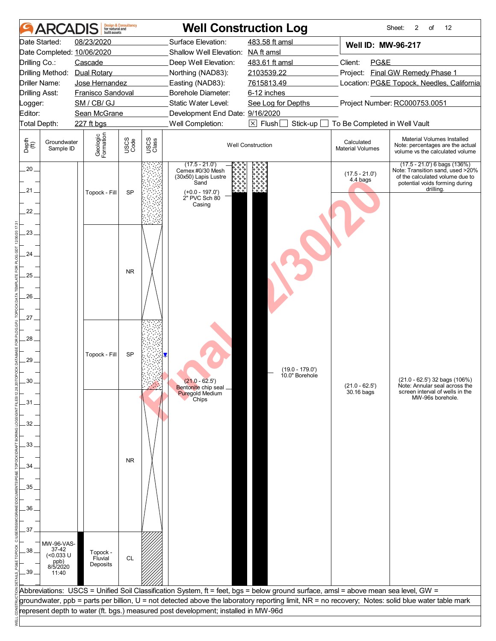| <b>ARCAD</b>                                                                                                                                                                 | <b>Design &amp; Consultancy</b><br>for natural and<br>huilt assets                                        |                               | <b>Well Construction Log</b>                                                                                                                                                                                                            |                                                                                                                                                     |                                                                        | 2<br>of<br>12<br>Sheet:                                                                                                                               |  |
|------------------------------------------------------------------------------------------------------------------------------------------------------------------------------|-----------------------------------------------------------------------------------------------------------|-------------------------------|-----------------------------------------------------------------------------------------------------------------------------------------------------------------------------------------------------------------------------------------|-----------------------------------------------------------------------------------------------------------------------------------------------------|------------------------------------------------------------------------|-------------------------------------------------------------------------------------------------------------------------------------------------------|--|
| Date Started:<br>Date Completed: 10/06/2020<br>Drilling Co.:<br>Drilling Method: Dual Rotary<br>Driller Name:<br><b>Drilling Asst:</b><br>Logger:<br>Editor:<br>Total Depth: | 08/23/2020<br>Cascade<br>Jose Hernandez<br>Franisco Sandoval<br>SM / CB/ GJ<br>Sean McGrane<br>227 ft bgs |                               | Surface Elevation:<br>Shallow Well Elevation: NA ft amsl<br>Deep Well Elevation:<br>Northing (NAD83):<br>Easting (NAD83):<br>Borehole Diameter:<br>Static Water Level:<br>Development End Date: 9/16/2020<br>Well Completion:           | 483.58 ft amsl<br>483.61 ft amsl<br>2103539.22<br>7615813.49<br>6-12 inches<br>See Log for Depths<br>$\boxtimes$ Flush $\square$<br>Stick-up $\Box$ | Well ID: MW-96-217<br>Client:<br>PG&E<br>To Be Completed in Well Vault | Project: Final GW Remedy Phase 1<br>Location: PG&E Topock, Needles, California<br>Project Number: RC000753.0051                                       |  |
| Depth<br>(ff)<br>Groundwater<br>Sample ID                                                                                                                                    | Geologic<br>Formation                                                                                     | USCS<br>Code<br>USCS<br>Class |                                                                                                                                                                                                                                         | <b>Well Construction</b>                                                                                                                            | Calculated<br><b>Material Volumes</b>                                  | Material Volumes Installed<br>Note: percentages are the actual<br>volume vs the calculated volume                                                     |  |
| $20 -$<br>.21 .<br>22.                                                                                                                                                       | Topock - Fill                                                                                             | SP                            | $(17.5 - 21.0)$<br>Cemex #0/30 Mesh<br>(30x50) Lapis Lustre<br>Sand<br>$(+0.0 - 197.0')$<br>2" PVC Sch 80<br>Casing                                                                                                                     |                                                                                                                                                     | $(17.5 - 21.0')$<br>4.4 bags                                           | $(17.5 - 21.0)$ 6 bags $(136%)$<br>Note: Transition sand, used >20%<br>of the calculated volume due to<br>potential voids forming during<br>drillina. |  |
| 23.                                                                                                                                                                          |                                                                                                           |                               |                                                                                                                                                                                                                                         |                                                                                                                                                     |                                                                        |                                                                                                                                                       |  |
| 24                                                                                                                                                                           |                                                                                                           | <b>NR</b>                     |                                                                                                                                                                                                                                         |                                                                                                                                                     |                                                                        |                                                                                                                                                       |  |
| .25.<br>26.<br>27.                                                                                                                                                           |                                                                                                           |                               |                                                                                                                                                                                                                                         |                                                                                                                                                     |                                                                        |                                                                                                                                                       |  |
| 28<br>29.<br>30                                                                                                                                                              | Topock - Fill                                                                                             | SP                            | $(21.0 - 62.5)$                                                                                                                                                                                                                         | $(19.0 - 179.0')$<br>10.0" Borehole                                                                                                                 | $(21.0 - 62.5)$                                                        | (21.0 - 62.5') 32 bags (106%)<br>Note: Annular seal across the                                                                                        |  |
| .31.                                                                                                                                                                         |                                                                                                           |                               | Bentonite chip seal _<br><b>Puregold Medium</b><br>Chips                                                                                                                                                                                |                                                                                                                                                     | 30.16 bags                                                             | screen interval of wells in the<br>MW-96s borehole.                                                                                                   |  |
| 32.<br>33.                                                                                                                                                                   |                                                                                                           |                               |                                                                                                                                                                                                                                         |                                                                                                                                                     |                                                                        |                                                                                                                                                       |  |
| $34 -$                                                                                                                                                                       |                                                                                                           | <b>NR</b>                     |                                                                                                                                                                                                                                         |                                                                                                                                                     |                                                                        |                                                                                                                                                       |  |
| 35.<br>36.                                                                                                                                                                   |                                                                                                           |                               |                                                                                                                                                                                                                                         |                                                                                                                                                     |                                                                        |                                                                                                                                                       |  |
| 37.                                                                                                                                                                          |                                                                                                           |                               |                                                                                                                                                                                                                                         |                                                                                                                                                     |                                                                        |                                                                                                                                                       |  |
| MW-96-VAS-<br>37-42<br>38<br>(<0.033 U<br>ppb)<br>8/5/2020<br>$.39-$<br>11:40                                                                                                | Topock -<br>Fluvial<br>Deposits                                                                           | <b>CL</b>                     |                                                                                                                                                                                                                                         |                                                                                                                                                     |                                                                        |                                                                                                                                                       |  |
|                                                                                                                                                                              |                                                                                                           |                               | Abbreviations: USCS = Unified Soil Classification System, ft = feet, bgs = below ground surface, amsl = above mean sea level, GW =                                                                                                      |                                                                                                                                                     |                                                                        |                                                                                                                                                       |  |
|                                                                                                                                                                              |                                                                                                           |                               | groundwater, ppb = parts per billion, U = not detected above the laboratory reporting limit, NR = no recovery; Notes: solid blue water table mark<br>represent depth to water (ft. bgs.) measured post development; installed in MW-96d |                                                                                                                                                     |                                                                        |                                                                                                                                                       |  |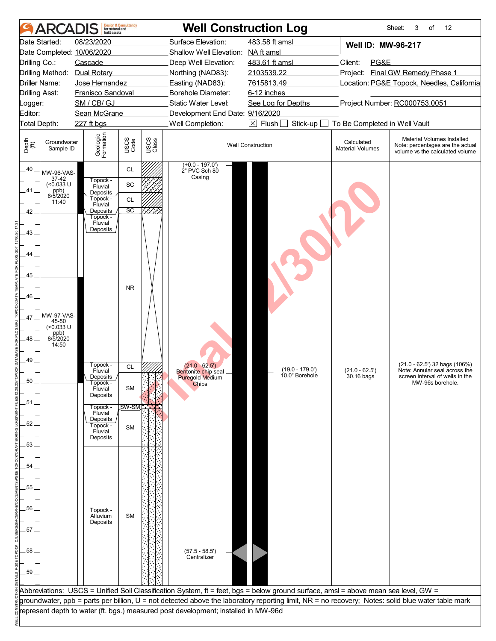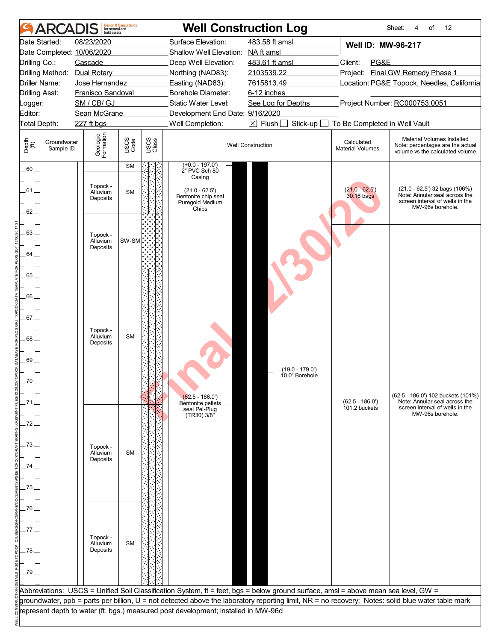| Date Started:                                                                 |                                                                                                                                                                                         |                        |               |                                                                                                                                                                                                           | <b>Well Construction Log</b>                                                                                                       |                                                                        | 12<br>Sheet:<br>4<br>of                                                                                                                           |  |
|-------------------------------------------------------------------------------|-----------------------------------------------------------------------------------------------------------------------------------------------------------------------------------------|------------------------|---------------|-----------------------------------------------------------------------------------------------------------------------------------------------------------------------------------------------------------|------------------------------------------------------------------------------------------------------------------------------------|------------------------------------------------------------------------|---------------------------------------------------------------------------------------------------------------------------------------------------|--|
| Drilling Co.:<br>Driller Name:<br><b>Drilling Asst:</b><br>Logger:<br>Editor: | 08/23/2020<br>Date Completed: 10/06/2020<br>Cascade<br>Drilling Method: Dual Rotary<br>Jose Hernandez<br>Franisco Sandoval<br>SM / CB/ GJ<br>Sean McGrane<br>Total Depth:<br>227 ft bgs |                        |               | Surface Elevation:<br>Shallow Well Elevation: NA ft amsl<br>Deep Well Elevation:<br>Northing (NAD83):<br>Easting (NAD83):<br>Borehole Diameter:<br>Static Water Level:<br>Development End Date: 9/16/2020 | 483.58 ft amsl<br>483.61 ft amsl<br>2103539.22<br>7615813.49<br>6-12 inches<br>See Log for Depths                                  | <b>Well ID: MW-96-217</b><br>Client:<br>PG&E                           | Project: Final GW Remedy Phase 1<br>Location: PG&E Topock, Needles, California<br>Project Number: RC000753.0051                                   |  |
| Depth<br>$\bigoplus_{i=1}^{n}$<br>Groundwater<br>Sample ID                    | Geologic<br>Formation                                                                                                                                                                   | USCS<br>Code           | USCS<br>Class | Well Completion:                                                                                                                                                                                          | $\boxed{\times}$ Flush $\boxed{\phantom{0}}$<br>Stick-up<br><b>Well Construction</b>                                               | To Be Completed in Well Vault<br>Calculated<br><b>Material Volumes</b> | Material Volumes Installed<br>Note: percentages are the actual<br>volume vs the calculated volume                                                 |  |
| $.60 -$<br>.61 .<br>62.                                                       | Topock -<br>Alluvium<br>Deposits                                                                                                                                                        | <b>SM</b><br><b>SM</b> |               | $(+0.0 - 197.0')$<br>2" PVC Sch 80<br>Casing<br>$(21.0 - 62.5')$<br>Bentonite chip seal _<br>Puregold Medium<br>Chips                                                                                     |                                                                                                                                    | $(21.0 - 62.5')$<br>30.16 bags                                         | $(21.0 - 62.5')$ 32 bags $(106%)$<br>Note: Annular seal across the<br>screen interval of wells in the<br>MW-96s borehole.                         |  |
| 63.<br>64                                                                     | Topock -<br>Alluvium<br>Deposits                                                                                                                                                        | SW-SM                  |               |                                                                                                                                                                                                           |                                                                                                                                    |                                                                        |                                                                                                                                                   |  |
| .65.<br>66.<br>67.<br>68<br>69.<br>70.<br>. 71                                | Topock -<br>Alluvium<br>Deposits                                                                                                                                                        | <b>SM</b>              |               | $(62.5 - 186.0')$<br>Bentonite pellets                                                                                                                                                                    | $(19.0 - 179.0')$<br>10.0" Borehole                                                                                                | $(62.5 - 186.0')$<br>101.2 buckets                                     | (62.5 - 186.0') 102 buckets (101%)<br>Note: Annular seal across the<br>screen interval of wells in the                                            |  |
| .72.<br>-73<br>.74.<br>.75                                                    | Topock -<br>Alluvium<br>Deposits                                                                                                                                                        | <b>SM</b>              |               | seal Pel-Plug<br>TR30) 3/8"                                                                                                                                                                               |                                                                                                                                    |                                                                        | MW-96s borehole.                                                                                                                                  |  |
| - 76<br>77.<br>.78<br>$-79$                                                   | Topock -<br>Alluvium<br>Deposits                                                                                                                                                        | <b>SM</b>              |               |                                                                                                                                                                                                           |                                                                                                                                    |                                                                        |                                                                                                                                                   |  |
|                                                                               |                                                                                                                                                                                         |                        |               | represent depth to water (ft. bgs.) measured post development; installed in MW-96d                                                                                                                        | Abbreviations: USCS = Unified Soil Classification System, ft = feet, bgs = below ground surface, amsl = above mean sea level, GW = |                                                                        | groundwater, ppb = parts per billion, U = not detected above the laboratory reporting limit, NR = no recovery; Notes: solid blue water table mark |  |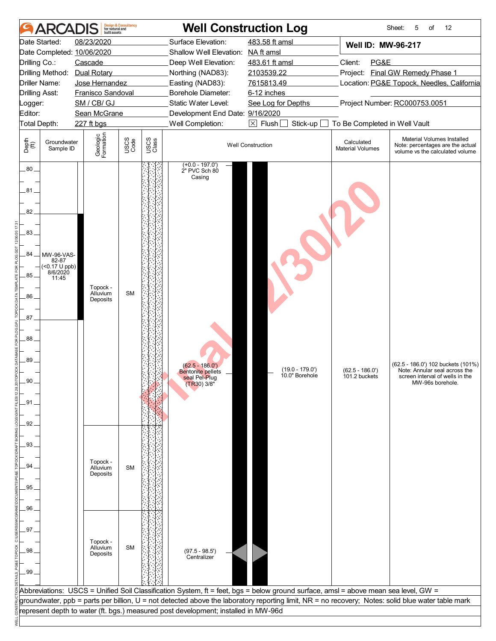|                                                                                                                    | <b>AR</b>                                                 | built assets                                                         | <b>Design &amp; Consultancy</b><br>for natural and |               | <b>Well Construction Log</b>                                                                                                        |                                     |                                       | Sheet:<br>12<br>5<br>of                                                                                                                           |
|--------------------------------------------------------------------------------------------------------------------|-----------------------------------------------------------|----------------------------------------------------------------------|----------------------------------------------------|---------------|-------------------------------------------------------------------------------------------------------------------------------------|-------------------------------------|---------------------------------------|---------------------------------------------------------------------------------------------------------------------------------------------------|
| Date Started:                                                                                                      |                                                           | 08/23/2020                                                           |                                                    |               | Surface Elevation:                                                                                                                  | 483.58 ft amsl                      | <b>Well ID: MW-96-217</b>             |                                                                                                                                                   |
|                                                                                                                    |                                                           | Date Completed: 10/06/2020                                           |                                                    |               | Shallow Well Elevation: NA ft amsl                                                                                                  |                                     |                                       |                                                                                                                                                   |
| Drilling Co.:                                                                                                      |                                                           | Cascade                                                              |                                                    |               | Deep Well Elevation:                                                                                                                | 483.61 ft amsl                      | PG&E<br>Client:                       |                                                                                                                                                   |
|                                                                                                                    |                                                           | Drilling Method: Dual Rotary                                         |                                                    |               | Northing (NAD83):                                                                                                                   | 2103539.22                          |                                       | Project: Final GW Remedy Phase 1                                                                                                                  |
| <b>Driller Name:</b>                                                                                               |                                                           | Jose Hernandez                                                       |                                                    |               | Easting (NAD83):                                                                                                                    | 7615813.49                          |                                       | Location: PG&E Topock, Needles, California                                                                                                        |
| <b>Drilling Asst:</b>                                                                                              |                                                           | Franisco Sandoval                                                    |                                                    |               | Borehole Diameter:                                                                                                                  | 6-12 inches                         |                                       |                                                                                                                                                   |
| Logger:                                                                                                            |                                                           | SM / CB/ GJ                                                          |                                                    |               | Static Water Level:                                                                                                                 | See Log for Depths                  |                                       | Project Number: RC000753.0051                                                                                                                     |
| Editor:                                                                                                            |                                                           | Sean McGrane                                                         |                                                    |               | Development End Date: 9/16/2020                                                                                                     |                                     |                                       |                                                                                                                                                   |
| Total Depth:                                                                                                       |                                                           | 227 ft bgs                                                           |                                                    |               | Well Completion:                                                                                                                    | $\boxtimes$ Flush<br>Stick-up       | To Be Completed in Well Vault         |                                                                                                                                                   |
|                                                                                                                    |                                                           |                                                                      |                                                    |               |                                                                                                                                     |                                     |                                       |                                                                                                                                                   |
| Depth<br>(ff)                                                                                                      | Groundwater<br>Sample ID                                  | Geologic<br>Formation                                                | USCS<br>Code                                       | USCS<br>Class |                                                                                                                                     | <b>Well Construction</b>            | Calculated<br><b>Material Volumes</b> | Material Volumes Installed<br>Note: percentages are the actual<br>volume vs the calculated volume                                                 |
| $80-$<br>81<br>82.<br>.83<br>.84<br>85<br>86.<br>87<br>88<br>89<br>90<br>91<br>92.<br>93.<br>94<br>95<br>96.<br>97 | MW-96-VAS-<br>82-87<br>(<0.17 U ppb)<br>8/6/2020<br>11:45 | Topock -<br>Alluvium<br>Deposits<br>Topock -<br>Alluvium<br>Deposits | <b>SM</b><br><b>SM</b>                             |               | $(+0.0 - 197.0')$<br>2" PVC Sch 80<br>Casing<br>$(62.5 - 186.0')$<br><b>Bentonite pellets</b><br>seal Pel-Plug<br>(TR30) 3/8"       | $(19.0 - 179.0')$<br>10.0" Borehole | $(62.5 - 186.0')$<br>101.2 buckets    | (62.5 - 186.0') 102 buckets (101%)<br>Note: Annular seal across the<br>screen interval of wells in the<br>MW-96s borehole.                        |
| 98<br>.99.                                                                                                         |                                                           | Topock -<br>Alluvium<br>Deposits                                     | <b>SM</b>                                          |               | $(97.5 - 98.5')$<br>Centralizer                                                                                                     |                                     |                                       |                                                                                                                                                   |
|                                                                                                                    |                                                           |                                                                      |                                                    |               |                                                                                                                                     |                                     |                                       |                                                                                                                                                   |
|                                                                                                                    |                                                           |                                                                      |                                                    |               | Abbreviations:  USCS = Unified Soil Classification System, ft = feet, bgs = below ground surface, amsl = above mean sea level, GW = |                                     |                                       |                                                                                                                                                   |
|                                                                                                                    |                                                           |                                                                      |                                                    |               |                                                                                                                                     |                                     |                                       |                                                                                                                                                   |
|                                                                                                                    |                                                           |                                                                      |                                                    |               |                                                                                                                                     |                                     |                                       |                                                                                                                                                   |
|                                                                                                                    |                                                           |                                                                      |                                                    |               | represent depth to water (ft. bgs.) measured post development; installed in MW-96d                                                  |                                     |                                       | groundwater, ppb = parts per billion, U = not detected above the laboratory reporting limit, NR = no recovery; Notes: solid blue water table mark |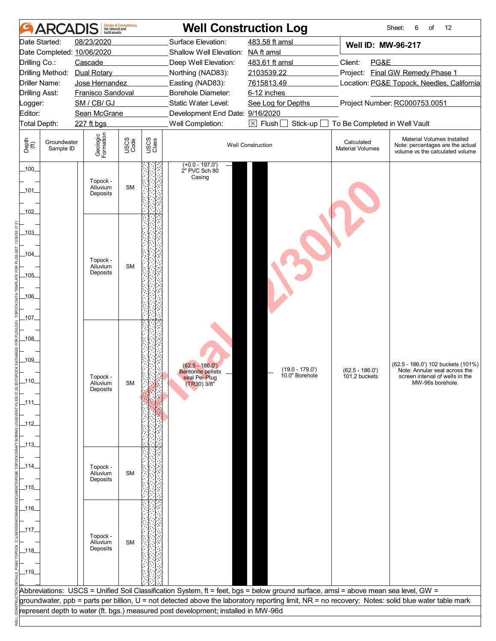| Surface Elevation:<br>483.58 ft amsl<br>Date Started:<br>08/23/2020<br>Well ID: MW-96-217<br>Date Completed: 10/06/2020<br>Shallow Well Elevation: NA ft amsl<br>Drilling Co.:<br>Cascade<br>Deep Well Elevation:<br>483.61 ft amsl<br>Client:<br>PG&E<br>Project: Final GW Remedy Phase 1<br>2103539.22<br>Drilling Method: Dual Rotary<br>Northing (NAD83):<br>Easting (NAD83):<br>7615813.49<br>Location: PG&E Topock, Needles, California<br>Driller Name:<br>Jose Hernandez<br>Borehole Diameter:<br><b>Drilling Asst:</b><br>Franisco Sandoval<br>6-12 inches<br>Project Number: RC000753.0051<br>SM / CB/ GJ<br>Static Water Level:<br>See Log for Depths<br>Logger:<br>Sean McGrane<br>Development End Date: 9/16/2020<br>Well Completion:<br>$\boxtimes$ Flush [<br>Stick-up<br>Total Depth:<br>To Be Completed in Well Vault<br>227 ft bgs<br>Geologic<br>Formation<br>Material Volumes Installed<br>USCS<br>Code<br>USCS<br>Class<br>Depth<br>(ff)<br>Groundwater<br>Calculated<br><b>Well Construction</b><br>Note: percentages are the actual<br><b>Material Volumes</b><br>Sample ID<br>volume vs the calculated volume<br>$(+0.0 - 197.0')$<br>100<br>2" PVC Sch 80<br>Casing<br>Topock -<br><b>SM</b><br>Alluvium<br>$\_101\_$<br>Deposits<br>$-102$<br>$-103$<br>_104_<br>Topock -<br><b>SM</b><br>Alluvium<br>Deposits<br>$-105$<br>-106-<br>$-107$<br>$108$ <sub>-</sub><br>$-109$<br>(62.5 - 186.0') 102 buckets (101%)<br>$(62.5 - 186.0')$<br>$(19.0 - 179.0')$<br>$(62.5 - 186.0')$<br>Note: Annular seal across the<br><b>Bentonite pellets</b><br>10.0" Borehole<br>101.2 buckets<br>Topock -<br>screen interval of wells in the<br>seal Pel-Plug<br>(TR30) 3/8"<br>Alluvium<br>SM<br>MW-96s borehole.<br>Deposits<br>$\_111$<br>_112_<br>_113_<br>_114_<br>Topock -<br>Alluvium<br><b>SM</b><br>Deposits<br>_115_<br>_116_<br>_117_<br>Topock -<br><b>SM</b><br>Alluvium<br>Deposits<br>_118_<br>$-119$<br>Abbreviations: USCS = Unified Soil Classification System, ft = feet, bgs = below ground surface, amsl = above mean sea level, GW =<br>groundwater, ppb = parts per billion, U = not detected above the laboratory reporting limit, NR = no recovery; Notes: solid blue water table mark<br>represent depth to water (ft. bgs.) measured post development; installed in MW-96d |         | <b>ARCA</b> | huilt assets | <b>Design &amp; Consultancy</b><br>for natural and |  | <b>Well Construction Log</b> |  | 12<br>Sheet:<br>6<br>of |  |
|--------------------------------------------------------------------------------------------------------------------------------------------------------------------------------------------------------------------------------------------------------------------------------------------------------------------------------------------------------------------------------------------------------------------------------------------------------------------------------------------------------------------------------------------------------------------------------------------------------------------------------------------------------------------------------------------------------------------------------------------------------------------------------------------------------------------------------------------------------------------------------------------------------------------------------------------------------------------------------------------------------------------------------------------------------------------------------------------------------------------------------------------------------------------------------------------------------------------------------------------------------------------------------------------------------------------------------------------------------------------------------------------------------------------------------------------------------------------------------------------------------------------------------------------------------------------------------------------------------------------------------------------------------------------------------------------------------------------------------------------------------------------------------------------------------------------------------------------------------------------------------------------------------------------------------------------------------------------------------------------------------------------------------------------------------------------------------------------------------------------------------------------------------------------------------------------------------------------------------------------------------------------------------------------------------------------|---------|-------------|--------------|----------------------------------------------------|--|------------------------------|--|-------------------------|--|
|                                                                                                                                                                                                                                                                                                                                                                                                                                                                                                                                                                                                                                                                                                                                                                                                                                                                                                                                                                                                                                                                                                                                                                                                                                                                                                                                                                                                                                                                                                                                                                                                                                                                                                                                                                                                                                                                                                                                                                                                                                                                                                                                                                                                                                                                                                                    |         |             |              |                                                    |  |                              |  |                         |  |
|                                                                                                                                                                                                                                                                                                                                                                                                                                                                                                                                                                                                                                                                                                                                                                                                                                                                                                                                                                                                                                                                                                                                                                                                                                                                                                                                                                                                                                                                                                                                                                                                                                                                                                                                                                                                                                                                                                                                                                                                                                                                                                                                                                                                                                                                                                                    |         |             |              |                                                    |  |                              |  |                         |  |
|                                                                                                                                                                                                                                                                                                                                                                                                                                                                                                                                                                                                                                                                                                                                                                                                                                                                                                                                                                                                                                                                                                                                                                                                                                                                                                                                                                                                                                                                                                                                                                                                                                                                                                                                                                                                                                                                                                                                                                                                                                                                                                                                                                                                                                                                                                                    |         |             |              |                                                    |  |                              |  |                         |  |
|                                                                                                                                                                                                                                                                                                                                                                                                                                                                                                                                                                                                                                                                                                                                                                                                                                                                                                                                                                                                                                                                                                                                                                                                                                                                                                                                                                                                                                                                                                                                                                                                                                                                                                                                                                                                                                                                                                                                                                                                                                                                                                                                                                                                                                                                                                                    |         |             |              |                                                    |  |                              |  |                         |  |
|                                                                                                                                                                                                                                                                                                                                                                                                                                                                                                                                                                                                                                                                                                                                                                                                                                                                                                                                                                                                                                                                                                                                                                                                                                                                                                                                                                                                                                                                                                                                                                                                                                                                                                                                                                                                                                                                                                                                                                                                                                                                                                                                                                                                                                                                                                                    |         |             |              |                                                    |  |                              |  |                         |  |
|                                                                                                                                                                                                                                                                                                                                                                                                                                                                                                                                                                                                                                                                                                                                                                                                                                                                                                                                                                                                                                                                                                                                                                                                                                                                                                                                                                                                                                                                                                                                                                                                                                                                                                                                                                                                                                                                                                                                                                                                                                                                                                                                                                                                                                                                                                                    |         |             |              |                                                    |  |                              |  |                         |  |
|                                                                                                                                                                                                                                                                                                                                                                                                                                                                                                                                                                                                                                                                                                                                                                                                                                                                                                                                                                                                                                                                                                                                                                                                                                                                                                                                                                                                                                                                                                                                                                                                                                                                                                                                                                                                                                                                                                                                                                                                                                                                                                                                                                                                                                                                                                                    |         |             |              |                                                    |  |                              |  |                         |  |
|                                                                                                                                                                                                                                                                                                                                                                                                                                                                                                                                                                                                                                                                                                                                                                                                                                                                                                                                                                                                                                                                                                                                                                                                                                                                                                                                                                                                                                                                                                                                                                                                                                                                                                                                                                                                                                                                                                                                                                                                                                                                                                                                                                                                                                                                                                                    | Editor: |             |              |                                                    |  |                              |  |                         |  |
|                                                                                                                                                                                                                                                                                                                                                                                                                                                                                                                                                                                                                                                                                                                                                                                                                                                                                                                                                                                                                                                                                                                                                                                                                                                                                                                                                                                                                                                                                                                                                                                                                                                                                                                                                                                                                                                                                                                                                                                                                                                                                                                                                                                                                                                                                                                    |         |             |              |                                                    |  |                              |  |                         |  |
|                                                                                                                                                                                                                                                                                                                                                                                                                                                                                                                                                                                                                                                                                                                                                                                                                                                                                                                                                                                                                                                                                                                                                                                                                                                                                                                                                                                                                                                                                                                                                                                                                                                                                                                                                                                                                                                                                                                                                                                                                                                                                                                                                                                                                                                                                                                    |         |             |              |                                                    |  |                              |  |                         |  |
|                                                                                                                                                                                                                                                                                                                                                                                                                                                                                                                                                                                                                                                                                                                                                                                                                                                                                                                                                                                                                                                                                                                                                                                                                                                                                                                                                                                                                                                                                                                                                                                                                                                                                                                                                                                                                                                                                                                                                                                                                                                                                                                                                                                                                                                                                                                    |         |             |              |                                                    |  |                              |  |                         |  |
|                                                                                                                                                                                                                                                                                                                                                                                                                                                                                                                                                                                                                                                                                                                                                                                                                                                                                                                                                                                                                                                                                                                                                                                                                                                                                                                                                                                                                                                                                                                                                                                                                                                                                                                                                                                                                                                                                                                                                                                                                                                                                                                                                                                                                                                                                                                    |         |             |              |                                                    |  |                              |  |                         |  |
|                                                                                                                                                                                                                                                                                                                                                                                                                                                                                                                                                                                                                                                                                                                                                                                                                                                                                                                                                                                                                                                                                                                                                                                                                                                                                                                                                                                                                                                                                                                                                                                                                                                                                                                                                                                                                                                                                                                                                                                                                                                                                                                                                                                                                                                                                                                    |         |             |              |                                                    |  |                              |  |                         |  |
|                                                                                                                                                                                                                                                                                                                                                                                                                                                                                                                                                                                                                                                                                                                                                                                                                                                                                                                                                                                                                                                                                                                                                                                                                                                                                                                                                                                                                                                                                                                                                                                                                                                                                                                                                                                                                                                                                                                                                                                                                                                                                                                                                                                                                                                                                                                    |         |             |              |                                                    |  |                              |  |                         |  |
|                                                                                                                                                                                                                                                                                                                                                                                                                                                                                                                                                                                                                                                                                                                                                                                                                                                                                                                                                                                                                                                                                                                                                                                                                                                                                                                                                                                                                                                                                                                                                                                                                                                                                                                                                                                                                                                                                                                                                                                                                                                                                                                                                                                                                                                                                                                    |         |             |              |                                                    |  |                              |  |                         |  |
|                                                                                                                                                                                                                                                                                                                                                                                                                                                                                                                                                                                                                                                                                                                                                                                                                                                                                                                                                                                                                                                                                                                                                                                                                                                                                                                                                                                                                                                                                                                                                                                                                                                                                                                                                                                                                                                                                                                                                                                                                                                                                                                                                                                                                                                                                                                    |         |             |              |                                                    |  |                              |  |                         |  |
|                                                                                                                                                                                                                                                                                                                                                                                                                                                                                                                                                                                                                                                                                                                                                                                                                                                                                                                                                                                                                                                                                                                                                                                                                                                                                                                                                                                                                                                                                                                                                                                                                                                                                                                                                                                                                                                                                                                                                                                                                                                                                                                                                                                                                                                                                                                    |         |             |              |                                                    |  |                              |  |                         |  |
|                                                                                                                                                                                                                                                                                                                                                                                                                                                                                                                                                                                                                                                                                                                                                                                                                                                                                                                                                                                                                                                                                                                                                                                                                                                                                                                                                                                                                                                                                                                                                                                                                                                                                                                                                                                                                                                                                                                                                                                                                                                                                                                                                                                                                                                                                                                    |         |             |              |                                                    |  |                              |  |                         |  |
|                                                                                                                                                                                                                                                                                                                                                                                                                                                                                                                                                                                                                                                                                                                                                                                                                                                                                                                                                                                                                                                                                                                                                                                                                                                                                                                                                                                                                                                                                                                                                                                                                                                                                                                                                                                                                                                                                                                                                                                                                                                                                                                                                                                                                                                                                                                    |         |             |              |                                                    |  |                              |  |                         |  |
|                                                                                                                                                                                                                                                                                                                                                                                                                                                                                                                                                                                                                                                                                                                                                                                                                                                                                                                                                                                                                                                                                                                                                                                                                                                                                                                                                                                                                                                                                                                                                                                                                                                                                                                                                                                                                                                                                                                                                                                                                                                                                                                                                                                                                                                                                                                    |         |             |              |                                                    |  |                              |  |                         |  |
|                                                                                                                                                                                                                                                                                                                                                                                                                                                                                                                                                                                                                                                                                                                                                                                                                                                                                                                                                                                                                                                                                                                                                                                                                                                                                                                                                                                                                                                                                                                                                                                                                                                                                                                                                                                                                                                                                                                                                                                                                                                                                                                                                                                                                                                                                                                    |         |             |              |                                                    |  |                              |  |                         |  |
|                                                                                                                                                                                                                                                                                                                                                                                                                                                                                                                                                                                                                                                                                                                                                                                                                                                                                                                                                                                                                                                                                                                                                                                                                                                                                                                                                                                                                                                                                                                                                                                                                                                                                                                                                                                                                                                                                                                                                                                                                                                                                                                                                                                                                                                                                                                    |         |             |              |                                                    |  |                              |  |                         |  |
|                                                                                                                                                                                                                                                                                                                                                                                                                                                                                                                                                                                                                                                                                                                                                                                                                                                                                                                                                                                                                                                                                                                                                                                                                                                                                                                                                                                                                                                                                                                                                                                                                                                                                                                                                                                                                                                                                                                                                                                                                                                                                                                                                                                                                                                                                                                    |         |             |              |                                                    |  |                              |  |                         |  |
|                                                                                                                                                                                                                                                                                                                                                                                                                                                                                                                                                                                                                                                                                                                                                                                                                                                                                                                                                                                                                                                                                                                                                                                                                                                                                                                                                                                                                                                                                                                                                                                                                                                                                                                                                                                                                                                                                                                                                                                                                                                                                                                                                                                                                                                                                                                    |         |             |              |                                                    |  |                              |  |                         |  |
|                                                                                                                                                                                                                                                                                                                                                                                                                                                                                                                                                                                                                                                                                                                                                                                                                                                                                                                                                                                                                                                                                                                                                                                                                                                                                                                                                                                                                                                                                                                                                                                                                                                                                                                                                                                                                                                                                                                                                                                                                                                                                                                                                                                                                                                                                                                    |         |             |              |                                                    |  |                              |  |                         |  |
|                                                                                                                                                                                                                                                                                                                                                                                                                                                                                                                                                                                                                                                                                                                                                                                                                                                                                                                                                                                                                                                                                                                                                                                                                                                                                                                                                                                                                                                                                                                                                                                                                                                                                                                                                                                                                                                                                                                                                                                                                                                                                                                                                                                                                                                                                                                    |         |             |              |                                                    |  |                              |  |                         |  |
|                                                                                                                                                                                                                                                                                                                                                                                                                                                                                                                                                                                                                                                                                                                                                                                                                                                                                                                                                                                                                                                                                                                                                                                                                                                                                                                                                                                                                                                                                                                                                                                                                                                                                                                                                                                                                                                                                                                                                                                                                                                                                                                                                                                                                                                                                                                    |         |             |              |                                                    |  |                              |  |                         |  |
|                                                                                                                                                                                                                                                                                                                                                                                                                                                                                                                                                                                                                                                                                                                                                                                                                                                                                                                                                                                                                                                                                                                                                                                                                                                                                                                                                                                                                                                                                                                                                                                                                                                                                                                                                                                                                                                                                                                                                                                                                                                                                                                                                                                                                                                                                                                    |         |             |              |                                                    |  |                              |  |                         |  |
|                                                                                                                                                                                                                                                                                                                                                                                                                                                                                                                                                                                                                                                                                                                                                                                                                                                                                                                                                                                                                                                                                                                                                                                                                                                                                                                                                                                                                                                                                                                                                                                                                                                                                                                                                                                                                                                                                                                                                                                                                                                                                                                                                                                                                                                                                                                    | __110_  |             |              |                                                    |  |                              |  |                         |  |
|                                                                                                                                                                                                                                                                                                                                                                                                                                                                                                                                                                                                                                                                                                                                                                                                                                                                                                                                                                                                                                                                                                                                                                                                                                                                                                                                                                                                                                                                                                                                                                                                                                                                                                                                                                                                                                                                                                                                                                                                                                                                                                                                                                                                                                                                                                                    |         |             |              |                                                    |  |                              |  |                         |  |
|                                                                                                                                                                                                                                                                                                                                                                                                                                                                                                                                                                                                                                                                                                                                                                                                                                                                                                                                                                                                                                                                                                                                                                                                                                                                                                                                                                                                                                                                                                                                                                                                                                                                                                                                                                                                                                                                                                                                                                                                                                                                                                                                                                                                                                                                                                                    |         |             |              |                                                    |  |                              |  |                         |  |
|                                                                                                                                                                                                                                                                                                                                                                                                                                                                                                                                                                                                                                                                                                                                                                                                                                                                                                                                                                                                                                                                                                                                                                                                                                                                                                                                                                                                                                                                                                                                                                                                                                                                                                                                                                                                                                                                                                                                                                                                                                                                                                                                                                                                                                                                                                                    |         |             |              |                                                    |  |                              |  |                         |  |
|                                                                                                                                                                                                                                                                                                                                                                                                                                                                                                                                                                                                                                                                                                                                                                                                                                                                                                                                                                                                                                                                                                                                                                                                                                                                                                                                                                                                                                                                                                                                                                                                                                                                                                                                                                                                                                                                                                                                                                                                                                                                                                                                                                                                                                                                                                                    |         |             |              |                                                    |  |                              |  |                         |  |
|                                                                                                                                                                                                                                                                                                                                                                                                                                                                                                                                                                                                                                                                                                                                                                                                                                                                                                                                                                                                                                                                                                                                                                                                                                                                                                                                                                                                                                                                                                                                                                                                                                                                                                                                                                                                                                                                                                                                                                                                                                                                                                                                                                                                                                                                                                                    |         |             |              |                                                    |  |                              |  |                         |  |
|                                                                                                                                                                                                                                                                                                                                                                                                                                                                                                                                                                                                                                                                                                                                                                                                                                                                                                                                                                                                                                                                                                                                                                                                                                                                                                                                                                                                                                                                                                                                                                                                                                                                                                                                                                                                                                                                                                                                                                                                                                                                                                                                                                                                                                                                                                                    |         |             |              |                                                    |  |                              |  |                         |  |
|                                                                                                                                                                                                                                                                                                                                                                                                                                                                                                                                                                                                                                                                                                                                                                                                                                                                                                                                                                                                                                                                                                                                                                                                                                                                                                                                                                                                                                                                                                                                                                                                                                                                                                                                                                                                                                                                                                                                                                                                                                                                                                                                                                                                                                                                                                                    |         |             |              |                                                    |  |                              |  |                         |  |
|                                                                                                                                                                                                                                                                                                                                                                                                                                                                                                                                                                                                                                                                                                                                                                                                                                                                                                                                                                                                                                                                                                                                                                                                                                                                                                                                                                                                                                                                                                                                                                                                                                                                                                                                                                                                                                                                                                                                                                                                                                                                                                                                                                                                                                                                                                                    |         |             |              |                                                    |  |                              |  |                         |  |
|                                                                                                                                                                                                                                                                                                                                                                                                                                                                                                                                                                                                                                                                                                                                                                                                                                                                                                                                                                                                                                                                                                                                                                                                                                                                                                                                                                                                                                                                                                                                                                                                                                                                                                                                                                                                                                                                                                                                                                                                                                                                                                                                                                                                                                                                                                                    |         |             |              |                                                    |  |                              |  |                         |  |
|                                                                                                                                                                                                                                                                                                                                                                                                                                                                                                                                                                                                                                                                                                                                                                                                                                                                                                                                                                                                                                                                                                                                                                                                                                                                                                                                                                                                                                                                                                                                                                                                                                                                                                                                                                                                                                                                                                                                                                                                                                                                                                                                                                                                                                                                                                                    |         |             |              |                                                    |  |                              |  |                         |  |
|                                                                                                                                                                                                                                                                                                                                                                                                                                                                                                                                                                                                                                                                                                                                                                                                                                                                                                                                                                                                                                                                                                                                                                                                                                                                                                                                                                                                                                                                                                                                                                                                                                                                                                                                                                                                                                                                                                                                                                                                                                                                                                                                                                                                                                                                                                                    |         |             |              |                                                    |  |                              |  |                         |  |
|                                                                                                                                                                                                                                                                                                                                                                                                                                                                                                                                                                                                                                                                                                                                                                                                                                                                                                                                                                                                                                                                                                                                                                                                                                                                                                                                                                                                                                                                                                                                                                                                                                                                                                                                                                                                                                                                                                                                                                                                                                                                                                                                                                                                                                                                                                                    |         |             |              |                                                    |  |                              |  |                         |  |
|                                                                                                                                                                                                                                                                                                                                                                                                                                                                                                                                                                                                                                                                                                                                                                                                                                                                                                                                                                                                                                                                                                                                                                                                                                                                                                                                                                                                                                                                                                                                                                                                                                                                                                                                                                                                                                                                                                                                                                                                                                                                                                                                                                                                                                                                                                                    |         |             |              |                                                    |  |                              |  |                         |  |
|                                                                                                                                                                                                                                                                                                                                                                                                                                                                                                                                                                                                                                                                                                                                                                                                                                                                                                                                                                                                                                                                                                                                                                                                                                                                                                                                                                                                                                                                                                                                                                                                                                                                                                                                                                                                                                                                                                                                                                                                                                                                                                                                                                                                                                                                                                                    |         |             |              |                                                    |  |                              |  |                         |  |
|                                                                                                                                                                                                                                                                                                                                                                                                                                                                                                                                                                                                                                                                                                                                                                                                                                                                                                                                                                                                                                                                                                                                                                                                                                                                                                                                                                                                                                                                                                                                                                                                                                                                                                                                                                                                                                                                                                                                                                                                                                                                                                                                                                                                                                                                                                                    |         |             |              |                                                    |  |                              |  |                         |  |
|                                                                                                                                                                                                                                                                                                                                                                                                                                                                                                                                                                                                                                                                                                                                                                                                                                                                                                                                                                                                                                                                                                                                                                                                                                                                                                                                                                                                                                                                                                                                                                                                                                                                                                                                                                                                                                                                                                                                                                                                                                                                                                                                                                                                                                                                                                                    |         |             |              |                                                    |  |                              |  |                         |  |
|                                                                                                                                                                                                                                                                                                                                                                                                                                                                                                                                                                                                                                                                                                                                                                                                                                                                                                                                                                                                                                                                                                                                                                                                                                                                                                                                                                                                                                                                                                                                                                                                                                                                                                                                                                                                                                                                                                                                                                                                                                                                                                                                                                                                                                                                                                                    |         |             |              |                                                    |  |                              |  |                         |  |
|                                                                                                                                                                                                                                                                                                                                                                                                                                                                                                                                                                                                                                                                                                                                                                                                                                                                                                                                                                                                                                                                                                                                                                                                                                                                                                                                                                                                                                                                                                                                                                                                                                                                                                                                                                                                                                                                                                                                                                                                                                                                                                                                                                                                                                                                                                                    |         |             |              |                                                    |  |                              |  |                         |  |
|                                                                                                                                                                                                                                                                                                                                                                                                                                                                                                                                                                                                                                                                                                                                                                                                                                                                                                                                                                                                                                                                                                                                                                                                                                                                                                                                                                                                                                                                                                                                                                                                                                                                                                                                                                                                                                                                                                                                                                                                                                                                                                                                                                                                                                                                                                                    |         |             |              |                                                    |  |                              |  |                         |  |
|                                                                                                                                                                                                                                                                                                                                                                                                                                                                                                                                                                                                                                                                                                                                                                                                                                                                                                                                                                                                                                                                                                                                                                                                                                                                                                                                                                                                                                                                                                                                                                                                                                                                                                                                                                                                                                                                                                                                                                                                                                                                                                                                                                                                                                                                                                                    |         |             |              |                                                    |  |                              |  |                         |  |
|                                                                                                                                                                                                                                                                                                                                                                                                                                                                                                                                                                                                                                                                                                                                                                                                                                                                                                                                                                                                                                                                                                                                                                                                                                                                                                                                                                                                                                                                                                                                                                                                                                                                                                                                                                                                                                                                                                                                                                                                                                                                                                                                                                                                                                                                                                                    |         |             |              |                                                    |  |                              |  |                         |  |
|                                                                                                                                                                                                                                                                                                                                                                                                                                                                                                                                                                                                                                                                                                                                                                                                                                                                                                                                                                                                                                                                                                                                                                                                                                                                                                                                                                                                                                                                                                                                                                                                                                                                                                                                                                                                                                                                                                                                                                                                                                                                                                                                                                                                                                                                                                                    |         |             |              |                                                    |  |                              |  |                         |  |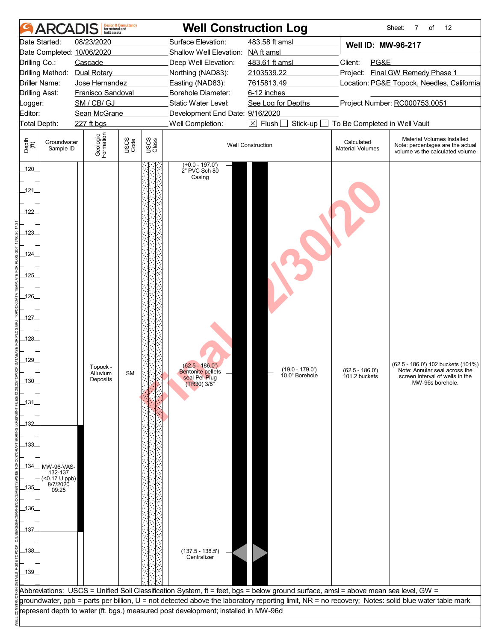|                                                                                                                                                                       | <b>ARCA</b>                                                            | built assets                                                                        | <b>Design &amp; Consultancy</b><br>for natural and |               |                                                                                                                                                                  | <b>Well Construction Log</b>                    |                                       | Sheet:<br>12<br>7<br>of                                                                                                                           |
|-----------------------------------------------------------------------------------------------------------------------------------------------------------------------|------------------------------------------------------------------------|-------------------------------------------------------------------------------------|----------------------------------------------------|---------------|------------------------------------------------------------------------------------------------------------------------------------------------------------------|-------------------------------------------------|---------------------------------------|---------------------------------------------------------------------------------------------------------------------------------------------------|
| Drilling Co.:                                                                                                                                                         | Date Started:                                                          | 08/23/2020<br>Date Completed: 10/06/2020<br>Cascade<br>Drilling Method: Dual Rotary |                                                    |               | Surface Elevation:<br>Shallow Well Elevation: NA ft amsl<br>Deep Well Elevation:<br>Northing (NAD83):                                                            | 483.58 ft amsl<br>483.61 ft amsl<br>2103539.22  | Well ID: MW-96-217<br>Client:<br>PG&E | Project: Final GW Remedy Phase 1                                                                                                                  |
| Logger:<br>Editor:                                                                                                                                                    | Driller Name:<br>Drilling Asst:                                        | Jose Hernandez<br>Franisco Sandoval<br>SM / CB/ GJ<br>Sean McGrane                  |                                                    |               | Easting (NAD83):<br>Borehole Diameter:<br>Static Water Level:<br>Development End Date: 9/16/2020                                                                 | 7615813.49<br>6-12 inches<br>See Log for Depths |                                       | Location: PG&E Topock, Needles, California<br>Project Number: RC000753.0051                                                                       |
|                                                                                                                                                                       | Total Depth:                                                           | 227 ft bgs                                                                          |                                                    |               | Well Completion:                                                                                                                                                 | $\boxtimes$ Flush<br>Stick-up                   | To Be Completed in Well Vault         |                                                                                                                                                   |
| Depth<br>(ff)                                                                                                                                                         | Groundwater<br>Sample ID                                               | Geologic<br>Formation                                                               | USCS<br>Code                                       | USCS<br>Class |                                                                                                                                                                  | <b>Well Construction</b>                        | Calculated<br><b>Material Volumes</b> | Material Volumes Installed<br>Note: percentages are the actual<br>volume vs the calculated volume                                                 |
| $-120$<br>121<br>122<br>.123<br>$-124$<br>.125<br>$-126$<br>$-127$<br>128<br>129<br>_130_<br>_131_<br>$-132$<br>$-133-$<br>_135_<br>$-136$<br>$-137$<br>138<br>$-139$ | $-134$ MW-96-VAS-<br>132-137<br>$(5.17 \cup ppb)$<br>8/7/2020<br>09:25 | Topock -<br>Alluvium<br>Deposits                                                    | <b>SM</b>                                          |               | $(+0.0 - 197.0')$<br>2" PVC Sch 80<br>Casing<br>$(62.5 - 186.0')$<br><b>Bentonite pellets</b><br>seal Pel-Plug<br>(TR30) 3/8"<br>(137.5 - 138.5')<br>Centralizer | $(19.0 - 179.0')$<br>10.0" Borehole             | $(62.5 - 186.0')$<br>101.2 buckets    | (62.5 - 186.0') 102 buckets (101%)<br>Note: Annular seal across the<br>screen interval of wells in the<br>MW-96s borehole.                        |
|                                                                                                                                                                       |                                                                        |                                                                                     |                                                    |               | Abbreviations: USCS = Unified Soil Classification System, ft = feet, bgs = below ground surface, amsl = above mean sea level, GW =                               |                                                 |                                       | groundwater, ppb = parts per billion, U = not detected above the laboratory reporting limit, NR = no recovery; Notes: solid blue water table mark |
|                                                                                                                                                                       |                                                                        |                                                                                     |                                                    |               | represent depth to water (ft. bgs.) measured post development; installed in MW-96d                                                                               |                                                 |                                       |                                                                                                                                                   |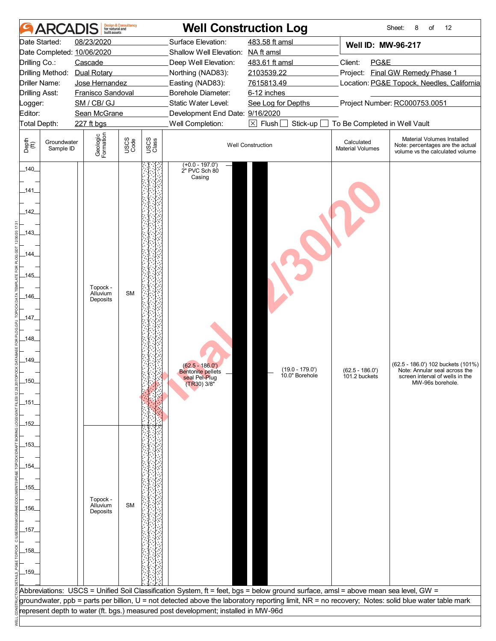|                    | <b>ARCA</b>              | huilt assets                     | <b>Design &amp; Consultancy</b><br>for natural and |               |                                                                                                                                    | <b>Well Construction Log</b>        |                                       | 12<br>Sheet:<br>8<br>of                                                                                                                           |
|--------------------|--------------------------|----------------------------------|----------------------------------------------------|---------------|------------------------------------------------------------------------------------------------------------------------------------|-------------------------------------|---------------------------------------|---------------------------------------------------------------------------------------------------------------------------------------------------|
|                    | Date Started:            | 08/23/2020                       |                                                    |               | Surface Elevation:                                                                                                                 | 483.58 ft amsl                      | Well ID: MW-96-217                    |                                                                                                                                                   |
|                    |                          | Date Completed: 10/06/2020       |                                                    |               | Shallow Well Elevation: NA ft amsl                                                                                                 |                                     |                                       |                                                                                                                                                   |
| Drilling Co.:      |                          | Cascade                          |                                                    |               | Deep Well Elevation:                                                                                                               | 483.61 ft amsl                      | Client:<br>PG&E                       |                                                                                                                                                   |
|                    |                          | Drilling Method: Dual Rotary     |                                                    |               | Northing (NAD83):                                                                                                                  | 2103539.22                          |                                       | Project: Final GW Remedy Phase 1                                                                                                                  |
|                    | Driller Name:            | Jose Hernandez                   |                                                    |               | Easting (NAD83):                                                                                                                   | 7615813.49                          |                                       | Location: PG&E Topock, Needles, California                                                                                                        |
|                    | Drilling Asst:           | Franisco Sandoval                |                                                    |               | Borehole Diameter:                                                                                                                 | 6-12 inches                         |                                       |                                                                                                                                                   |
| Logger:<br>Editor: |                          | SM / CB/ GJ<br>Sean McGrane      |                                                    |               | Static Water Level:                                                                                                                | See Log for Depths                  |                                       | Project Number: RC000753.0051                                                                                                                     |
| Total Depth:       |                          | 227 ft bgs                       |                                                    |               | Development End Date: 9/16/2020<br>Well Completion:                                                                                | $\boxtimes$ Flush [<br>Stick-up     | To Be Completed in Well Vault         |                                                                                                                                                   |
| Depth<br>(ff)      | Groundwater<br>Sample ID | Geologic<br>Formation            | USCS<br>Code                                       | USCS<br>Class |                                                                                                                                    | <b>Well Construction</b>            | Calculated<br><b>Material Volumes</b> | Material Volumes Installed<br>Note: percentages are the actual<br>volume vs the calculated volume                                                 |
| 140                |                          |                                  |                                                    |               | $(+0.0 - 197.0')$<br>2" PVC Sch 80                                                                                                 |                                     |                                       |                                                                                                                                                   |
| 141                |                          |                                  |                                                    |               | Casing                                                                                                                             |                                     |                                       |                                                                                                                                                   |
| _142_              |                          |                                  |                                                    |               |                                                                                                                                    |                                     |                                       |                                                                                                                                                   |
| _143_              |                          |                                  |                                                    |               |                                                                                                                                    |                                     |                                       |                                                                                                                                                   |
| _144_              |                          |                                  |                                                    |               |                                                                                                                                    |                                     |                                       |                                                                                                                                                   |
| $-145$             |                          |                                  |                                                    |               |                                                                                                                                    |                                     |                                       |                                                                                                                                                   |
| -146-              |                          | Topock -<br>Alluvium<br>Deposits | <b>SM</b>                                          |               |                                                                                                                                    |                                     |                                       |                                                                                                                                                   |
| $-147$             |                          |                                  |                                                    |               |                                                                                                                                    |                                     |                                       |                                                                                                                                                   |
|                    |                          |                                  |                                                    |               |                                                                                                                                    |                                     |                                       |                                                                                                                                                   |
| 148                |                          |                                  |                                                    |               |                                                                                                                                    |                                     |                                       |                                                                                                                                                   |
| $-149$             |                          |                                  |                                                    |               |                                                                                                                                    |                                     |                                       |                                                                                                                                                   |
|                    |                          |                                  |                                                    |               | $(62.5 - 186.0')$<br><b>Bentonite pellets</b>                                                                                      | $(19.0 - 179.0')$<br>10.0" Borehole | $(62.5 - 186.0')$                     | (62.5 - 186.0') 102 buckets (101%)<br>Note: Annular seal across the                                                                               |
| _150_              |                          |                                  |                                                    |               | seal Pel-Plug<br>(TR30) 3/8"                                                                                                       |                                     | 101.2 buckets                         | screen interval of wells in the<br>MW-96s borehole.                                                                                               |
| _151_              |                          |                                  |                                                    |               |                                                                                                                                    |                                     |                                       |                                                                                                                                                   |
|                    |                          |                                  |                                                    |               |                                                                                                                                    |                                     |                                       |                                                                                                                                                   |
| _152_              |                          |                                  |                                                    |               |                                                                                                                                    |                                     |                                       |                                                                                                                                                   |
| _153_              |                          |                                  |                                                    |               |                                                                                                                                    |                                     |                                       |                                                                                                                                                   |
|                    |                          |                                  |                                                    |               |                                                                                                                                    |                                     |                                       |                                                                                                                                                   |
| _154_              |                          |                                  |                                                    |               |                                                                                                                                    |                                     |                                       |                                                                                                                                                   |
|                    |                          |                                  |                                                    |               |                                                                                                                                    |                                     |                                       |                                                                                                                                                   |
| _155_              |                          |                                  |                                                    |               |                                                                                                                                    |                                     |                                       |                                                                                                                                                   |
|                    |                          | Topock -                         |                                                    |               |                                                                                                                                    |                                     |                                       |                                                                                                                                                   |
| _156_              |                          | Alluvium<br>Deposits             | <b>SM</b>                                          |               |                                                                                                                                    |                                     |                                       |                                                                                                                                                   |
|                    |                          |                                  |                                                    |               |                                                                                                                                    |                                     |                                       |                                                                                                                                                   |
| _157_              |                          |                                  |                                                    |               |                                                                                                                                    |                                     |                                       |                                                                                                                                                   |
|                    |                          |                                  |                                                    |               |                                                                                                                                    |                                     |                                       |                                                                                                                                                   |
| _158_              |                          |                                  |                                                    |               |                                                                                                                                    |                                     |                                       |                                                                                                                                                   |
| $-159$             |                          |                                  |                                                    |               |                                                                                                                                    |                                     |                                       |                                                                                                                                                   |
|                    |                          |                                  |                                                    |               |                                                                                                                                    |                                     |                                       |                                                                                                                                                   |
|                    |                          |                                  |                                                    |               | Abbreviations: USCS = Unified Soil Classification System, ft = feet, bgs = below ground surface, amsl = above mean sea level, GW = |                                     |                                       |                                                                                                                                                   |
|                    |                          |                                  |                                                    |               |                                                                                                                                    |                                     |                                       | groundwater, ppb = parts per billion, U = not detected above the laboratory reporting limit, NR = no recovery; Notes: solid blue water table mark |
|                    |                          |                                  |                                                    |               | represent depth to water (ft. bgs.) measured post development; installed in MW-96d                                                 |                                     |                                       |                                                                                                                                                   |
|                    |                          |                                  |                                                    |               |                                                                                                                                    |                                     |                                       |                                                                                                                                                   |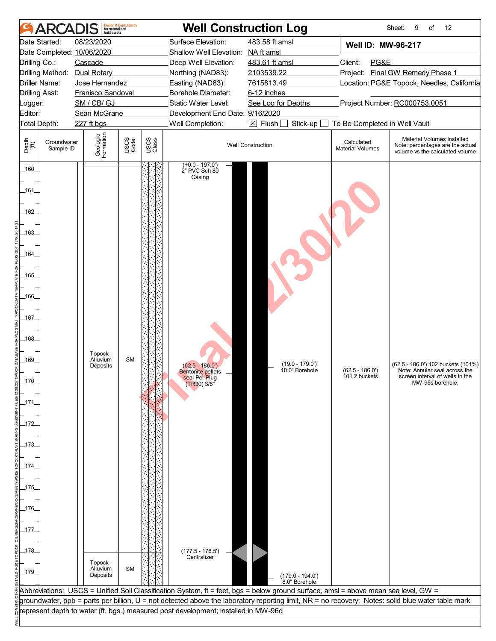| <b>ARCAI</b><br>Date Started:<br>Date Completed: 10/06/2020<br>Drilling Co.:<br>Cascade<br>Drilling Method: Dual Rotary<br><b>Driller Name:</b><br>Drilling Asst:<br>Logger:<br>Editor:<br>Total Depth:<br>227 ft bgs<br>Depth<br>(ff)<br>Groundwater<br>Sample ID<br>160<br>_161_<br>$-162$<br>_163_<br>_164_<br>_165_<br>-166 | <b>Design &amp; Consultancy</b><br>for natural and<br>built assets<br>08/23/2020<br>Jose Hernandez<br>Franisco Sandoval<br>SM / CB/ GJ<br>Sean McGrane<br>Geologic<br>Formation<br>USCS<br>Code | USCS<br>Class | <b>Well Construction Log</b><br>Surface Elevation:<br>Shallow Well Elevation: NA ft amsl<br>Deep Well Elevation:<br>Northing (NAD83):<br>Easting (NAD83):<br>Borehole Diameter:<br>Static Water Level:<br>Development End Date: 9/16/2020<br>Well Completion:<br>$(+0.0 - 197.0')$<br>2" PVC Sch 80<br>Casing | 483.58 ft amsl<br>483.61 ft amsl<br>2103539.22<br>7615813.49<br>6-12 inches<br>See Log for Depths<br>$\boxed{\times}$ Flush $\boxed{\phantom{0}}$<br>Stick-up $\Box$<br><b>Well Construction</b>                 | Well ID: MW-96-217<br>Client:<br>PG&E<br>To Be Completed in Well Vault<br>Calculated<br><b>Material Volumes</b> | Project: Final GW Remedy Phase 1<br>Location: PG&E Topock, Needles, California<br>Project Number: RC000753.0051<br>Material Volumes Installed<br>Note: percentages are the actual<br>volume vs the calculated volume |
|---------------------------------------------------------------------------------------------------------------------------------------------------------------------------------------------------------------------------------------------------------------------------------------------------------------------------------|-------------------------------------------------------------------------------------------------------------------------------------------------------------------------------------------------|---------------|---------------------------------------------------------------------------------------------------------------------------------------------------------------------------------------------------------------------------------------------------------------------------------------------------------------|------------------------------------------------------------------------------------------------------------------------------------------------------------------------------------------------------------------|-----------------------------------------------------------------------------------------------------------------|----------------------------------------------------------------------------------------------------------------------------------------------------------------------------------------------------------------------|
|                                                                                                                                                                                                                                                                                                                                 |                                                                                                                                                                                                 |               |                                                                                                                                                                                                                                                                                                               |                                                                                                                                                                                                                  |                                                                                                                 |                                                                                                                                                                                                                      |
|                                                                                                                                                                                                                                                                                                                                 |                                                                                                                                                                                                 |               |                                                                                                                                                                                                                                                                                                               |                                                                                                                                                                                                                  |                                                                                                                 |                                                                                                                                                                                                                      |
| _167_<br>$-168$<br>_169_<br>$-170$<br>_171.<br>_172_<br>_173_<br>_174_<br>_175_<br>$-176$<br>_177_<br>_178_<br>$-179$                                                                                                                                                                                                           | Topock -<br><b>SM</b><br>Alluvium<br>Deposits<br>Topock -<br><b>SM</b><br>Alluvium<br>Deposits                                                                                                  |               | $(62.5 - 186.0')$<br><b>Bentonite pellets</b><br>seal Pel-Plug<br>(TR30) 3/8"<br>(177.5 - 178.5')<br>Centralizer                                                                                                                                                                                              | $(19.0 - 179.0')$<br>10.0" Borehole<br>$(179.0 - 194.0')$<br>8.0" Borehole<br>Abbreviations: USCS = Unified Soil Classification System, ft = feet, bgs = below ground surface, amsl = above mean sea level, GW = | $(62.5 - 186.0')$<br>101.2 buckets                                                                              | (62.5 - 186.0') 102 buckets (101%)<br>Note: Annular seal across the<br>screen interval of wells in the<br>MW-96s borehole.                                                                                           |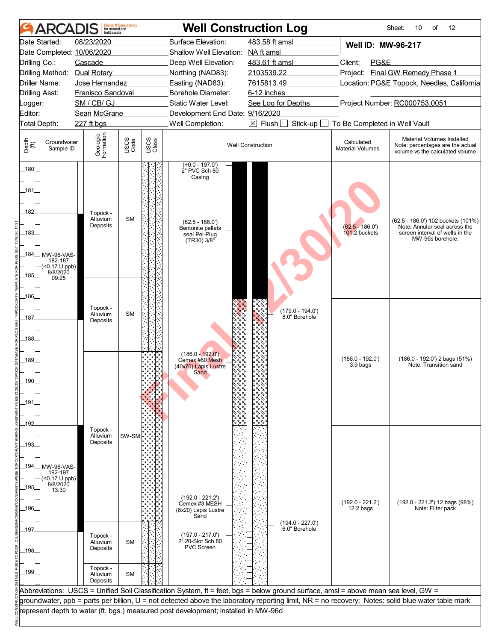| <b>AR</b>                                                                          | <b>Design &amp; Consultancy</b><br>for natural and<br>built assets |                               |                                                                                    | <b>Well Construction Log</b>                                                                                                                                                                                                                                                            |                                       | 12<br>Sheet:<br>10<br>of                                                                                                   |
|------------------------------------------------------------------------------------|--------------------------------------------------------------------|-------------------------------|------------------------------------------------------------------------------------|-----------------------------------------------------------------------------------------------------------------------------------------------------------------------------------------------------------------------------------------------------------------------------------------|---------------------------------------|----------------------------------------------------------------------------------------------------------------------------|
| Date Started:                                                                      | 08/23/2020                                                         |                               | Surface Elevation:                                                                 | 483.58 ft amsl                                                                                                                                                                                                                                                                          | <b>Well ID: MW-96-217</b>             |                                                                                                                            |
| Date Completed: 10/06/2020                                                         |                                                                    |                               | Shallow Well Elevation: NA ft amsl                                                 |                                                                                                                                                                                                                                                                                         |                                       |                                                                                                                            |
| Drilling Co.:                                                                      | Cascade                                                            |                               | Deep Well Elevation:                                                               | 483.61 ft amsl                                                                                                                                                                                                                                                                          | Client:<br>PG&E                       |                                                                                                                            |
| Drilling Method: Dual Rotary                                                       |                                                                    |                               | Northing (NAD83):                                                                  | 2103539.22                                                                                                                                                                                                                                                                              |                                       | Project: Final GW Remedy Phase 1                                                                                           |
| Driller Name:                                                                      | Jose Hernandez                                                     |                               | Easting (NAD83):                                                                   | 7615813.49                                                                                                                                                                                                                                                                              |                                       | Location: PG&E Topock, Needles, California                                                                                 |
| <b>Drilling Asst:</b>                                                              | Franisco Sandoval                                                  |                               | Borehole Diameter:                                                                 | 6-12 inches                                                                                                                                                                                                                                                                             |                                       |                                                                                                                            |
| Logger:                                                                            | SM / CB/ GJ                                                        |                               | Static Water Level:                                                                | See Log for Depths                                                                                                                                                                                                                                                                      |                                       | Project Number: RC000753.0051                                                                                              |
| Editor:                                                                            | Sean McGrane                                                       |                               | Development End Date: 9/16/2020                                                    |                                                                                                                                                                                                                                                                                         |                                       |                                                                                                                            |
| Total Depth:                                                                       | 227 ft bgs                                                         |                               | Well Completion:                                                                   | $\boxed{\times}$ Flush $\boxed{}$<br>Stick-up                                                                                                                                                                                                                                           | To Be Completed in Well Vault         |                                                                                                                            |
| Depth<br>(ff)<br>Groundwater<br>Sample ID                                          | Geologic<br>Formation                                              | USCS<br>Code<br>USCS<br>Class |                                                                                    | <b>Well Construction</b>                                                                                                                                                                                                                                                                | Calculated<br><b>Material Volumes</b> | Material Volumes Installed<br>Note: percentages are the actual<br>volume vs the calculated volume                          |
| 180                                                                                |                                                                    |                               | $(+0.0 - 197.0')$<br>2" PVC Sch 80<br>Casing                                       |                                                                                                                                                                                                                                                                                         |                                       |                                                                                                                            |
| _181_<br>182                                                                       | Topock -<br>Alluvium                                               | <b>SM</b>                     |                                                                                    |                                                                                                                                                                                                                                                                                         |                                       |                                                                                                                            |
| _183_                                                                              | Deposits                                                           |                               | $(62.5 - 186.0')$<br>Bentonite pellets<br>seal Pel-Plug<br>$(TR30)$ 3/8"           |                                                                                                                                                                                                                                                                                         | $(62.5 - 186.0')$<br>101.2 buckets    | (62.5 - 186.0') 102 buckets (101%)<br>Note: Annular seal across the<br>screen interval of wells in the<br>MW-96s borehole. |
| _184_<br>MW-96-VAS-<br>182-187<br>$($ < 0.17 U ppb)<br>8/8/2020<br>$-185$<br>09:25 |                                                                    |                               |                                                                                    |                                                                                                                                                                                                                                                                                         |                                       |                                                                                                                            |
| $-186$                                                                             |                                                                    |                               |                                                                                    |                                                                                                                                                                                                                                                                                         |                                       |                                                                                                                            |
| 187                                                                                | Topock -<br>Alluvium<br>Deposits                                   | <b>SM</b>                     |                                                                                    | (179.0 - 194.0')<br>8.0" Borehole                                                                                                                                                                                                                                                       |                                       |                                                                                                                            |
| $-188$                                                                             |                                                                    |                               | $(186.0 - 192.0)$                                                                  |                                                                                                                                                                                                                                                                                         |                                       |                                                                                                                            |
| 189<br>_190_                                                                       |                                                                    |                               | Cemex #60 Mesh<br>(40x70) Lapis Lustre<br>Sand                                     |                                                                                                                                                                                                                                                                                         | $(186.0 - 192.0')$<br>3.9 bags        | $(186.0 - 192.0)$ 2 bags $(51%)$<br>Note: Transition sand                                                                  |
| _191.                                                                              |                                                                    |                               |                                                                                    |                                                                                                                                                                                                                                                                                         |                                       |                                                                                                                            |
| $-192$                                                                             | Topock -                                                           |                               |                                                                                    |                                                                                                                                                                                                                                                                                         |                                       |                                                                                                                            |
| -193-                                                                              | Alluvium<br>Deposits                                               | SW-SM                         |                                                                                    |                                                                                                                                                                                                                                                                                         |                                       |                                                                                                                            |
|                                                                                    |                                                                    |                               |                                                                                    |                                                                                                                                                                                                                                                                                         |                                       |                                                                                                                            |
| _194_<br>MW-96-VAS-                                                                |                                                                    |                               |                                                                                    |                                                                                                                                                                                                                                                                                         |                                       |                                                                                                                            |
| 192-197<br>$($ < 0.17 U ppb)<br>8/8/2020<br>_195_<br>13:30                         |                                                                    |                               |                                                                                    |                                                                                                                                                                                                                                                                                         |                                       |                                                                                                                            |
| _196_                                                                              |                                                                    |                               | $(192.0 - 221.2)$<br>Cemex #3 MESH<br>(8x20) Lapis Lustre<br>Sand                  |                                                                                                                                                                                                                                                                                         | $(192.0 - 221.2')$<br>12.2 bags       | (192.0 - 221.2') 12 bags (98%)<br>Note: Filter pack                                                                        |
| 197                                                                                |                                                                    |                               |                                                                                    | $(194.0 - 227.0')$<br>6.0" Borehole                                                                                                                                                                                                                                                     |                                       |                                                                                                                            |
| _198_                                                                              | Topock -<br>Alluvium<br>Deposits                                   | <b>SM</b>                     | $(197.0 - 217.0')$<br>2" 20-Slot Sch 80<br>PVC Screen                              |                                                                                                                                                                                                                                                                                         |                                       |                                                                                                                            |
| _199_                                                                              | Topock -<br>Alluvium<br>Deposits                                   | <b>SM</b>                     |                                                                                    |                                                                                                                                                                                                                                                                                         |                                       |                                                                                                                            |
|                                                                                    |                                                                    |                               |                                                                                    | Abbreviations: USCS = Unified Soil Classification System, ft = feet, bgs = below ground surface, amsl = above mean sea level, GW =<br>groundwater, ppb = parts per billion, U = not detected above the laboratory reporting limit, NR = no recovery; Notes: solid blue water table mark |                                       |                                                                                                                            |
|                                                                                    |                                                                    |                               | represent depth to water (ft. bgs.) measured post development; installed in MW-96d |                                                                                                                                                                                                                                                                                         |                                       |                                                                                                                            |
|                                                                                    |                                                                    |                               |                                                                                    |                                                                                                                                                                                                                                                                                         |                                       |                                                                                                                            |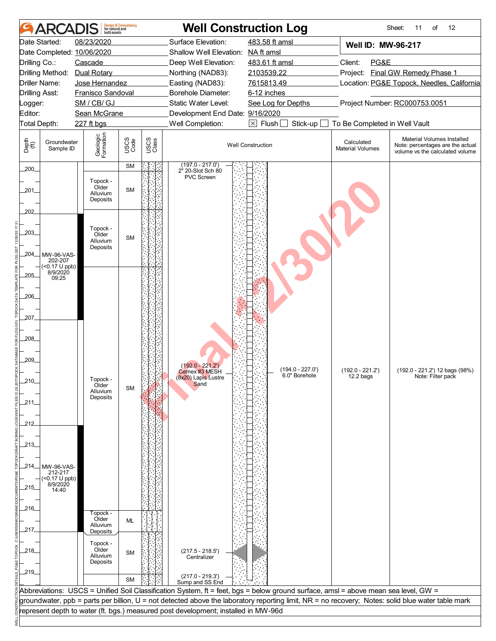|                                | <b>ARCADIS</b>                | built assets               | <b>Design &amp; Consultancy</b><br>for natural and |               |                                                                                    | <b>Well Construction Log</b>                                                                                                       |                                       | 12<br>Sheet:<br>11<br>of                                                                                                                          |  |
|--------------------------------|-------------------------------|----------------------------|----------------------------------------------------|---------------|------------------------------------------------------------------------------------|------------------------------------------------------------------------------------------------------------------------------------|---------------------------------------|---------------------------------------------------------------------------------------------------------------------------------------------------|--|
|                                | Date Started:                 | 08/23/2020                 |                                                    |               | Surface Elevation:                                                                 | 483.58 ft amsl                                                                                                                     | Well ID: MW-96-217                    |                                                                                                                                                   |  |
|                                |                               | Date Completed: 10/06/2020 |                                                    |               | Shallow Well Elevation: NA ft amsl                                                 |                                                                                                                                    |                                       |                                                                                                                                                   |  |
| Drilling Co.:                  |                               | Cascade                    |                                                    |               | Deep Well Elevation:                                                               | 483.61 ft amsl                                                                                                                     | Client:<br>PG&E                       |                                                                                                                                                   |  |
|                                | Drilling Method:              | Dual Rotary                |                                                    |               | Northing (NAD83):                                                                  | 2103539.22                                                                                                                         |                                       | Project: Final GW Remedy Phase 1                                                                                                                  |  |
|                                | Driller Name:                 | Jose Hernandez             |                                                    |               | Easting (NAD83):                                                                   | 7615813.49                                                                                                                         |                                       | Location: PG&E Topock, Needles, California                                                                                                        |  |
|                                | <b>Drilling Asst:</b>         | Franisco Sandoval          |                                                    |               | Borehole Diameter:                                                                 | 6-12 inches                                                                                                                        |                                       |                                                                                                                                                   |  |
| Logger:                        |                               | SM / CB/ GJ                |                                                    |               | Static Water Level:                                                                | See Log for Depths                                                                                                                 |                                       | Project Number: RC000753.0051                                                                                                                     |  |
| Editor:                        |                               | Sean McGrane               |                                                    |               | Development End Date: 9/16/2020                                                    |                                                                                                                                    |                                       |                                                                                                                                                   |  |
|                                | Total Depth:                  | 227 ft bgs                 |                                                    |               | Well Completion:                                                                   | $\boxed{\times}$ Flush<br>Stick-up                                                                                                 | To Be Completed in Well Vault         |                                                                                                                                                   |  |
| Depth<br>$\bigoplus_{i=1}^{n}$ | Groundwater<br>Sample ID      | Geologic<br>Formation      | USCS<br>Code                                       | USCS<br>Class |                                                                                    | <b>Well Construction</b>                                                                                                           | Calculated<br><b>Material Volumes</b> | Material Volumes Installed<br>Note: percentages are the actual<br>volume vs the calculated volume                                                 |  |
| 200                            |                               |                            | <b>SM</b>                                          |               | $(197.0 - 217.0')$<br>2 <sup>h</sup> 20-Slot Sch 80                                |                                                                                                                                    |                                       |                                                                                                                                                   |  |
|                                |                               | Topock -                   |                                                    |               | PVC Screen                                                                         |                                                                                                                                    |                                       |                                                                                                                                                   |  |
| 201_                           |                               | Older<br>Alluvium          | <b>SM</b>                                          |               |                                                                                    |                                                                                                                                    |                                       |                                                                                                                                                   |  |
|                                |                               | Deposits                   |                                                    |               |                                                                                    |                                                                                                                                    |                                       |                                                                                                                                                   |  |
| 202                            |                               |                            |                                                    |               |                                                                                    |                                                                                                                                    |                                       |                                                                                                                                                   |  |
|                                |                               |                            |                                                    |               |                                                                                    |                                                                                                                                    |                                       |                                                                                                                                                   |  |
| .203.                          |                               | Topock -                   |                                                    |               |                                                                                    |                                                                                                                                    |                                       |                                                                                                                                                   |  |
|                                |                               | Older<br>Alluvium          | <b>SM</b>                                          |               |                                                                                    |                                                                                                                                    |                                       |                                                                                                                                                   |  |
|                                |                               | Deposits                   |                                                    |               |                                                                                    |                                                                                                                                    |                                       |                                                                                                                                                   |  |
| 204_                           | MW-96-VAS-<br>202-207         |                            |                                                    |               |                                                                                    |                                                                                                                                    |                                       |                                                                                                                                                   |  |
|                                | $($ < 0.17 U ppb)<br>8/9/2020 |                            |                                                    |               |                                                                                    |                                                                                                                                    |                                       |                                                                                                                                                   |  |
| 205                            | 09:25                         |                            |                                                    |               |                                                                                    |                                                                                                                                    |                                       |                                                                                                                                                   |  |
|                                |                               |                            |                                                    |               |                                                                                    |                                                                                                                                    |                                       |                                                                                                                                                   |  |
| .206.                          |                               |                            |                                                    |               |                                                                                    |                                                                                                                                    |                                       |                                                                                                                                                   |  |
|                                |                               |                            |                                                    |               |                                                                                    |                                                                                                                                    |                                       |                                                                                                                                                   |  |
| 207                            |                               |                            |                                                    |               |                                                                                    |                                                                                                                                    |                                       |                                                                                                                                                   |  |
|                                |                               |                            |                                                    |               |                                                                                    |                                                                                                                                    |                                       |                                                                                                                                                   |  |
| .208_                          |                               |                            |                                                    |               |                                                                                    |                                                                                                                                    |                                       |                                                                                                                                                   |  |
|                                |                               |                            |                                                    |               |                                                                                    |                                                                                                                                    |                                       |                                                                                                                                                   |  |
| 209                            |                               |                            |                                                    |               | $(192.0 - 221.2)$                                                                  |                                                                                                                                    |                                       |                                                                                                                                                   |  |
|                                |                               |                            |                                                    |               | Cemex #3 MESH                                                                      | (194.0 - 227.0')<br>6.0" Borehole                                                                                                  | $(192.0 - 221.2')$                    | (192.0 - 221.2') 12 bags (98%)                                                                                                                    |  |
| _210_                          |                               | Topock<br>Older            |                                                    |               | (8x20) Lapis Lustre<br>Sand                                                        |                                                                                                                                    | $12.2$ bags                           | Note: Filter pack                                                                                                                                 |  |
|                                |                               | Alluvium                   | <b>SM</b>                                          |               |                                                                                    |                                                                                                                                    |                                       |                                                                                                                                                   |  |
| _211_                          |                               | Deposits                   |                                                    |               |                                                                                    |                                                                                                                                    |                                       |                                                                                                                                                   |  |
|                                |                               |                            |                                                    |               |                                                                                    |                                                                                                                                    |                                       |                                                                                                                                                   |  |
| 212                            |                               |                            |                                                    |               |                                                                                    |                                                                                                                                    |                                       |                                                                                                                                                   |  |
|                                |                               |                            |                                                    |               |                                                                                    |                                                                                                                                    |                                       |                                                                                                                                                   |  |
| $-213-$                        |                               |                            |                                                    |               |                                                                                    |                                                                                                                                    |                                       |                                                                                                                                                   |  |
|                                |                               |                            |                                                    |               |                                                                                    |                                                                                                                                    |                                       |                                                                                                                                                   |  |
| _214_                          | MW-96-VAS-                    |                            |                                                    |               |                                                                                    |                                                                                                                                    |                                       |                                                                                                                                                   |  |
|                                | 212-217                       |                            |                                                    |               |                                                                                    |                                                                                                                                    |                                       |                                                                                                                                                   |  |
|                                | $($ < 0.17 U ppb)<br>8/9/2020 |                            |                                                    |               |                                                                                    |                                                                                                                                    |                                       |                                                                                                                                                   |  |
| 215                            | 14:40                         |                            |                                                    |               |                                                                                    |                                                                                                                                    |                                       |                                                                                                                                                   |  |
|                                |                               |                            |                                                    |               |                                                                                    |                                                                                                                                    |                                       |                                                                                                                                                   |  |
| _216_                          |                               | Topock -                   |                                                    |               |                                                                                    |                                                                                                                                    |                                       |                                                                                                                                                   |  |
|                                |                               | Older<br>Alluvium          | ML                                                 |               |                                                                                    |                                                                                                                                    |                                       |                                                                                                                                                   |  |
| 217_                           |                               | Deposits                   |                                                    |               |                                                                                    |                                                                                                                                    |                                       |                                                                                                                                                   |  |
|                                |                               | Topock -                   |                                                    |               |                                                                                    |                                                                                                                                    |                                       |                                                                                                                                                   |  |
| 218                            |                               | Older<br>Alluvium          | <b>SM</b>                                          |               | (217.5 - 218.5')<br>Centralizer                                                    |                                                                                                                                    |                                       |                                                                                                                                                   |  |
|                                |                               | Deposits                   |                                                    |               |                                                                                    |                                                                                                                                    |                                       |                                                                                                                                                   |  |
| $-219$                         |                               |                            |                                                    |               |                                                                                    |                                                                                                                                    |                                       |                                                                                                                                                   |  |
|                                |                               |                            | <b>SM</b>                                          |               | $(217.0 - 219.3')$<br>Sump and SS End                                              |                                                                                                                                    |                                       |                                                                                                                                                   |  |
|                                |                               |                            |                                                    |               |                                                                                    | Abbreviations: USCS = Unified Soil Classification System, ft = feet, bgs = below ground surface, amsl = above mean sea level, GW = |                                       |                                                                                                                                                   |  |
|                                |                               |                            |                                                    |               |                                                                                    |                                                                                                                                    |                                       | groundwater, ppb = parts per billion, U = not detected above the laboratory reporting limit, NR = no recovery; Notes: solid blue water table mark |  |
|                                |                               |                            |                                                    |               | represent depth to water (ft. bgs.) measured post development; installed in MW-96d |                                                                                                                                    |                                       |                                                                                                                                                   |  |
|                                |                               |                            |                                                    |               |                                                                                    |                                                                                                                                    |                                       |                                                                                                                                                   |  |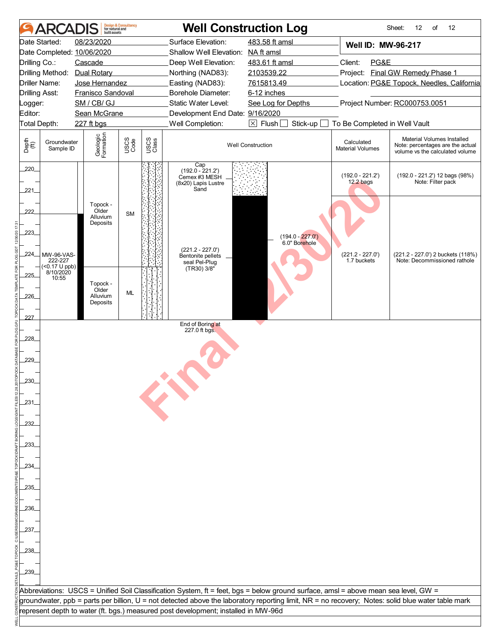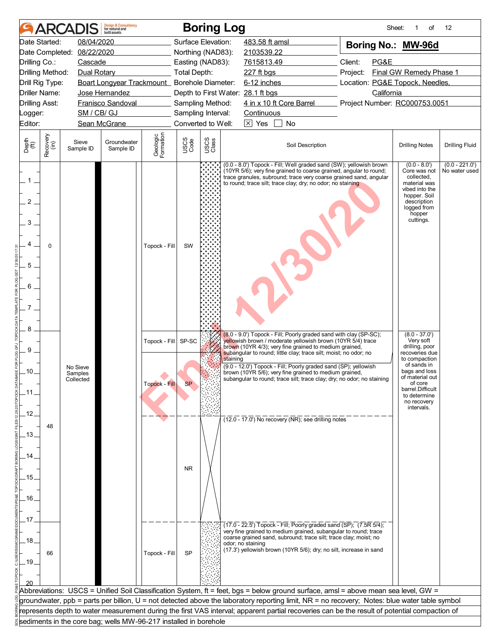| 08/04/2020<br>Surface Elevation:<br>Date Started:<br>483.58 ft amsl<br>Boring No.: MW-96d<br>08/22/2020<br>Date Completed:<br>Northing (NAD83):<br>2103539.22<br>Client:<br>PG&E<br>Drilling Co.:<br>Cascade<br>Easting (NAD83):<br>7615813.49<br>Final GW Remedy Phase 1<br>Drilling Method:<br>Dual Rotary<br>Total Depth:<br>227 ft bgs<br>Project:<br>Boart Longyear Trackmount_ Borehole Diameter:<br>6-12 inches<br>Location: PG&E Topock, Needles,<br>Drill Rig Type:<br>Depth to First Water: 28.1 ft bgs<br>Driller Name:<br>Jose Hernandez<br>California<br>4 in x 10 ft Core Barrel<br><b>Drilling Asst:</b><br><b>Franisco Sandoval</b><br>Project Number: RC000753.0051<br>Sampling Method:<br>SM / CB/ GJ<br>Sampling Interval:<br>Continuous<br>Logger:<br>$\overline{\times}$ Yes<br>Editor:<br>Sean McGrane<br>Converted to Well:<br>No<br>Geologic<br>Formation<br>Recovery<br>(in)<br>USCS<br>Class<br>USCS<br>Code<br>Depth<br>(ft)<br>Sieve<br>Groundwater<br>Soil Description<br><b>Drilling Fluid</b><br><b>Drilling Notes</b><br>Sample ID<br>Sample ID<br>$(0.0 - 221.0')$<br>(0.0 - 8.0') Topock - Fill; Well graded sand (SW); yellowish brown<br>$(0.0 - 8.0)$<br>(10YR 5/6); very fine grained to coarse grained, angular to round;<br>Core was not<br>No water used<br>trace granules, subround; trace very coarse grained sand, angular<br>collected,<br>$1_{-}$<br>material was<br>to round; trace silt; trace clay; dry; no odor; no staining<br>vibed into the<br>hopper. Soil<br>$\overline{2}$<br>description<br>logged from<br>hopper<br>cuttings.<br>3<br>$\Omega$<br>Topock - Fill<br>SW<br>5 <sub>1</sub><br>6<br>7 <sup>1</sup><br>8<br>$(8.0 - 37.0')$<br>(8.0 - 9.0') Topock - Fill; Poorly graded sand with clay (SP-SC);<br>yellowish brown / moderate yellowish brown (10YR 5/4) trace<br>Very soft<br>Topock - Fill SP-SC<br>brown (10YR 4/3); very fine grained to medium grained,<br>drilling, poor<br>9<br>subangular to round; little clay; trace silt; moist; no odor; no<br>recoveries due<br>to compaction<br>staining<br>of sands in<br>(9.0 - 12.0') Topock - Fill; Poorly graded sand (SP); yellowish<br>No Sieve<br>bags and loss<br>ـ10.<br>brown (10YR 5/6); very fine grained to medium grained,<br>Samples<br>of material out<br>subangular to round; trace silt; trace clay; dry; no odor; no staining<br>Collected<br>of core<br>Topock - Fill<br><b>SP</b><br>barrel.Difficult<br>.11<br>to determine<br>no recovery<br>intervals.<br>.12.<br>(12.0 - 17.0') No recovery (NR); see drilling notes<br>48<br>.13.<br>14<br><b>NR</b><br>.15.<br>.16.<br>.17<br>$(17.0 - 22.5)$ Topock - Fill; Poorly graded sand (SP); $(7.5R 5/4)$ ;<br>very fine grained to medium grained, subangular to round; trace<br>coarse grained sand, subround; trace silt; trace clay; moist; no<br>.18.<br>odor; no staining<br>(17.3') yellowish brown (10YR 5/6); dry; no silt, increase in sand<br>Topock - Fill<br><b>SP</b><br>66<br>.19.<br>Abbreviations: USCS = Unified Soil Classification System, ft = feet, bgs = below ground surface, amsl = above mean sea level, GW =<br>groundwater, ppb = parts per billion, U = not detected above the laboratory reporting limit, NR = no recovery; Notes: blue water table symbol<br>represents depth to water measurement during the first VAS interval; apparent partial recoveries can be the result of potential compaction of<br>sediments in the core bag; wells MW-96-217 installed in borehole |  | <b>ARCADIS</b> | <b>Design &amp; Consultancy</b><br>for natural and<br>huilt assets |  | <b>Boring Log</b> |  |  | Sheet: | of | 12 |
|--------------------------------------------------------------------------------------------------------------------------------------------------------------------------------------------------------------------------------------------------------------------------------------------------------------------------------------------------------------------------------------------------------------------------------------------------------------------------------------------------------------------------------------------------------------------------------------------------------------------------------------------------------------------------------------------------------------------------------------------------------------------------------------------------------------------------------------------------------------------------------------------------------------------------------------------------------------------------------------------------------------------------------------------------------------------------------------------------------------------------------------------------------------------------------------------------------------------------------------------------------------------------------------------------------------------------------------------------------------------------------------------------------------------------------------------------------------------------------------------------------------------------------------------------------------------------------------------------------------------------------------------------------------------------------------------------------------------------------------------------------------------------------------------------------------------------------------------------------------------------------------------------------------------------------------------------------------------------------------------------------------------------------------------------------------------------------------------------------------------------------------------------------------------------------------------------------------------------------------------------------------------------------------------------------------------------------------------------------------------------------------------------------------------------------------------------------------------------------------------------------------------------------------------------------------------------------------------------------------------------------------------------------------------------------------------------------------------------------------------------------------------------------------------------------------------------------------------------------------------------------------------------------------------------------------------------------------------------------------------------------------------------------------------------------------------------------------------------------------------------------------------------------------------------------------------------------------------------------------------------------------------------------------------------------------------------------------------------------------------------------------------------------------------------------------------------------------------------------------------------------|--|----------------|--------------------------------------------------------------------|--|-------------------|--|--|--------|----|----|
|                                                                                                                                                                                                                                                                                                                                                                                                                                                                                                                                                                                                                                                                                                                                                                                                                                                                                                                                                                                                                                                                                                                                                                                                                                                                                                                                                                                                                                                                                                                                                                                                                                                                                                                                                                                                                                                                                                                                                                                                                                                                                                                                                                                                                                                                                                                                                                                                                                                                                                                                                                                                                                                                                                                                                                                                                                                                                                                                                                                                                                                                                                                                                                                                                                                                                                                                                                                                                                                                                                        |  |                |                                                                    |  |                   |  |  |        |    |    |
|                                                                                                                                                                                                                                                                                                                                                                                                                                                                                                                                                                                                                                                                                                                                                                                                                                                                                                                                                                                                                                                                                                                                                                                                                                                                                                                                                                                                                                                                                                                                                                                                                                                                                                                                                                                                                                                                                                                                                                                                                                                                                                                                                                                                                                                                                                                                                                                                                                                                                                                                                                                                                                                                                                                                                                                                                                                                                                                                                                                                                                                                                                                                                                                                                                                                                                                                                                                                                                                                                                        |  |                |                                                                    |  |                   |  |  |        |    |    |
|                                                                                                                                                                                                                                                                                                                                                                                                                                                                                                                                                                                                                                                                                                                                                                                                                                                                                                                                                                                                                                                                                                                                                                                                                                                                                                                                                                                                                                                                                                                                                                                                                                                                                                                                                                                                                                                                                                                                                                                                                                                                                                                                                                                                                                                                                                                                                                                                                                                                                                                                                                                                                                                                                                                                                                                                                                                                                                                                                                                                                                                                                                                                                                                                                                                                                                                                                                                                                                                                                                        |  |                |                                                                    |  |                   |  |  |        |    |    |
|                                                                                                                                                                                                                                                                                                                                                                                                                                                                                                                                                                                                                                                                                                                                                                                                                                                                                                                                                                                                                                                                                                                                                                                                                                                                                                                                                                                                                                                                                                                                                                                                                                                                                                                                                                                                                                                                                                                                                                                                                                                                                                                                                                                                                                                                                                                                                                                                                                                                                                                                                                                                                                                                                                                                                                                                                                                                                                                                                                                                                                                                                                                                                                                                                                                                                                                                                                                                                                                                                                        |  |                |                                                                    |  |                   |  |  |        |    |    |
|                                                                                                                                                                                                                                                                                                                                                                                                                                                                                                                                                                                                                                                                                                                                                                                                                                                                                                                                                                                                                                                                                                                                                                                                                                                                                                                                                                                                                                                                                                                                                                                                                                                                                                                                                                                                                                                                                                                                                                                                                                                                                                                                                                                                                                                                                                                                                                                                                                                                                                                                                                                                                                                                                                                                                                                                                                                                                                                                                                                                                                                                                                                                                                                                                                                                                                                                                                                                                                                                                                        |  |                |                                                                    |  |                   |  |  |        |    |    |
|                                                                                                                                                                                                                                                                                                                                                                                                                                                                                                                                                                                                                                                                                                                                                                                                                                                                                                                                                                                                                                                                                                                                                                                                                                                                                                                                                                                                                                                                                                                                                                                                                                                                                                                                                                                                                                                                                                                                                                                                                                                                                                                                                                                                                                                                                                                                                                                                                                                                                                                                                                                                                                                                                                                                                                                                                                                                                                                                                                                                                                                                                                                                                                                                                                                                                                                                                                                                                                                                                                        |  |                |                                                                    |  |                   |  |  |        |    |    |
|                                                                                                                                                                                                                                                                                                                                                                                                                                                                                                                                                                                                                                                                                                                                                                                                                                                                                                                                                                                                                                                                                                                                                                                                                                                                                                                                                                                                                                                                                                                                                                                                                                                                                                                                                                                                                                                                                                                                                                                                                                                                                                                                                                                                                                                                                                                                                                                                                                                                                                                                                                                                                                                                                                                                                                                                                                                                                                                                                                                                                                                                                                                                                                                                                                                                                                                                                                                                                                                                                                        |  |                |                                                                    |  |                   |  |  |        |    |    |
|                                                                                                                                                                                                                                                                                                                                                                                                                                                                                                                                                                                                                                                                                                                                                                                                                                                                                                                                                                                                                                                                                                                                                                                                                                                                                                                                                                                                                                                                                                                                                                                                                                                                                                                                                                                                                                                                                                                                                                                                                                                                                                                                                                                                                                                                                                                                                                                                                                                                                                                                                                                                                                                                                                                                                                                                                                                                                                                                                                                                                                                                                                                                                                                                                                                                                                                                                                                                                                                                                                        |  |                |                                                                    |  |                   |  |  |        |    |    |
|                                                                                                                                                                                                                                                                                                                                                                                                                                                                                                                                                                                                                                                                                                                                                                                                                                                                                                                                                                                                                                                                                                                                                                                                                                                                                                                                                                                                                                                                                                                                                                                                                                                                                                                                                                                                                                                                                                                                                                                                                                                                                                                                                                                                                                                                                                                                                                                                                                                                                                                                                                                                                                                                                                                                                                                                                                                                                                                                                                                                                                                                                                                                                                                                                                                                                                                                                                                                                                                                                                        |  |                |                                                                    |  |                   |  |  |        |    |    |
|                                                                                                                                                                                                                                                                                                                                                                                                                                                                                                                                                                                                                                                                                                                                                                                                                                                                                                                                                                                                                                                                                                                                                                                                                                                                                                                                                                                                                                                                                                                                                                                                                                                                                                                                                                                                                                                                                                                                                                                                                                                                                                                                                                                                                                                                                                                                                                                                                                                                                                                                                                                                                                                                                                                                                                                                                                                                                                                                                                                                                                                                                                                                                                                                                                                                                                                                                                                                                                                                                                        |  |                |                                                                    |  |                   |  |  |        |    |    |
|                                                                                                                                                                                                                                                                                                                                                                                                                                                                                                                                                                                                                                                                                                                                                                                                                                                                                                                                                                                                                                                                                                                                                                                                                                                                                                                                                                                                                                                                                                                                                                                                                                                                                                                                                                                                                                                                                                                                                                                                                                                                                                                                                                                                                                                                                                                                                                                                                                                                                                                                                                                                                                                                                                                                                                                                                                                                                                                                                                                                                                                                                                                                                                                                                                                                                                                                                                                                                                                                                                        |  |                |                                                                    |  |                   |  |  |        |    |    |
|                                                                                                                                                                                                                                                                                                                                                                                                                                                                                                                                                                                                                                                                                                                                                                                                                                                                                                                                                                                                                                                                                                                                                                                                                                                                                                                                                                                                                                                                                                                                                                                                                                                                                                                                                                                                                                                                                                                                                                                                                                                                                                                                                                                                                                                                                                                                                                                                                                                                                                                                                                                                                                                                                                                                                                                                                                                                                                                                                                                                                                                                                                                                                                                                                                                                                                                                                                                                                                                                                                        |  |                |                                                                    |  |                   |  |  |        |    |    |
|                                                                                                                                                                                                                                                                                                                                                                                                                                                                                                                                                                                                                                                                                                                                                                                                                                                                                                                                                                                                                                                                                                                                                                                                                                                                                                                                                                                                                                                                                                                                                                                                                                                                                                                                                                                                                                                                                                                                                                                                                                                                                                                                                                                                                                                                                                                                                                                                                                                                                                                                                                                                                                                                                                                                                                                                                                                                                                                                                                                                                                                                                                                                                                                                                                                                                                                                                                                                                                                                                                        |  |                |                                                                    |  |                   |  |  |        |    |    |
|                                                                                                                                                                                                                                                                                                                                                                                                                                                                                                                                                                                                                                                                                                                                                                                                                                                                                                                                                                                                                                                                                                                                                                                                                                                                                                                                                                                                                                                                                                                                                                                                                                                                                                                                                                                                                                                                                                                                                                                                                                                                                                                                                                                                                                                                                                                                                                                                                                                                                                                                                                                                                                                                                                                                                                                                                                                                                                                                                                                                                                                                                                                                                                                                                                                                                                                                                                                                                                                                                                        |  |                |                                                                    |  |                   |  |  |        |    |    |
|                                                                                                                                                                                                                                                                                                                                                                                                                                                                                                                                                                                                                                                                                                                                                                                                                                                                                                                                                                                                                                                                                                                                                                                                                                                                                                                                                                                                                                                                                                                                                                                                                                                                                                                                                                                                                                                                                                                                                                                                                                                                                                                                                                                                                                                                                                                                                                                                                                                                                                                                                                                                                                                                                                                                                                                                                                                                                                                                                                                                                                                                                                                                                                                                                                                                                                                                                                                                                                                                                                        |  |                |                                                                    |  |                   |  |  |        |    |    |
|                                                                                                                                                                                                                                                                                                                                                                                                                                                                                                                                                                                                                                                                                                                                                                                                                                                                                                                                                                                                                                                                                                                                                                                                                                                                                                                                                                                                                                                                                                                                                                                                                                                                                                                                                                                                                                                                                                                                                                                                                                                                                                                                                                                                                                                                                                                                                                                                                                                                                                                                                                                                                                                                                                                                                                                                                                                                                                                                                                                                                                                                                                                                                                                                                                                                                                                                                                                                                                                                                                        |  |                |                                                                    |  |                   |  |  |        |    |    |
|                                                                                                                                                                                                                                                                                                                                                                                                                                                                                                                                                                                                                                                                                                                                                                                                                                                                                                                                                                                                                                                                                                                                                                                                                                                                                                                                                                                                                                                                                                                                                                                                                                                                                                                                                                                                                                                                                                                                                                                                                                                                                                                                                                                                                                                                                                                                                                                                                                                                                                                                                                                                                                                                                                                                                                                                                                                                                                                                                                                                                                                                                                                                                                                                                                                                                                                                                                                                                                                                                                        |  |                |                                                                    |  |                   |  |  |        |    |    |
|                                                                                                                                                                                                                                                                                                                                                                                                                                                                                                                                                                                                                                                                                                                                                                                                                                                                                                                                                                                                                                                                                                                                                                                                                                                                                                                                                                                                                                                                                                                                                                                                                                                                                                                                                                                                                                                                                                                                                                                                                                                                                                                                                                                                                                                                                                                                                                                                                                                                                                                                                                                                                                                                                                                                                                                                                                                                                                                                                                                                                                                                                                                                                                                                                                                                                                                                                                                                                                                                                                        |  |                |                                                                    |  |                   |  |  |        |    |    |
|                                                                                                                                                                                                                                                                                                                                                                                                                                                                                                                                                                                                                                                                                                                                                                                                                                                                                                                                                                                                                                                                                                                                                                                                                                                                                                                                                                                                                                                                                                                                                                                                                                                                                                                                                                                                                                                                                                                                                                                                                                                                                                                                                                                                                                                                                                                                                                                                                                                                                                                                                                                                                                                                                                                                                                                                                                                                                                                                                                                                                                                                                                                                                                                                                                                                                                                                                                                                                                                                                                        |  |                |                                                                    |  |                   |  |  |        |    |    |
|                                                                                                                                                                                                                                                                                                                                                                                                                                                                                                                                                                                                                                                                                                                                                                                                                                                                                                                                                                                                                                                                                                                                                                                                                                                                                                                                                                                                                                                                                                                                                                                                                                                                                                                                                                                                                                                                                                                                                                                                                                                                                                                                                                                                                                                                                                                                                                                                                                                                                                                                                                                                                                                                                                                                                                                                                                                                                                                                                                                                                                                                                                                                                                                                                                                                                                                                                                                                                                                                                                        |  |                |                                                                    |  |                   |  |  |        |    |    |
|                                                                                                                                                                                                                                                                                                                                                                                                                                                                                                                                                                                                                                                                                                                                                                                                                                                                                                                                                                                                                                                                                                                                                                                                                                                                                                                                                                                                                                                                                                                                                                                                                                                                                                                                                                                                                                                                                                                                                                                                                                                                                                                                                                                                                                                                                                                                                                                                                                                                                                                                                                                                                                                                                                                                                                                                                                                                                                                                                                                                                                                                                                                                                                                                                                                                                                                                                                                                                                                                                                        |  |                |                                                                    |  |                   |  |  |        |    |    |
|                                                                                                                                                                                                                                                                                                                                                                                                                                                                                                                                                                                                                                                                                                                                                                                                                                                                                                                                                                                                                                                                                                                                                                                                                                                                                                                                                                                                                                                                                                                                                                                                                                                                                                                                                                                                                                                                                                                                                                                                                                                                                                                                                                                                                                                                                                                                                                                                                                                                                                                                                                                                                                                                                                                                                                                                                                                                                                                                                                                                                                                                                                                                                                                                                                                                                                                                                                                                                                                                                                        |  |                |                                                                    |  |                   |  |  |        |    |    |
|                                                                                                                                                                                                                                                                                                                                                                                                                                                                                                                                                                                                                                                                                                                                                                                                                                                                                                                                                                                                                                                                                                                                                                                                                                                                                                                                                                                                                                                                                                                                                                                                                                                                                                                                                                                                                                                                                                                                                                                                                                                                                                                                                                                                                                                                                                                                                                                                                                                                                                                                                                                                                                                                                                                                                                                                                                                                                                                                                                                                                                                                                                                                                                                                                                                                                                                                                                                                                                                                                                        |  |                |                                                                    |  |                   |  |  |        |    |    |
|                                                                                                                                                                                                                                                                                                                                                                                                                                                                                                                                                                                                                                                                                                                                                                                                                                                                                                                                                                                                                                                                                                                                                                                                                                                                                                                                                                                                                                                                                                                                                                                                                                                                                                                                                                                                                                                                                                                                                                                                                                                                                                                                                                                                                                                                                                                                                                                                                                                                                                                                                                                                                                                                                                                                                                                                                                                                                                                                                                                                                                                                                                                                                                                                                                                                                                                                                                                                                                                                                                        |  |                |                                                                    |  |                   |  |  |        |    |    |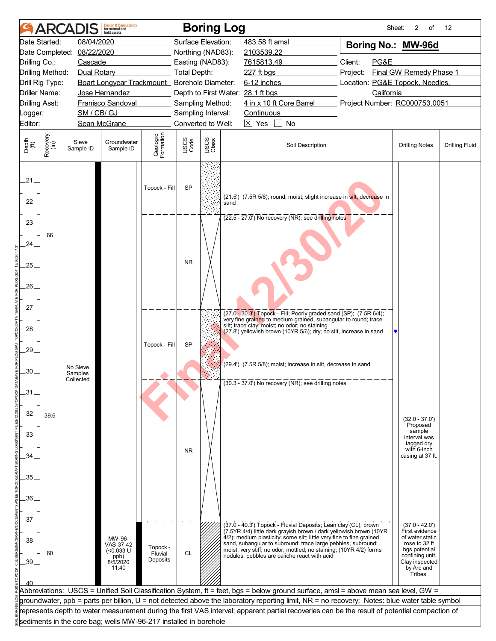|                       |                  | ARCADIS                          | <b>Design &amp; Consultancy</b><br>for natural and<br><b>built</b> assets |                       |                     | <b>Boring Log</b>                        |                                                                                                                                                                                        |                  |          | Sheet:     | 2<br>of                                | 12                    |
|-----------------------|------------------|----------------------------------|---------------------------------------------------------------------------|-----------------------|---------------------|------------------------------------------|----------------------------------------------------------------------------------------------------------------------------------------------------------------------------------------|------------------|----------|------------|----------------------------------------|-----------------------|
|                       | Date Started:    | 08/04/2020                       |                                                                           |                       |                     | Surface Elevation:                       | 483.58 ft amsl                                                                                                                                                                         |                  |          |            | Boring No.: MW-96d                     |                       |
|                       | Date Completed:  | 08/22/2020                       |                                                                           |                       |                     | Northing (NAD83):                        | 2103539.22                                                                                                                                                                             |                  |          |            |                                        |                       |
| Drilling Co.:         |                  | Cascade                          |                                                                           |                       |                     | Easting (NAD83):                         | 7615813.49                                                                                                                                                                             |                  | Client:  | PG&E       |                                        |                       |
|                       | Drilling Method: | Dual Rotary                      |                                                                           |                       | <b>Total Depth:</b> |                                          | $227$ ft bgs                                                                                                                                                                           |                  | Project: |            | Final GW Remedy Phase 1                |                       |
|                       | Drill Rig Type:  |                                  | Boart Longyear Trackmount_ Borehole Diameter:                             |                       |                     |                                          | 6-12 inches                                                                                                                                                                            |                  |          |            | Location: PG&E Topock, Needles,        |                       |
|                       | Driller Name:    |                                  | Jose Hernandez                                                            |                       |                     | Depth to First Water: 28.1 ft bgs        |                                                                                                                                                                                        |                  |          | California |                                        |                       |
| <b>Drilling Asst:</b> |                  |                                  | Franisco Sandoval                                                         |                       |                     | Sampling Method:                         | 4 in x 10 ft Core Barrel                                                                                                                                                               |                  |          |            | Project Number: RC000753.0051          |                       |
| Logger:               |                  | SM / CB/ GJ                      |                                                                           |                       |                     | Sampling Interval:<br>Converted to Well: | Continuous<br>$\boxed{\times}$ Yes                                                                                                                                                     | <b>No</b>        |          |            |                                        |                       |
| Editor:               |                  |                                  | Sean McGrane                                                              |                       |                     |                                          |                                                                                                                                                                                        |                  |          |            |                                        |                       |
| Depth<br>(ft)         | Recovery<br>(in) | Sieve<br>Sample ID               | Groundwater<br>Sample ID                                                  | Geologic<br>Formation | USCS<br>Code        | USCS<br>Class                            |                                                                                                                                                                                        | Soil Description |          |            | <b>Drilling Notes</b>                  | <b>Drilling Fluid</b> |
| 21.<br>$22^{1}$       |                  |                                  |                                                                           | Topock - Fill         | <b>SP</b>           | sand                                     | (21.5') (7.5R 5/6); round; moist; slight increase in silt, decrease in                                                                                                                 |                  |          |            |                                        |                       |
| .23.                  |                  |                                  |                                                                           |                       |                     |                                          | $(22.5 - 27.0)$ No recovery (NR); see drilling notes                                                                                                                                   |                  |          |            |                                        |                       |
| 24.                   | 66               |                                  |                                                                           |                       |                     |                                          |                                                                                                                                                                                        |                  |          |            |                                        |                       |
| .25.                  |                  |                                  |                                                                           |                       | <b>NR</b>           |                                          |                                                                                                                                                                                        |                  |          |            |                                        |                       |
| .26.                  |                  |                                  |                                                                           |                       |                     |                                          |                                                                                                                                                                                        |                  |          |            |                                        |                       |
| 27.                   |                  |                                  |                                                                           |                       |                     |                                          |                                                                                                                                                                                        |                  |          |            |                                        |                       |
| .28.                  |                  |                                  |                                                                           |                       |                     |                                          | (27.0 - 30.3') Topock - Fill; Poorly graded sand (SP); (7.5R 6/4);<br>very fine grained to medium grained, subangular to round; trace<br>silt; trace clay; moist; no odor; no staining |                  |          |            |                                        |                       |
|                       |                  |                                  |                                                                           | Topock - Fill         | <b>SP</b>           |                                          | (27.8') yellowish brown (10YR 5/6); dry; no silt, increase in sand                                                                                                                     |                  |          |            |                                        |                       |
| 29.                   |                  |                                  |                                                                           |                       |                     |                                          |                                                                                                                                                                                        |                  |          |            |                                        |                       |
| .30.                  |                  | No Sieve<br>Samples<br>Collected |                                                                           |                       |                     |                                          | (29.4') (7.5R 5/8); moist; increase in silt, decrease in sand                                                                                                                          |                  |          |            |                                        |                       |
| .31                   |                  |                                  |                                                                           |                       |                     |                                          | (30.3 - 37.0') No recovery (NR); see drilling notes                                                                                                                                    |                  |          |            |                                        |                       |
| 32.                   | 39.6             |                                  |                                                                           |                       |                     |                                          |                                                                                                                                                                                        |                  |          |            |                                        |                       |
| .33.                  |                  |                                  |                                                                           |                       |                     |                                          |                                                                                                                                                                                        |                  |          |            | $(32.0 - 37.0')$<br>Proposed<br>sample |                       |
|                       |                  |                                  |                                                                           |                       |                     |                                          |                                                                                                                                                                                        |                  |          |            | interval was<br>tagged dry             |                       |
| 34.                   |                  |                                  |                                                                           |                       | <b>NR</b>           |                                          |                                                                                                                                                                                        |                  |          |            | with 6-inch<br>casing at 37 ft.        |                       |
|                       |                  |                                  |                                                                           |                       |                     |                                          |                                                                                                                                                                                        |                  |          |            |                                        |                       |
| .35                   |                  |                                  |                                                                           |                       |                     |                                          |                                                                                                                                                                                        |                  |          |            |                                        |                       |
| .36.                  |                  |                                  |                                                                           |                       |                     |                                          |                                                                                                                                                                                        |                  |          |            |                                        |                       |
|                       |                  |                                  |                                                                           |                       |                     |                                          |                                                                                                                                                                                        |                  |          |            |                                        |                       |
| 37                    |                  |                                  |                                                                           |                       |                     |                                          | (37.0 - 40.3') Topock - Fluvial Deposits; Lean clay (CL); brown                                                                                                                        |                  |          |            | $(37.0 - 42.0')$                       |                       |
| .38.                  |                  |                                  | MW-96-                                                                    |                       |                     |                                          | (7.5YR 4/4) little dark grayish brown / dark yellowish brown (10YR<br>4/2); medium plasticity; some silt; little very fine to fine grained                                             |                  |          |            | First evidence<br>of water static      |                       |
|                       | 60               |                                  | VAS-37-42<br>$(< 0.033$ U                                                 | Topock -<br>Fluvial   | <b>CL</b>           |                                          | sand, subangular to subround; trace large pebbles, subround;<br>moist; very stiff; no odor; mottled; no staining; (10YR 4/2) forms                                                     |                  |          |            | rose to 32 ft<br>bgs potential         |                       |
| .39                   |                  |                                  | ppb)<br>8/5/2020                                                          | Deposits              |                     |                                          | nodules, pebbles are caliche react with acid                                                                                                                                           |                  |          |            | confining unit.<br>Clay inspected      |                       |
|                       |                  |                                  | 11:40                                                                     |                       |                     |                                          |                                                                                                                                                                                        |                  |          |            | by Arc and<br>Tribes.                  |                       |
|                       |                  |                                  |                                                                           |                       |                     |                                          |                                                                                                                                                                                        |                  |          |            |                                        |                       |
|                       |                  |                                  |                                                                           |                       |                     |                                          | Abbreviations: USCS = Unified Soil Classification System, ft = feet, bgs = below ground surface, amsl = above mean sea level, GW =                                                     |                  |          |            |                                        |                       |
|                       |                  |                                  |                                                                           |                       |                     |                                          | groundwater, ppb = parts per billion, U = not detected above the laboratory reporting limit, NR = no recovery; Notes: blue water table symbol                                          |                  |          |            |                                        |                       |
|                       |                  |                                  |                                                                           |                       |                     |                                          | represents depth to water measurement during the first VAS interval; apparent partial recoveries can be the result of potential compaction of                                          |                  |          |            |                                        |                       |
|                       |                  |                                  | sediments in the core bag; wells MW-96-217 installed in borehole          |                       |                     |                                          |                                                                                                                                                                                        |                  |          |            |                                        |                       |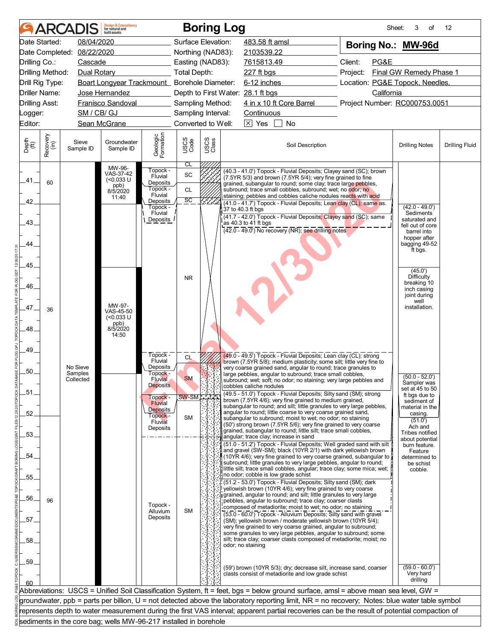|                                  |                  | <b>ARCADIS</b>      | <b>Design &amp; Consultancy</b><br>for natural and<br><b>built</b> assets |                            |                                        |               | <b>Boring Log</b>                                                                                                                              |                                 | Sheet:<br>3<br>of                                   | 12                    |
|----------------------------------|------------------|---------------------|---------------------------------------------------------------------------|----------------------------|----------------------------------------|---------------|------------------------------------------------------------------------------------------------------------------------------------------------|---------------------------------|-----------------------------------------------------|-----------------------|
|                                  | Date Started:    | 08/04/2020          |                                                                           |                            | Surface Elevation:                     |               | 483.58 ft amsl                                                                                                                                 | Boring No.: MW-96d              |                                                     |                       |
|                                  | Date Completed:  | 08/22/2020          |                                                                           |                            | Northing (NAD83):                      |               | 2103539.22                                                                                                                                     |                                 |                                                     |                       |
| Drilling Co.:                    |                  | Cascade             |                                                                           |                            | Easting (NAD83):                       |               | 7615813.49                                                                                                                                     | Client:<br>PG&E                 |                                                     |                       |
|                                  | Drilling Method: | Dual Rotary         |                                                                           |                            | Total Depth:                           |               | 227 ft bgs                                                                                                                                     | Project:                        | Final GW Remedy Phase 1                             |                       |
|                                  | Drill Rig Type:  |                     | Boart Longyear Trackmount_ Borehole Diameter:                             |                            |                                        |               | 6-12 inches                                                                                                                                    | Location: PG&E Topock, Needles, |                                                     |                       |
|                                  | Driller Name:    |                     | Jose Hernandez<br>Franisco Sandoval                                       |                            |                                        |               | Depth to First Water: 28.1 ft bgs                                                                                                              | California                      |                                                     |                       |
| <b>Drilling Asst:</b><br>_ogger: |                  | SM / CB/ GJ         |                                                                           |                            | Sampling Method:<br>Sampling Interval: |               | 4 in x 10 ft Core Barrel<br>Continuous                                                                                                         | Project Number: RC000753.0051   |                                                     |                       |
| Editor:                          |                  |                     | Sean McGrane                                                              |                            | Converted to Well:                     |               | $\boxed{\times}$ Yes<br>No                                                                                                                     |                                 |                                                     |                       |
|                                  |                  |                     |                                                                           |                            |                                        |               |                                                                                                                                                |                                 |                                                     |                       |
| Depth<br>$\bigoplus_{i=1}^{n}$   | Recovery<br>(in) | Sieve<br>Sample ID  | Groundwater<br>Sample ID                                                  | Geologic<br>Formation      | USCS<br>Code                           | USCS<br>Class | Soil Description                                                                                                                               |                                 | <b>Drilling Notes</b>                               | <b>Drilling Fluid</b> |
|                                  |                  |                     | MW-96-<br>VAS-37-42                                                       | Topock -<br>Fluvial        | CL<br>SC                               |               | (40.3 - 41.0 <sup>'</sup> ) Topock - Fluvial Deposits; Clayey sand (SC); brown<br>(7.5YR 5/3) and brown (7.5YR 5/4); very fine grained to fine |                                 |                                                     |                       |
| .41.                             | 60               |                     | $(<0.033$ U<br>ppb)<br>8/5/2020                                           | Deposits<br>Topock -       | <b>CL</b>                              |               | grained, subangular to round; some clay; trace large pebbles,                                                                                  |                                 |                                                     |                       |
|                                  |                  |                     | 11:40                                                                     | Fluvial                    | $\overline{SC}$                        |               | subround; trace small cobbles, subround; wet; no odor; no<br>staining; pebbles and cobbles caliche nodules reacts with acid                    |                                 |                                                     |                       |
| 42.                              |                  |                     |                                                                           | Deposits<br>Topock -       |                                        |               | (41.0 - 41.7') Topock - Fluvial Deposits; Lean clay (CL); same as.<br>37 to 40.3 ft bgs                                                        |                                 | $(42.0 - 49.0')$                                    |                       |
|                                  |                  |                     |                                                                           | Fluvial<br><b>Deposits</b> |                                        |               | (41.7 - 42.0') Topock - Fluvial Deposits; Clayey sand (SC); same                                                                               |                                 | Sediments<br>saturated and                          |                       |
| .43.                             |                  |                     |                                                                           |                            |                                        |               | as 40.3 to 41 ft bgs<br>$(42.0 - 49.0)$ No recovery (NR); see drilling notes                                                                   |                                 | fell out of core<br>barrel into                     |                       |
| 44                               |                  |                     |                                                                           |                            |                                        |               |                                                                                                                                                |                                 | hopper after<br>bagging 49-52                       |                       |
|                                  |                  |                     |                                                                           |                            |                                        |               |                                                                                                                                                |                                 | ft bgs.                                             |                       |
| .45.                             |                  |                     |                                                                           |                            |                                        |               |                                                                                                                                                |                                 |                                                     |                       |
| .46.                             |                  |                     |                                                                           |                            | <b>NR</b>                              |               |                                                                                                                                                |                                 | (45.0')<br>Difficulty<br>breaking 10<br>inch casing |                       |
|                                  |                  |                     | MW-97-                                                                    |                            |                                        |               |                                                                                                                                                |                                 | joint during<br>well                                |                       |
| .47                              | 36               |                     | VAS-45-50<br>$($ < 0.033 U                                                |                            |                                        |               |                                                                                                                                                |                                 | installation.                                       |                       |
| .48                              |                  |                     | ppb)<br>8/5/2020<br>14:50                                                 |                            |                                        |               |                                                                                                                                                |                                 |                                                     |                       |
| .49.                             |                  |                     |                                                                           |                            |                                        |               |                                                                                                                                                |                                 |                                                     |                       |
|                                  |                  |                     |                                                                           | Тороск -<br>Fluvial        | CL                                     |               | (49.0 - 49.5') Topock - Fluvial Deposits; Lean clay (CL); strong<br>brown (7.5YR 5/8); medium plasticity; some silt; little very fine to       |                                 |                                                     |                       |
| .50.                             |                  | No Sieve<br>Samples |                                                                           | Deposits<br>Topock -       |                                        |               | very coarse grained sand, angular to round; trace granules to<br>large pebbles, angular to subround; trace small cobbles,                      |                                 |                                                     |                       |
|                                  |                  | Collected           |                                                                           | Fluvial                    | <b>SM</b>                              |               | subround; wet; soft; no odor; no staining; very large pebbles and                                                                              |                                 | $(50.0 - 52.0')$<br>Sampler was                     |                       |
| .51                              |                  |                     |                                                                           | <b>Deposits</b>            |                                        |               | cobbles caliche nodules<br>(49.5 - 51.0') Topock - Fluvial Deposits; Silty sand (SM); strong                                                   |                                 | set at 45 to 50<br>ft bgs due to                    |                       |
|                                  |                  |                     |                                                                           | Topock -<br>Fluvial        | <b>SW-SML-LILE</b>                     |               | brown (7.5YR 4/6); very fine grained to medium grained,<br>subangular to round; and silt; little granules to very large pebbles,               |                                 | sediment of<br>material in the                      |                       |
| .52.                             |                  |                     |                                                                           | Deposits<br>Topock -       | SM                                     |               | angular to round; little coarse to very coarse grained sand,                                                                                   |                                 | casing.                                             |                       |
|                                  |                  |                     |                                                                           | Fluvial<br>Deposits        |                                        |               | subangular to subround; moist to wet; no odor; no staining<br>(50') strong brown (7.5YR 5/6); very fine grained to very coarse                 |                                 | (51.0')<br>Ach and                                  |                       |
| .53.                             |                  |                     |                                                                           |                            |                                        |               | grained, subangular to round; little silt; trace small cobbles,<br>angular; trace clay; increase in sand                                       |                                 | <b>Tribes notified</b><br>about potential           |                       |
|                                  |                  |                     |                                                                           |                            |                                        |               | (51.0 - 51.2') Topock - Fluvial Deposits; Well graded sand with silt<br>and gravel (SW-SM); black (10YR 2/1) with dark yellowish brown         |                                 | burn feature.<br>Feature                            |                       |
| .54.                             |                  |                     |                                                                           |                            |                                        |               | (10YR 4/6); very fine grained to very coarse grained, subangular to<br>subround; little granules to very large pebbles, angular to round;      |                                 | determined to                                       |                       |
|                                  |                  |                     |                                                                           |                            |                                        |               | little silt; trace small cobbles, angular; trace clay; some mica; wet;                                                                         |                                 | be schist<br>cobble.                                |                       |
| 55.                              |                  |                     |                                                                           |                            |                                        |               | no odor; cobble is low grade schist<br>(51.2 - 53.0') Topock - Fluvial Deposits; Silty sand (SM); dark                                         |                                 |                                                     |                       |
|                                  |                  |                     |                                                                           |                            |                                        |               | yellowish brown (10YR 4/6); very fine grained to very coarse<br>grained, angular to round; and silt; little granules to very large             |                                 |                                                     |                       |
| .56.                             | 96               |                     |                                                                           | Topock -                   |                                        |               | pebbles, angular to subround; trace clay; coarser clasts<br>composed of metadiorite; moist to wet; no odor; no staining                        |                                 |                                                     |                       |
|                                  |                  |                     |                                                                           | Alluvium<br>Deposits       | <b>SM</b>                              |               | (53.0 - 60.0') Topock - Alluvium Deposits; Silty sand with gravel                                                                              |                                 |                                                     |                       |
| .57                              |                  |                     |                                                                           |                            |                                        |               | (SM); yellowish brown / moderate yellowish brown (10YR 5/4);<br>very fine grained to very coarse grained, angular to subround;                 |                                 |                                                     |                       |
| .58.                             |                  |                     |                                                                           |                            |                                        |               | some granules to very large pebbles, angular to subround; some<br>silt; trace clay; coarser clasts composed of metadiorite; moist; no          |                                 |                                                     |                       |
|                                  |                  |                     |                                                                           |                            |                                        |               | odor; no staining                                                                                                                              |                                 |                                                     |                       |
| .59.                             |                  |                     |                                                                           |                            |                                        |               |                                                                                                                                                |                                 |                                                     |                       |
|                                  |                  |                     |                                                                           |                            |                                        |               | (59') brown (10YR 5/3); dry; decrease silt, increase sand, coarser<br>clasts consist of metadiorite and low grade schist                       |                                 | $(59.0 - 60.0')$<br>Very hard                       |                       |
|                                  |                  |                     |                                                                           |                            |                                        |               |                                                                                                                                                |                                 | drilling                                            |                       |
|                                  |                  |                     |                                                                           |                            |                                        |               | Abbreviations: USCS = Unified Soil Classification System, ft = feet, bgs = below ground surface, amsl = above mean sea level, GW =             |                                 |                                                     |                       |
|                                  |                  |                     |                                                                           |                            |                                        |               | groundwater, ppb = parts per billion, U = not detected above the laboratory reporting limit, NR = no recovery; Notes: blue water table symbol  |                                 |                                                     |                       |
|                                  |                  |                     |                                                                           |                            |                                        |               | represents depth to water measurement during the first VAS interval; apparent partial recoveries can be the result of potential compaction of  |                                 |                                                     |                       |
|                                  |                  |                     | sediments in the core bag; wells MW-96-217 installed in borehole          |                            |                                        |               |                                                                                                                                                |                                 |                                                     |                       |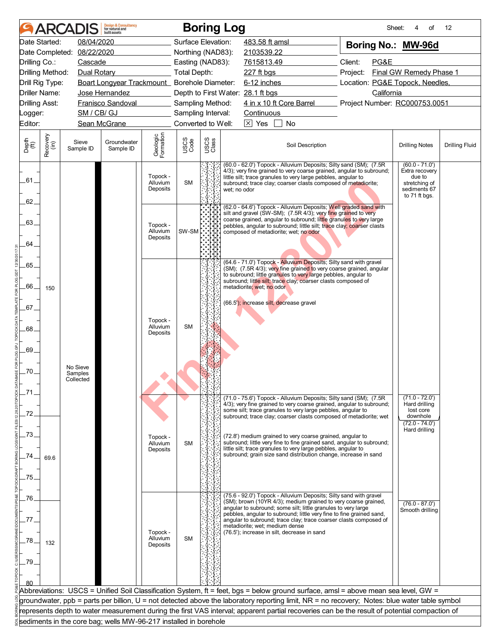|                       |                  |                      | <b>Design &amp; Consultancy</b><br>for natural and<br>huilt assets |                                  |                                        |               | <b>Boring Log</b>                                                                                                                                                                                                                                                             | Sheet:                                                                                                                                                                                                                                                                                                                                                                         | of<br>4                                                    | 12                    |  |  |
|-----------------------|------------------|----------------------|--------------------------------------------------------------------|----------------------------------|----------------------------------------|---------------|-------------------------------------------------------------------------------------------------------------------------------------------------------------------------------------------------------------------------------------------------------------------------------|--------------------------------------------------------------------------------------------------------------------------------------------------------------------------------------------------------------------------------------------------------------------------------------------------------------------------------------------------------------------------------|------------------------------------------------------------|-----------------------|--|--|
|                       | Date Started:    | 08/04/2020           |                                                                    |                                  | Surface Elevation:                     |               | 483.58 ft amsl                                                                                                                                                                                                                                                                | Boring No.: MW-96d                                                                                                                                                                                                                                                                                                                                                             |                                                            |                       |  |  |
| Date Completed:       |                  | 08/22/2020           |                                                                    |                                  | Northing (NAD83):                      |               | 2103539.22                                                                                                                                                                                                                                                                    |                                                                                                                                                                                                                                                                                                                                                                                |                                                            |                       |  |  |
| Drilling Co.:         |                  | Cascade              |                                                                    |                                  | Easting (NAD83):                       |               | 7615813.49                                                                                                                                                                                                                                                                    | Client:<br>PG&E                                                                                                                                                                                                                                                                                                                                                                |                                                            |                       |  |  |
| Drilling Method:      |                  | Dual Rotary          |                                                                    |                                  | <b>Total Depth:</b>                    |               | 227 ft bgs                                                                                                                                                                                                                                                                    | Project:                                                                                                                                                                                                                                                                                                                                                                       | Final GW Remedy Phase 1                                    |                       |  |  |
| Drill Rig Type:       |                  |                      | Boart Longyear Trackmount_ Borehole Diameter:                      |                                  |                                        |               | 6-12 inches                                                                                                                                                                                                                                                                   | Location: PG&E Topock, Needles,                                                                                                                                                                                                                                                                                                                                                |                                                            |                       |  |  |
| Driller Name:         |                  |                      | Jose Hernandez                                                     |                                  |                                        |               | Depth to First Water: 28.1 ft bgs                                                                                                                                                                                                                                             | California                                                                                                                                                                                                                                                                                                                                                                     |                                                            |                       |  |  |
| <b>Drilling Asst:</b> |                  | SM / CB/ GJ          | <b>Franisco Sandoval</b>                                           |                                  | Sampling Method:<br>Sampling Interval: |               | 4 in x 10 ft Core Barrel<br>Continuous                                                                                                                                                                                                                                        | Project Number: RC000753.0051                                                                                                                                                                                                                                                                                                                                                  |                                                            |                       |  |  |
| _ogger:<br>Editor:    |                  |                      | Sean McGrane                                                       |                                  | Converted to Well:                     |               | $\boxed{\times}$ Yes<br>No                                                                                                                                                                                                                                                    |                                                                                                                                                                                                                                                                                                                                                                                |                                                            |                       |  |  |
|                       |                  |                      |                                                                    |                                  |                                        |               |                                                                                                                                                                                                                                                                               |                                                                                                                                                                                                                                                                                                                                                                                |                                                            |                       |  |  |
| Depth<br>(ft)         | Recovery<br>(in) | Sieve<br>Sample ID   | Groundwater<br>Sample ID                                           | Geologic<br>Formation            | USCS<br>Code                           | USCS<br>Class | Soil Description                                                                                                                                                                                                                                                              |                                                                                                                                                                                                                                                                                                                                                                                | <b>Drilling Notes</b>                                      | <b>Drilling Fluid</b> |  |  |
| .61.                  |                  |                      |                                                                    | Topock -<br>Alluvium<br>Deposits | <b>SM</b>                              |               | wet; no odor                                                                                                                                                                                                                                                                  | (60.0 - 62.0') Topock - Alluvium Deposits; Silty sand (SM); (7.5R)<br>$(60.0 - 71.0')$<br>4/3); very fine grained to very coarse grained, angular to subround;<br>Extra recovery<br>due to<br>little silt; trace granules to very large pebbles, angular to<br>stretching of<br>subround; trace clay; coarser clasts composed of metadiorite;<br>sediments 67<br>to 71 ft bgs. |                                                            |                       |  |  |
| 62.                   |                  |                      |                                                                    |                                  |                                        |               | (62.0 - 64.6') Topock - Alluvium Deposits; Well graded sand with<br>silt and gravel (SW-SM); (7.5R 4/3); very fine grained to very                                                                                                                                            |                                                                                                                                                                                                                                                                                                                                                                                |                                                            |                       |  |  |
| 63.                   |                  |                      |                                                                    | Topock -                         |                                        |               | coarse grained, angular to subround; little granules to very large<br>pebbles, angular to subround; little silt; trace clay; coarser clasts                                                                                                                                   |                                                                                                                                                                                                                                                                                                                                                                                |                                                            |                       |  |  |
| 64.                   |                  |                      |                                                                    | Alluvium<br>Deposits             | SW-SM                                  |               | composed of metadiorite; wet; no odor                                                                                                                                                                                                                                         |                                                                                                                                                                                                                                                                                                                                                                                |                                                            |                       |  |  |
| 65.                   |                  |                      |                                                                    |                                  |                                        |               | (64.6 - 71.0') Topock - Alluvium Deposits; Silty sand with gravel<br>(SM); (7.5R 4/3); very fine grained to very coarse grained, angular                                                                                                                                      |                                                                                                                                                                                                                                                                                                                                                                                |                                                            |                       |  |  |
|                       |                  |                      |                                                                    |                                  |                                        |               | to subround; little granules to very large pebbles, angular to<br>subround; little silt; trace clay; coarser clasts composed of                                                                                                                                               |                                                                                                                                                                                                                                                                                                                                                                                |                                                            |                       |  |  |
| 66.                   | 150              |                      |                                                                    |                                  |                                        |               | metadiorite; wet; no odor                                                                                                                                                                                                                                                     |                                                                                                                                                                                                                                                                                                                                                                                |                                                            |                       |  |  |
| .67.                  |                  |                      |                                                                    |                                  |                                        |               | (66.5'); increase silt, decrease gravel                                                                                                                                                                                                                                       |                                                                                                                                                                                                                                                                                                                                                                                |                                                            |                       |  |  |
| .68.                  |                  |                      |                                                                    | Topock -<br>Alluvium<br>Deposits | <b>SM</b>                              |               |                                                                                                                                                                                                                                                                               |                                                                                                                                                                                                                                                                                                                                                                                |                                                            |                       |  |  |
| 69.                   |                  |                      |                                                                    |                                  |                                        |               |                                                                                                                                                                                                                                                                               |                                                                                                                                                                                                                                                                                                                                                                                |                                                            |                       |  |  |
|                       |                  | No Sieve             |                                                                    |                                  |                                        |               |                                                                                                                                                                                                                                                                               |                                                                                                                                                                                                                                                                                                                                                                                |                                                            |                       |  |  |
| .70.                  |                  | Samples<br>Collected |                                                                    |                                  |                                        |               |                                                                                                                                                                                                                                                                               |                                                                                                                                                                                                                                                                                                                                                                                |                                                            |                       |  |  |
|                       |                  |                      |                                                                    |                                  |                                        |               |                                                                                                                                                                                                                                                                               |                                                                                                                                                                                                                                                                                                                                                                                |                                                            |                       |  |  |
| .72.                  |                  |                      |                                                                    |                                  |                                        |               | (71.0 - 75.6') Topock - Alluvium Deposits; Silty sand (SM); (7.5R<br>4/3); very fine grained to very coarse grained, angular to subround;<br>some silt; trace granules to very large pebbles, angular to<br>subround; trace clay; coarser clasts composed of metadiorite; wet |                                                                                                                                                                                                                                                                                                                                                                                | $(71.0 - 72.0')$<br>Hard drilling<br>lost core<br>downhole |                       |  |  |
| 73.                   |                  |                      |                                                                    |                                  |                                        |               |                                                                                                                                                                                                                                                                               |                                                                                                                                                                                                                                                                                                                                                                                | $(72.0 - 74.0')$<br>Hard drilling                          |                       |  |  |
|                       |                  |                      |                                                                    | Topock -<br>Alluvium<br>Deposits | <b>SM</b>                              |               | (72.8') medium grained to very coarse grained, angular to<br>subround; little very fine to fine grained sand, angular to subround;<br>little silt; trace granules to very large pebbles, angular to                                                                           |                                                                                                                                                                                                                                                                                                                                                                                |                                                            |                       |  |  |
| 74                    | 69.6             |                      |                                                                    |                                  |                                        |               | subround; grain size sand distribution change, increase in sand                                                                                                                                                                                                               |                                                                                                                                                                                                                                                                                                                                                                                |                                                            |                       |  |  |
| 75.                   |                  |                      |                                                                    |                                  |                                        |               |                                                                                                                                                                                                                                                                               |                                                                                                                                                                                                                                                                                                                                                                                |                                                            |                       |  |  |
| .76.                  |                  |                      |                                                                    |                                  |                                        |               | (75.6 - 92.0') Topock - Alluvium Deposits; Silty sand with gravel                                                                                                                                                                                                             |                                                                                                                                                                                                                                                                                                                                                                                |                                                            |                       |  |  |
|                       |                  |                      |                                                                    |                                  |                                        |               | (SM); brown (10YR 4/3); medium grained to very coarse grained,<br>angular to subround; some silt; little granules to very large<br>pebbles, angular to subround; little very fine to fine grained sand,                                                                       |                                                                                                                                                                                                                                                                                                                                                                                | $(76.0 - 87.0')$<br>Smooth drilling                        |                       |  |  |
|                       |                  |                      |                                                                    |                                  |                                        |               | angular to subround; trace clay; trace coarser clasts composed of<br>metadiorite; wet; medium dense                                                                                                                                                                           |                                                                                                                                                                                                                                                                                                                                                                                |                                                            |                       |  |  |
| 78                    | 132              |                      |                                                                    | Topock -<br>Alluvium<br>Deposits | <b>SM</b>                              |               | (76.5'); increase in silt, decrease in sand                                                                                                                                                                                                                                   |                                                                                                                                                                                                                                                                                                                                                                                |                                                            |                       |  |  |
| 79.                   |                  |                      |                                                                    |                                  |                                        |               |                                                                                                                                                                                                                                                                               |                                                                                                                                                                                                                                                                                                                                                                                |                                                            |                       |  |  |
|                       |                  |                      |                                                                    |                                  |                                        |               |                                                                                                                                                                                                                                                                               |                                                                                                                                                                                                                                                                                                                                                                                |                                                            |                       |  |  |
|                       |                  |                      |                                                                    |                                  |                                        |               |                                                                                                                                                                                                                                                                               |                                                                                                                                                                                                                                                                                                                                                                                |                                                            |                       |  |  |
|                       |                  |                      |                                                                    |                                  |                                        |               | Abbreviations: USCS = Unified Soil Classification System, ft = feet, bgs = below ground surface, amsl = above mean sea level, GW =                                                                                                                                            |                                                                                                                                                                                                                                                                                                                                                                                |                                                            |                       |  |  |
|                       |                  |                      |                                                                    |                                  |                                        |               | groundwater, ppb = parts per billion, U = not detected above the laboratory reporting limit, NR = no recovery; Notes: blue water table symbol                                                                                                                                 |                                                                                                                                                                                                                                                                                                                                                                                |                                                            |                       |  |  |
|                       |                  |                      | sediments in the core bag; wells MW-96-217 installed in borehole   |                                  |                                        |               | represents depth to water measurement during the first VAS interval; apparent partial recoveries can be the result of potential compaction of                                                                                                                                 |                                                                                                                                                                                                                                                                                                                                                                                |                                                            |                       |  |  |
|                       |                  |                      |                                                                    |                                  |                                        |               |                                                                                                                                                                                                                                                                               |                                                                                                                                                                                                                                                                                                                                                                                |                                                            |                       |  |  |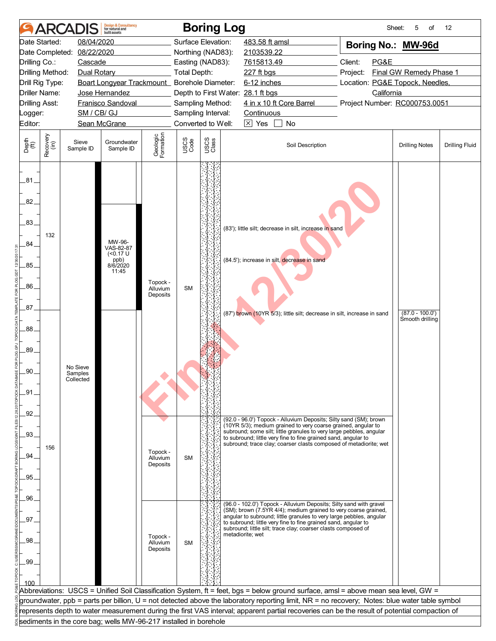| 08/04/2020<br>Surface Elevation:<br>Date Started:<br>483.58 ft amsl<br>Boring No.: MW-96d<br>08/22/2020<br>Date Completed:<br>Northing (NAD83):<br>2103539.22<br>Client:<br>PG&E<br>Drilling Co.:<br>Cascade<br>Easting (NAD83):<br>7615813.49<br>Drilling Method:<br><b>Total Depth:</b><br>Final GW Remedy Phase 1<br>Dual Rotary<br>227 ft bgs<br>Project:<br>Boart Longyear Trackmount_ Borehole Diameter:<br>6-12 inches<br>Location: PG&E Topock, Needles,<br>Drill Rig Type:<br><b>Driller Name:</b><br>California<br>Jose Hernandez<br>Depth to First Water: 28.1 ft bgs<br>4 in x 10 ft Core Barrel<br><b>Drilling Asst:</b><br>Franisco Sandoval<br>Sampling Method:<br>Project Number: RC000753.0051<br>SM / CB/ GJ<br>Sampling Interval:<br>Continuous<br>Logger:<br>Converted to Well:<br>$\boxtimes$ Yes<br>No<br>Sean McGrane<br>Geologic<br>Formation<br>Recovery<br>(in)<br>USCS<br>Class<br>USCS<br>Code<br>Depth<br>(ft)<br>Groundwater<br>Sieve<br>Soil Description<br><b>Drilling Notes</b><br>Sample ID<br>Sample ID<br>.81.<br>82.<br>.83.<br>(83'); little silt; decrease in silt, increase in sand<br>132<br>MW-96-<br>.84<br>VAS-82-87<br>(50.17)<br>ppb)<br>8/6/2020<br>(84.5'); increase in silt, decrease in sand<br>.85.<br>11:45<br>Topock -<br>86.<br><b>SM</b><br>Alluvium<br>Deposits<br>.87.<br>$(87.0 - 100.0')$<br>(87') brown (10YR 5/3); little silt; decrease in silt, increase in sand<br>Smooth drilling<br>.88.<br>89.<br>No Sieve<br>.90.<br>Samples<br>Collected<br>_91<br>.92<br>(92.0 - 96.0') Topock - Alluvium Deposits; Silty sand (SM); brown<br>(10YR 5/3); medium grained to very coarse grained, angular to<br>subround; some silt; little granules to very large pebbles, angular<br>.93.<br>to subround; little very fine to fine grained sand, angular to<br>subround; trace clay; coarser clasts composed of metadiorite; wet<br>156<br>Topock -<br>.94<br><b>SM</b><br>Alluvium<br>Deposits<br>95.<br>.96.<br>(96.0 - 102.0') Topock - Alluvium Deposits; Silty sand with gravel<br>(SM); brown (7.5YR 4/4); medium grained to very coarse grained,<br>angular to subround; little granules to very large pebbles, angular<br>97<br>to subround; little very fine to fine grained sand, angular to<br>subround; little silt; trace clay; coarser clasts composed of<br>metadiorite; wet<br>Topock -<br>98.<br>Alluvium<br><b>SM</b><br>Deposits<br>.99<br>100<br>Abbreviations:  USCS = Unified Soil Classification System, ft = feet, bgs = below ground surface, amsl = above mean sea level, GW =<br>groundwater, ppb = parts per billion, U = not detected above the laboratory reporting limit, NR = no recovery; Notes: blue water table symbol<br>represents depth to water measurement during the first VAS interval; apparent partial recoveries can be the result of potential compaction of |         | <b>AR</b> | <b>Design &amp; Consultancy</b><br>for natural and<br><b>built</b> assets |  | <b>Boring Log</b> |  | Sheet:<br>5<br>οf | 12                    |  |
|-------------------------------------------------------------------------------------------------------------------------------------------------------------------------------------------------------------------------------------------------------------------------------------------------------------------------------------------------------------------------------------------------------------------------------------------------------------------------------------------------------------------------------------------------------------------------------------------------------------------------------------------------------------------------------------------------------------------------------------------------------------------------------------------------------------------------------------------------------------------------------------------------------------------------------------------------------------------------------------------------------------------------------------------------------------------------------------------------------------------------------------------------------------------------------------------------------------------------------------------------------------------------------------------------------------------------------------------------------------------------------------------------------------------------------------------------------------------------------------------------------------------------------------------------------------------------------------------------------------------------------------------------------------------------------------------------------------------------------------------------------------------------------------------------------------------------------------------------------------------------------------------------------------------------------------------------------------------------------------------------------------------------------------------------------------------------------------------------------------------------------------------------------------------------------------------------------------------------------------------------------------------------------------------------------------------------------------------------------------------------------------------------------------------------------------------------------------------------------------------------------------------------------------------------------------------------------------------------------------------------------------------------------------------------------------------------------------------------------------------------------------------------------------------------------------------------------------------------------------------|---------|-----------|---------------------------------------------------------------------------|--|-------------------|--|-------------------|-----------------------|--|
|                                                                                                                                                                                                                                                                                                                                                                                                                                                                                                                                                                                                                                                                                                                                                                                                                                                                                                                                                                                                                                                                                                                                                                                                                                                                                                                                                                                                                                                                                                                                                                                                                                                                                                                                                                                                                                                                                                                                                                                                                                                                                                                                                                                                                                                                                                                                                                                                                                                                                                                                                                                                                                                                                                                                                                                                                                                                   |         |           |                                                                           |  |                   |  |                   |                       |  |
|                                                                                                                                                                                                                                                                                                                                                                                                                                                                                                                                                                                                                                                                                                                                                                                                                                                                                                                                                                                                                                                                                                                                                                                                                                                                                                                                                                                                                                                                                                                                                                                                                                                                                                                                                                                                                                                                                                                                                                                                                                                                                                                                                                                                                                                                                                                                                                                                                                                                                                                                                                                                                                                                                                                                                                                                                                                                   |         |           |                                                                           |  |                   |  |                   |                       |  |
|                                                                                                                                                                                                                                                                                                                                                                                                                                                                                                                                                                                                                                                                                                                                                                                                                                                                                                                                                                                                                                                                                                                                                                                                                                                                                                                                                                                                                                                                                                                                                                                                                                                                                                                                                                                                                                                                                                                                                                                                                                                                                                                                                                                                                                                                                                                                                                                                                                                                                                                                                                                                                                                                                                                                                                                                                                                                   |         |           |                                                                           |  |                   |  |                   |                       |  |
|                                                                                                                                                                                                                                                                                                                                                                                                                                                                                                                                                                                                                                                                                                                                                                                                                                                                                                                                                                                                                                                                                                                                                                                                                                                                                                                                                                                                                                                                                                                                                                                                                                                                                                                                                                                                                                                                                                                                                                                                                                                                                                                                                                                                                                                                                                                                                                                                                                                                                                                                                                                                                                                                                                                                                                                                                                                                   |         |           |                                                                           |  |                   |  |                   |                       |  |
|                                                                                                                                                                                                                                                                                                                                                                                                                                                                                                                                                                                                                                                                                                                                                                                                                                                                                                                                                                                                                                                                                                                                                                                                                                                                                                                                                                                                                                                                                                                                                                                                                                                                                                                                                                                                                                                                                                                                                                                                                                                                                                                                                                                                                                                                                                                                                                                                                                                                                                                                                                                                                                                                                                                                                                                                                                                                   |         |           |                                                                           |  |                   |  |                   |                       |  |
|                                                                                                                                                                                                                                                                                                                                                                                                                                                                                                                                                                                                                                                                                                                                                                                                                                                                                                                                                                                                                                                                                                                                                                                                                                                                                                                                                                                                                                                                                                                                                                                                                                                                                                                                                                                                                                                                                                                                                                                                                                                                                                                                                                                                                                                                                                                                                                                                                                                                                                                                                                                                                                                                                                                                                                                                                                                                   |         |           |                                                                           |  |                   |  |                   |                       |  |
|                                                                                                                                                                                                                                                                                                                                                                                                                                                                                                                                                                                                                                                                                                                                                                                                                                                                                                                                                                                                                                                                                                                                                                                                                                                                                                                                                                                                                                                                                                                                                                                                                                                                                                                                                                                                                                                                                                                                                                                                                                                                                                                                                                                                                                                                                                                                                                                                                                                                                                                                                                                                                                                                                                                                                                                                                                                                   |         |           |                                                                           |  |                   |  |                   |                       |  |
|                                                                                                                                                                                                                                                                                                                                                                                                                                                                                                                                                                                                                                                                                                                                                                                                                                                                                                                                                                                                                                                                                                                                                                                                                                                                                                                                                                                                                                                                                                                                                                                                                                                                                                                                                                                                                                                                                                                                                                                                                                                                                                                                                                                                                                                                                                                                                                                                                                                                                                                                                                                                                                                                                                                                                                                                                                                                   | Editor: |           |                                                                           |  |                   |  |                   |                       |  |
|                                                                                                                                                                                                                                                                                                                                                                                                                                                                                                                                                                                                                                                                                                                                                                                                                                                                                                                                                                                                                                                                                                                                                                                                                                                                                                                                                                                                                                                                                                                                                                                                                                                                                                                                                                                                                                                                                                                                                                                                                                                                                                                                                                                                                                                                                                                                                                                                                                                                                                                                                                                                                                                                                                                                                                                                                                                                   |         |           |                                                                           |  |                   |  |                   |                       |  |
|                                                                                                                                                                                                                                                                                                                                                                                                                                                                                                                                                                                                                                                                                                                                                                                                                                                                                                                                                                                                                                                                                                                                                                                                                                                                                                                                                                                                                                                                                                                                                                                                                                                                                                                                                                                                                                                                                                                                                                                                                                                                                                                                                                                                                                                                                                                                                                                                                                                                                                                                                                                                                                                                                                                                                                                                                                                                   |         |           |                                                                           |  |                   |  |                   | <b>Drilling Fluid</b> |  |
|                                                                                                                                                                                                                                                                                                                                                                                                                                                                                                                                                                                                                                                                                                                                                                                                                                                                                                                                                                                                                                                                                                                                                                                                                                                                                                                                                                                                                                                                                                                                                                                                                                                                                                                                                                                                                                                                                                                                                                                                                                                                                                                                                                                                                                                                                                                                                                                                                                                                                                                                                                                                                                                                                                                                                                                                                                                                   |         |           |                                                                           |  |                   |  |                   |                       |  |
|                                                                                                                                                                                                                                                                                                                                                                                                                                                                                                                                                                                                                                                                                                                                                                                                                                                                                                                                                                                                                                                                                                                                                                                                                                                                                                                                                                                                                                                                                                                                                                                                                                                                                                                                                                                                                                                                                                                                                                                                                                                                                                                                                                                                                                                                                                                                                                                                                                                                                                                                                                                                                                                                                                                                                                                                                                                                   |         |           |                                                                           |  |                   |  |                   |                       |  |
|                                                                                                                                                                                                                                                                                                                                                                                                                                                                                                                                                                                                                                                                                                                                                                                                                                                                                                                                                                                                                                                                                                                                                                                                                                                                                                                                                                                                                                                                                                                                                                                                                                                                                                                                                                                                                                                                                                                                                                                                                                                                                                                                                                                                                                                                                                                                                                                                                                                                                                                                                                                                                                                                                                                                                                                                                                                                   |         |           |                                                                           |  |                   |  |                   |                       |  |
|                                                                                                                                                                                                                                                                                                                                                                                                                                                                                                                                                                                                                                                                                                                                                                                                                                                                                                                                                                                                                                                                                                                                                                                                                                                                                                                                                                                                                                                                                                                                                                                                                                                                                                                                                                                                                                                                                                                                                                                                                                                                                                                                                                                                                                                                                                                                                                                                                                                                                                                                                                                                                                                                                                                                                                                                                                                                   |         |           |                                                                           |  |                   |  |                   |                       |  |
|                                                                                                                                                                                                                                                                                                                                                                                                                                                                                                                                                                                                                                                                                                                                                                                                                                                                                                                                                                                                                                                                                                                                                                                                                                                                                                                                                                                                                                                                                                                                                                                                                                                                                                                                                                                                                                                                                                                                                                                                                                                                                                                                                                                                                                                                                                                                                                                                                                                                                                                                                                                                                                                                                                                                                                                                                                                                   |         |           |                                                                           |  |                   |  |                   |                       |  |
|                                                                                                                                                                                                                                                                                                                                                                                                                                                                                                                                                                                                                                                                                                                                                                                                                                                                                                                                                                                                                                                                                                                                                                                                                                                                                                                                                                                                                                                                                                                                                                                                                                                                                                                                                                                                                                                                                                                                                                                                                                                                                                                                                                                                                                                                                                                                                                                                                                                                                                                                                                                                                                                                                                                                                                                                                                                                   |         |           |                                                                           |  |                   |  |                   |                       |  |
|                                                                                                                                                                                                                                                                                                                                                                                                                                                                                                                                                                                                                                                                                                                                                                                                                                                                                                                                                                                                                                                                                                                                                                                                                                                                                                                                                                                                                                                                                                                                                                                                                                                                                                                                                                                                                                                                                                                                                                                                                                                                                                                                                                                                                                                                                                                                                                                                                                                                                                                                                                                                                                                                                                                                                                                                                                                                   |         |           |                                                                           |  |                   |  |                   |                       |  |
| sediments in the core bag; wells MW-96-217 installed in borehole                                                                                                                                                                                                                                                                                                                                                                                                                                                                                                                                                                                                                                                                                                                                                                                                                                                                                                                                                                                                                                                                                                                                                                                                                                                                                                                                                                                                                                                                                                                                                                                                                                                                                                                                                                                                                                                                                                                                                                                                                                                                                                                                                                                                                                                                                                                                                                                                                                                                                                                                                                                                                                                                                                                                                                                                  |         |           |                                                                           |  |                   |  |                   |                       |  |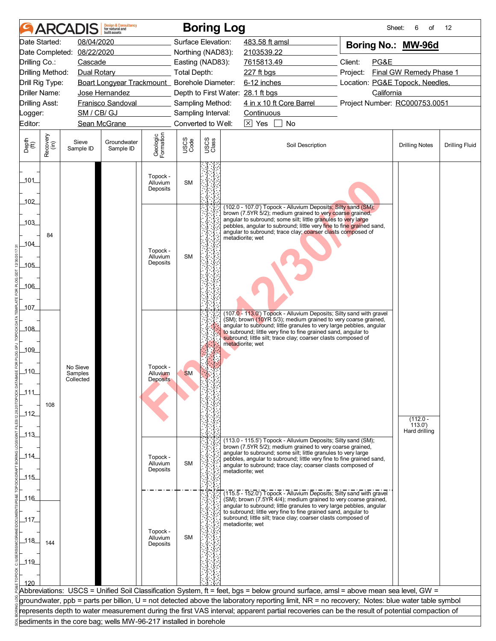|                       | <b>ARCA</b>          |                     | <b>Design &amp; Consultancy</b><br>for natural and<br>built assets |                                  |                     |               | <b>Boring Log</b>                                                                                                                             | Sheet:                          | 6<br>of                 | 12                    |
|-----------------------|----------------------|---------------------|--------------------------------------------------------------------|----------------------------------|---------------------|---------------|-----------------------------------------------------------------------------------------------------------------------------------------------|---------------------------------|-------------------------|-----------------------|
|                       | Date Started:        | 08/04/2020          |                                                                    |                                  | Surface Elevation:  |               | 483.58 ft amsl                                                                                                                                | Boring No.: MW-96d              |                         |                       |
|                       | Date Completed:      | 08/22/2020          |                                                                    |                                  | Northing (NAD83):   |               | 2103539.22                                                                                                                                    |                                 |                         |                       |
| Drilling Co.:         |                      | Cascade             |                                                                    |                                  | Easting (NAD83):    |               | 7615813.49                                                                                                                                    | Client:<br>PG&E                 |                         |                       |
|                       | Drilling Method:     | Dual Rotary         |                                                                    |                                  | <b>Total Depth:</b> |               | 227 ft bgs                                                                                                                                    | Project:                        | Final GW Remedy Phase 1 |                       |
|                       | Drill Rig Type:      |                     | Boart Longyear Trackmount_ Borehole Diameter:                      |                                  |                     |               | 6-12 inches                                                                                                                                   | Location: PG&E Topock, Needles, |                         |                       |
|                       | <b>Driller Name:</b> |                     | Jose Hernandez                                                     |                                  |                     |               | Depth to First Water: 28.1 ft bgs                                                                                                             | California                      |                         |                       |
| <b>Drilling Asst:</b> |                      |                     | Franisco Sandoval                                                  |                                  | Sampling Method:    |               | 4 in x 10 ft Core Barrel                                                                                                                      | Project Number: RC000753.0051   |                         |                       |
| _ogger:               |                      | SM / CB/ GJ         |                                                                    |                                  | Sampling Interval:  |               | Continuous                                                                                                                                    |                                 |                         |                       |
| Editor:               |                      |                     | Sean McGrane                                                       |                                  | Converted to Well:  |               | $\boxed{\times}$ Yes<br>No                                                                                                                    |                                 |                         |                       |
| Depth<br>(ft)         | Recovery<br>(in)     | Sieve<br>Sample ID  | Groundwater<br>Sample ID                                           | Geologic<br>Formation            | USCS<br>Code        | USCS<br>Class | Soil Description                                                                                                                              |                                 | <b>Drilling Notes</b>   | <b>Drilling Fluid</b> |
| 101                   |                      |                     |                                                                    | Topock -<br>Alluvium<br>Deposits | <b>SM</b>           |               |                                                                                                                                               |                                 |                         |                       |
| 102                   |                      |                     |                                                                    |                                  |                     |               | (102.0 - 107.0') Topock - Alluvium Deposits; Silty sand (SM);                                                                                 |                                 |                         |                       |
|                       |                      |                     |                                                                    |                                  |                     |               | brown (7.5YR 5/2); medium grained to very coarse grained,<br>angular to subround; some silt; little granules to very large                    |                                 |                         |                       |
| 103                   |                      |                     |                                                                    |                                  |                     |               | pebbles, angular to subround; little very fine to fine grained sand,                                                                          |                                 |                         |                       |
|                       | 84                   |                     |                                                                    |                                  |                     |               | angular to subround; trace clay; coarser clasts composed of<br>metadiorite; wet                                                               |                                 |                         |                       |
| 104                   |                      |                     |                                                                    | Topock -                         |                     |               |                                                                                                                                               |                                 |                         |                       |
|                       |                      |                     |                                                                    | Alluvium<br>Deposits             | <b>SM</b>           |               |                                                                                                                                               |                                 |                         |                       |
| $-105$                |                      |                     |                                                                    |                                  |                     |               |                                                                                                                                               |                                 |                         |                       |
|                       |                      |                     |                                                                    |                                  |                     |               |                                                                                                                                               |                                 |                         |                       |
| _106_                 |                      |                     |                                                                    |                                  |                     |               |                                                                                                                                               |                                 |                         |                       |
| 107                   |                      |                     |                                                                    |                                  |                     |               |                                                                                                                                               |                                 |                         |                       |
|                       |                      |                     |                                                                    |                                  |                     |               | (107.0 - 113.0') Topock - Alluvium Deposits; Silty sand with gravel<br>(SM); brown (10YR 5/3); medium grained to very coarse grained,         |                                 |                         |                       |
| _108_                 |                      |                     |                                                                    |                                  |                     |               | angular to subround; little granules to very large pebbles, angular                                                                           |                                 |                         |                       |
|                       |                      |                     |                                                                    |                                  |                     |               | to subround; little very fine to fine grained sand, angular to<br>subround; little silt; trace clay; coarser clasts composed of               |                                 |                         |                       |
| 109                   |                      |                     |                                                                    |                                  |                     |               | metadiorite; wet                                                                                                                              |                                 |                         |                       |
|                       |                      |                     |                                                                    |                                  |                     |               |                                                                                                                                               |                                 |                         |                       |
| $-110$                |                      | No Sieve<br>Samples |                                                                    | Topock -<br>Alluvium             | <b>SM</b>           |               |                                                                                                                                               |                                 |                         |                       |
|                       |                      | Collected           |                                                                    | <b>Deposits</b>                  |                     |               |                                                                                                                                               |                                 |                         |                       |
| 111                   |                      |                     |                                                                    |                                  |                     |               |                                                                                                                                               |                                 |                         |                       |
|                       | 108                  |                     |                                                                    |                                  |                     |               |                                                                                                                                               |                                 |                         |                       |
| 112                   |                      |                     |                                                                    |                                  |                     |               |                                                                                                                                               |                                 | $(112.0 -$              |                       |
|                       |                      |                     |                                                                    |                                  |                     |               |                                                                                                                                               |                                 | (113.0')                |                       |
| $-113$                |                      |                     |                                                                    |                                  |                     |               | (113.0 - 115.5') Topock - Alluvium Deposits; Silty sand (SM);                                                                                 |                                 | Hard drilling           |                       |
|                       |                      |                     |                                                                    |                                  |                     |               | brown (7.5YR 5/2); medium grained to very coarse grained,<br>angular to subround; some silt; little granules to very large                    |                                 |                         |                       |
| $-114$                |                      |                     |                                                                    | Topock -<br>Alluvium             | <b>SM</b>           |               | pebbles, angular to subround; little very fine to fine grained sand,                                                                          |                                 |                         |                       |
|                       |                      |                     |                                                                    | Deposits                         |                     |               | angular to subround; trace clay; coarser clasts composed of<br>metadiorite; wet                                                               |                                 |                         |                       |
| $-115$                |                      |                     |                                                                    |                                  |                     |               |                                                                                                                                               |                                 |                         |                       |
|                       |                      |                     |                                                                    |                                  |                     |               | (115.5 - 152.0') Topock - Alluvium Deposits; Silty sand with gravel                                                                           |                                 |                         |                       |
| 116                   |                      |                     |                                                                    |                                  |                     |               | (SM); brown (7.5YR 4/4); medium grained to very coarse grained,<br>angular to subround; little granules to very large pebbles, angular        |                                 |                         |                       |
| _117.                 |                      |                     |                                                                    |                                  |                     |               | to subround; little very fine to fine grained sand, angular to<br>subround; little silt; trace clay; coarser clasts composed of               |                                 |                         |                       |
|                       |                      |                     |                                                                    |                                  |                     |               | metadiorite; wet                                                                                                                              |                                 |                         |                       |
| 118                   |                      |                     |                                                                    | Topock -<br>Alluvium             | <b>SM</b>           |               |                                                                                                                                               |                                 |                         |                       |
|                       | 144                  |                     |                                                                    | Deposits                         |                     |               |                                                                                                                                               |                                 |                         |                       |
| $-119$                |                      |                     |                                                                    |                                  |                     |               |                                                                                                                                               |                                 |                         |                       |
|                       |                      |                     |                                                                    |                                  |                     |               |                                                                                                                                               |                                 |                         |                       |
| 120                   |                      |                     |                                                                    |                                  |                     |               |                                                                                                                                               |                                 |                         |                       |
|                       |                      |                     |                                                                    |                                  |                     |               | Abbreviations:  USCS = Unified Soil Classification System, ft = feet, bgs = below ground surface, amsl = above mean sea level, GW =           |                                 |                         |                       |
|                       |                      |                     |                                                                    |                                  |                     |               | groundwater, ppb = parts per billion, U = not detected above the laboratory reporting limit, NR = no recovery; Notes: blue water table symbol |                                 |                         |                       |
|                       |                      |                     |                                                                    |                                  |                     |               | represents depth to water measurement during the first VAS interval; apparent partial recoveries can be the result of potential compaction of |                                 |                         |                       |
|                       |                      |                     | sediments in the core bag; wells MW-96-217 installed in borehole   |                                  |                     |               |                                                                                                                                               |                                 |                         |                       |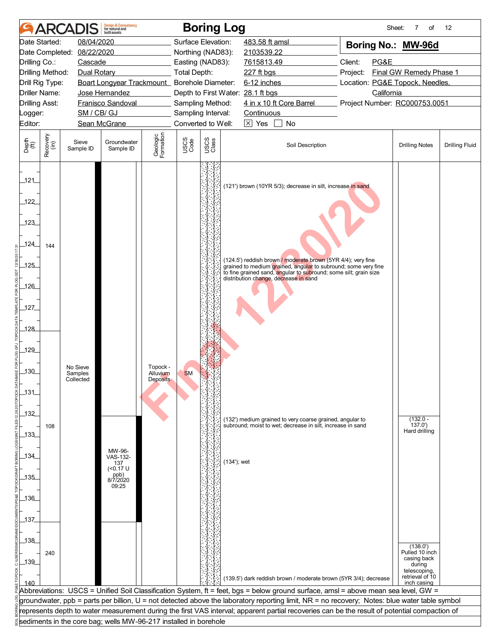| 08/04/2020<br>Surface Elevation:<br>Date Started:<br>483.58 ft amsl<br>Boring No.: MW-96d<br>08/22/2020<br>Date Completed:<br>Northing (NAD83):<br>2103539.22<br>Client:<br>PG&E<br>Drilling Co.:<br>Cascade<br>Easting (NAD83):<br>7615813.49<br><b>Total Depth:</b><br>Final GW Remedy Phase 1<br>Drilling Method:<br>Dual Rotary<br>227 ft bgs<br>Project:<br>Boart Longyear Trackmount_ Borehole Diameter:<br>6-12 inches<br>Location: PG&E Topock, Needles,<br>Drill Rig Type:<br><b>Driller Name:</b><br>California<br>Jose Hernandez<br>Depth to First Water: 28.1 ft bgs<br>4 in x 10 ft Core Barrel<br>Project Number: RC000753.0051<br><b>Drilling Asst:</b><br>Franisco Sandoval<br>Sampling Method:<br>SM / CB/ GJ<br>Sampling Interval:<br>Continuous<br>Logger:<br>Converted to Well:<br>$\boxtimes$ Yes<br>No<br>Editor:<br>Sean McGrane<br>Geologic<br>Formation<br>Recovery<br>(in)<br>USCS<br>Class<br>USCS<br>Code<br>Depth<br>(ft)<br>Sieve<br>Groundwater<br>Soil Description<br><b>Drilling Notes</b><br>Sample ID<br>Sample ID<br>121<br>(121') brown (10YR 5/3); decrease in silt, increase in sand<br>122<br>123<br>124<br>144<br>(124.5') reddish brown / moderate brown (5YR 4/4); very fine<br>125<br>grained to medium grained, angular to subround; some very fine<br>to fine grained sand, angular to subround; some silt; grain size<br>distribution change, decrease in sand<br>126<br>127<br>128<br>129<br>Topock -<br>No Sieve<br>_130_<br><b>SM</b><br>Samples<br>Alluvium<br>Collected<br><b>Deposits</b><br>131<br>$132$<br>$(132.0 -$<br>(132') medium grained to very coarse grained, angular to<br>subround; moist to wet; decrease in silt, increase in sand<br>137.0'<br>108<br>Hard drilling<br>$133$<br>MW-96-<br>134<br>VAS-132-<br>$(134')$ ; wet<br>137<br>(<0.17 U<br>ppb)<br>8/7/2020<br>135<br>09:25<br>$-136$<br>137<br>138<br>(138.0')<br>Pulled 10 inch<br>240<br>casing back<br>$-139$<br>during<br>telescoping,<br>retrieval of 10<br>(139.5') dark reddish brown / moderate brown (5YR 3/4); decrease<br>140<br>inch casing<br>Abbreviations: USCS = Unified Soil Classification System, ft = feet, bgs = below ground surface, amsl = above mean sea level, GW =<br>groundwater, ppb = parts per billion, U = not detected above the laboratory reporting limit, NR = no recovery; Notes: blue water table symbol<br>represents depth to water measurement during the first VAS interval; apparent partial recoveries can be the result of potential compaction of<br>sediments in the core bag; wells MW-96-217 installed in borehole |  | <b>ARCADIS</b> | <b>Design &amp; Consultancy</b><br>for natural and<br><b>built</b> assets |  | <b>Boring Log</b> |  | Sheet:<br>7<br>of | 12                    |
|--------------------------------------------------------------------------------------------------------------------------------------------------------------------------------------------------------------------------------------------------------------------------------------------------------------------------------------------------------------------------------------------------------------------------------------------------------------------------------------------------------------------------------------------------------------------------------------------------------------------------------------------------------------------------------------------------------------------------------------------------------------------------------------------------------------------------------------------------------------------------------------------------------------------------------------------------------------------------------------------------------------------------------------------------------------------------------------------------------------------------------------------------------------------------------------------------------------------------------------------------------------------------------------------------------------------------------------------------------------------------------------------------------------------------------------------------------------------------------------------------------------------------------------------------------------------------------------------------------------------------------------------------------------------------------------------------------------------------------------------------------------------------------------------------------------------------------------------------------------------------------------------------------------------------------------------------------------------------------------------------------------------------------------------------------------------------------------------------------------------------------------------------------------------------------------------------------------------------------------------------------------------------------------------------------------------------------------------------------------------------------------------------------------------------------------------------------------------------------------------------------------------------------------------------------------------------------------------------|--|----------------|---------------------------------------------------------------------------|--|-------------------|--|-------------------|-----------------------|
|                                                                                                                                                                                                                                                                                                                                                                                                                                                                                                                                                                                                                                                                                                                                                                                                                                                                                                                                                                                                                                                                                                                                                                                                                                                                                                                                                                                                                                                                                                                                                                                                                                                                                                                                                                                                                                                                                                                                                                                                                                                                                                                                                                                                                                                                                                                                                                                                                                                                                                                                                                                                  |  |                |                                                                           |  |                   |  |                   |                       |
|                                                                                                                                                                                                                                                                                                                                                                                                                                                                                                                                                                                                                                                                                                                                                                                                                                                                                                                                                                                                                                                                                                                                                                                                                                                                                                                                                                                                                                                                                                                                                                                                                                                                                                                                                                                                                                                                                                                                                                                                                                                                                                                                                                                                                                                                                                                                                                                                                                                                                                                                                                                                  |  |                |                                                                           |  |                   |  |                   |                       |
|                                                                                                                                                                                                                                                                                                                                                                                                                                                                                                                                                                                                                                                                                                                                                                                                                                                                                                                                                                                                                                                                                                                                                                                                                                                                                                                                                                                                                                                                                                                                                                                                                                                                                                                                                                                                                                                                                                                                                                                                                                                                                                                                                                                                                                                                                                                                                                                                                                                                                                                                                                                                  |  |                |                                                                           |  |                   |  |                   |                       |
|                                                                                                                                                                                                                                                                                                                                                                                                                                                                                                                                                                                                                                                                                                                                                                                                                                                                                                                                                                                                                                                                                                                                                                                                                                                                                                                                                                                                                                                                                                                                                                                                                                                                                                                                                                                                                                                                                                                                                                                                                                                                                                                                                                                                                                                                                                                                                                                                                                                                                                                                                                                                  |  |                |                                                                           |  |                   |  |                   |                       |
|                                                                                                                                                                                                                                                                                                                                                                                                                                                                                                                                                                                                                                                                                                                                                                                                                                                                                                                                                                                                                                                                                                                                                                                                                                                                                                                                                                                                                                                                                                                                                                                                                                                                                                                                                                                                                                                                                                                                                                                                                                                                                                                                                                                                                                                                                                                                                                                                                                                                                                                                                                                                  |  |                |                                                                           |  |                   |  |                   |                       |
|                                                                                                                                                                                                                                                                                                                                                                                                                                                                                                                                                                                                                                                                                                                                                                                                                                                                                                                                                                                                                                                                                                                                                                                                                                                                                                                                                                                                                                                                                                                                                                                                                                                                                                                                                                                                                                                                                                                                                                                                                                                                                                                                                                                                                                                                                                                                                                                                                                                                                                                                                                                                  |  |                |                                                                           |  |                   |  |                   |                       |
|                                                                                                                                                                                                                                                                                                                                                                                                                                                                                                                                                                                                                                                                                                                                                                                                                                                                                                                                                                                                                                                                                                                                                                                                                                                                                                                                                                                                                                                                                                                                                                                                                                                                                                                                                                                                                                                                                                                                                                                                                                                                                                                                                                                                                                                                                                                                                                                                                                                                                                                                                                                                  |  |                |                                                                           |  |                   |  |                   |                       |
|                                                                                                                                                                                                                                                                                                                                                                                                                                                                                                                                                                                                                                                                                                                                                                                                                                                                                                                                                                                                                                                                                                                                                                                                                                                                                                                                                                                                                                                                                                                                                                                                                                                                                                                                                                                                                                                                                                                                                                                                                                                                                                                                                                                                                                                                                                                                                                                                                                                                                                                                                                                                  |  |                |                                                                           |  |                   |  |                   |                       |
|                                                                                                                                                                                                                                                                                                                                                                                                                                                                                                                                                                                                                                                                                                                                                                                                                                                                                                                                                                                                                                                                                                                                                                                                                                                                                                                                                                                                                                                                                                                                                                                                                                                                                                                                                                                                                                                                                                                                                                                                                                                                                                                                                                                                                                                                                                                                                                                                                                                                                                                                                                                                  |  |                |                                                                           |  |                   |  |                   |                       |
|                                                                                                                                                                                                                                                                                                                                                                                                                                                                                                                                                                                                                                                                                                                                                                                                                                                                                                                                                                                                                                                                                                                                                                                                                                                                                                                                                                                                                                                                                                                                                                                                                                                                                                                                                                                                                                                                                                                                                                                                                                                                                                                                                                                                                                                                                                                                                                                                                                                                                                                                                                                                  |  |                |                                                                           |  |                   |  |                   | <b>Drilling Fluid</b> |
|                                                                                                                                                                                                                                                                                                                                                                                                                                                                                                                                                                                                                                                                                                                                                                                                                                                                                                                                                                                                                                                                                                                                                                                                                                                                                                                                                                                                                                                                                                                                                                                                                                                                                                                                                                                                                                                                                                                                                                                                                                                                                                                                                                                                                                                                                                                                                                                                                                                                                                                                                                                                  |  |                |                                                                           |  |                   |  |                   |                       |
|                                                                                                                                                                                                                                                                                                                                                                                                                                                                                                                                                                                                                                                                                                                                                                                                                                                                                                                                                                                                                                                                                                                                                                                                                                                                                                                                                                                                                                                                                                                                                                                                                                                                                                                                                                                                                                                                                                                                                                                                                                                                                                                                                                                                                                                                                                                                                                                                                                                                                                                                                                                                  |  |                |                                                                           |  |                   |  |                   |                       |
|                                                                                                                                                                                                                                                                                                                                                                                                                                                                                                                                                                                                                                                                                                                                                                                                                                                                                                                                                                                                                                                                                                                                                                                                                                                                                                                                                                                                                                                                                                                                                                                                                                                                                                                                                                                                                                                                                                                                                                                                                                                                                                                                                                                                                                                                                                                                                                                                                                                                                                                                                                                                  |  |                |                                                                           |  |                   |  |                   |                       |
|                                                                                                                                                                                                                                                                                                                                                                                                                                                                                                                                                                                                                                                                                                                                                                                                                                                                                                                                                                                                                                                                                                                                                                                                                                                                                                                                                                                                                                                                                                                                                                                                                                                                                                                                                                                                                                                                                                                                                                                                                                                                                                                                                                                                                                                                                                                                                                                                                                                                                                                                                                                                  |  |                |                                                                           |  |                   |  |                   |                       |
|                                                                                                                                                                                                                                                                                                                                                                                                                                                                                                                                                                                                                                                                                                                                                                                                                                                                                                                                                                                                                                                                                                                                                                                                                                                                                                                                                                                                                                                                                                                                                                                                                                                                                                                                                                                                                                                                                                                                                                                                                                                                                                                                                                                                                                                                                                                                                                                                                                                                                                                                                                                                  |  |                |                                                                           |  |                   |  |                   |                       |
|                                                                                                                                                                                                                                                                                                                                                                                                                                                                                                                                                                                                                                                                                                                                                                                                                                                                                                                                                                                                                                                                                                                                                                                                                                                                                                                                                                                                                                                                                                                                                                                                                                                                                                                                                                                                                                                                                                                                                                                                                                                                                                                                                                                                                                                                                                                                                                                                                                                                                                                                                                                                  |  |                |                                                                           |  |                   |  |                   |                       |
|                                                                                                                                                                                                                                                                                                                                                                                                                                                                                                                                                                                                                                                                                                                                                                                                                                                                                                                                                                                                                                                                                                                                                                                                                                                                                                                                                                                                                                                                                                                                                                                                                                                                                                                                                                                                                                                                                                                                                                                                                                                                                                                                                                                                                                                                                                                                                                                                                                                                                                                                                                                                  |  |                |                                                                           |  |                   |  |                   |                       |
|                                                                                                                                                                                                                                                                                                                                                                                                                                                                                                                                                                                                                                                                                                                                                                                                                                                                                                                                                                                                                                                                                                                                                                                                                                                                                                                                                                                                                                                                                                                                                                                                                                                                                                                                                                                                                                                                                                                                                                                                                                                                                                                                                                                                                                                                                                                                                                                                                                                                                                                                                                                                  |  |                |                                                                           |  |                   |  |                   |                       |
|                                                                                                                                                                                                                                                                                                                                                                                                                                                                                                                                                                                                                                                                                                                                                                                                                                                                                                                                                                                                                                                                                                                                                                                                                                                                                                                                                                                                                                                                                                                                                                                                                                                                                                                                                                                                                                                                                                                                                                                                                                                                                                                                                                                                                                                                                                                                                                                                                                                                                                                                                                                                  |  |                |                                                                           |  |                   |  |                   |                       |
|                                                                                                                                                                                                                                                                                                                                                                                                                                                                                                                                                                                                                                                                                                                                                                                                                                                                                                                                                                                                                                                                                                                                                                                                                                                                                                                                                                                                                                                                                                                                                                                                                                                                                                                                                                                                                                                                                                                                                                                                                                                                                                                                                                                                                                                                                                                                                                                                                                                                                                                                                                                                  |  |                |                                                                           |  |                   |  |                   |                       |
|                                                                                                                                                                                                                                                                                                                                                                                                                                                                                                                                                                                                                                                                                                                                                                                                                                                                                                                                                                                                                                                                                                                                                                                                                                                                                                                                                                                                                                                                                                                                                                                                                                                                                                                                                                                                                                                                                                                                                                                                                                                                                                                                                                                                                                                                                                                                                                                                                                                                                                                                                                                                  |  |                |                                                                           |  |                   |  |                   |                       |
|                                                                                                                                                                                                                                                                                                                                                                                                                                                                                                                                                                                                                                                                                                                                                                                                                                                                                                                                                                                                                                                                                                                                                                                                                                                                                                                                                                                                                                                                                                                                                                                                                                                                                                                                                                                                                                                                                                                                                                                                                                                                                                                                                                                                                                                                                                                                                                                                                                                                                                                                                                                                  |  |                |                                                                           |  |                   |  |                   |                       |
|                                                                                                                                                                                                                                                                                                                                                                                                                                                                                                                                                                                                                                                                                                                                                                                                                                                                                                                                                                                                                                                                                                                                                                                                                                                                                                                                                                                                                                                                                                                                                                                                                                                                                                                                                                                                                                                                                                                                                                                                                                                                                                                                                                                                                                                                                                                                                                                                                                                                                                                                                                                                  |  |                |                                                                           |  |                   |  |                   |                       |
|                                                                                                                                                                                                                                                                                                                                                                                                                                                                                                                                                                                                                                                                                                                                                                                                                                                                                                                                                                                                                                                                                                                                                                                                                                                                                                                                                                                                                                                                                                                                                                                                                                                                                                                                                                                                                                                                                                                                                                                                                                                                                                                                                                                                                                                                                                                                                                                                                                                                                                                                                                                                  |  |                |                                                                           |  |                   |  |                   |                       |
|                                                                                                                                                                                                                                                                                                                                                                                                                                                                                                                                                                                                                                                                                                                                                                                                                                                                                                                                                                                                                                                                                                                                                                                                                                                                                                                                                                                                                                                                                                                                                                                                                                                                                                                                                                                                                                                                                                                                                                                                                                                                                                                                                                                                                                                                                                                                                                                                                                                                                                                                                                                                  |  |                |                                                                           |  |                   |  |                   |                       |
|                                                                                                                                                                                                                                                                                                                                                                                                                                                                                                                                                                                                                                                                                                                                                                                                                                                                                                                                                                                                                                                                                                                                                                                                                                                                                                                                                                                                                                                                                                                                                                                                                                                                                                                                                                                                                                                                                                                                                                                                                                                                                                                                                                                                                                                                                                                                                                                                                                                                                                                                                                                                  |  |                |                                                                           |  |                   |  |                   |                       |
|                                                                                                                                                                                                                                                                                                                                                                                                                                                                                                                                                                                                                                                                                                                                                                                                                                                                                                                                                                                                                                                                                                                                                                                                                                                                                                                                                                                                                                                                                                                                                                                                                                                                                                                                                                                                                                                                                                                                                                                                                                                                                                                                                                                                                                                                                                                                                                                                                                                                                                                                                                                                  |  |                |                                                                           |  |                   |  |                   |                       |
|                                                                                                                                                                                                                                                                                                                                                                                                                                                                                                                                                                                                                                                                                                                                                                                                                                                                                                                                                                                                                                                                                                                                                                                                                                                                                                                                                                                                                                                                                                                                                                                                                                                                                                                                                                                                                                                                                                                                                                                                                                                                                                                                                                                                                                                                                                                                                                                                                                                                                                                                                                                                  |  |                |                                                                           |  |                   |  |                   |                       |
|                                                                                                                                                                                                                                                                                                                                                                                                                                                                                                                                                                                                                                                                                                                                                                                                                                                                                                                                                                                                                                                                                                                                                                                                                                                                                                                                                                                                                                                                                                                                                                                                                                                                                                                                                                                                                                                                                                                                                                                                                                                                                                                                                                                                                                                                                                                                                                                                                                                                                                                                                                                                  |  |                |                                                                           |  |                   |  |                   |                       |
|                                                                                                                                                                                                                                                                                                                                                                                                                                                                                                                                                                                                                                                                                                                                                                                                                                                                                                                                                                                                                                                                                                                                                                                                                                                                                                                                                                                                                                                                                                                                                                                                                                                                                                                                                                                                                                                                                                                                                                                                                                                                                                                                                                                                                                                                                                                                                                                                                                                                                                                                                                                                  |  |                |                                                                           |  |                   |  |                   |                       |
|                                                                                                                                                                                                                                                                                                                                                                                                                                                                                                                                                                                                                                                                                                                                                                                                                                                                                                                                                                                                                                                                                                                                                                                                                                                                                                                                                                                                                                                                                                                                                                                                                                                                                                                                                                                                                                                                                                                                                                                                                                                                                                                                                                                                                                                                                                                                                                                                                                                                                                                                                                                                  |  |                |                                                                           |  |                   |  |                   |                       |
|                                                                                                                                                                                                                                                                                                                                                                                                                                                                                                                                                                                                                                                                                                                                                                                                                                                                                                                                                                                                                                                                                                                                                                                                                                                                                                                                                                                                                                                                                                                                                                                                                                                                                                                                                                                                                                                                                                                                                                                                                                                                                                                                                                                                                                                                                                                                                                                                                                                                                                                                                                                                  |  |                |                                                                           |  |                   |  |                   |                       |
|                                                                                                                                                                                                                                                                                                                                                                                                                                                                                                                                                                                                                                                                                                                                                                                                                                                                                                                                                                                                                                                                                                                                                                                                                                                                                                                                                                                                                                                                                                                                                                                                                                                                                                                                                                                                                                                                                                                                                                                                                                                                                                                                                                                                                                                                                                                                                                                                                                                                                                                                                                                                  |  |                |                                                                           |  |                   |  |                   |                       |
|                                                                                                                                                                                                                                                                                                                                                                                                                                                                                                                                                                                                                                                                                                                                                                                                                                                                                                                                                                                                                                                                                                                                                                                                                                                                                                                                                                                                                                                                                                                                                                                                                                                                                                                                                                                                                                                                                                                                                                                                                                                                                                                                                                                                                                                                                                                                                                                                                                                                                                                                                                                                  |  |                |                                                                           |  |                   |  |                   |                       |
|                                                                                                                                                                                                                                                                                                                                                                                                                                                                                                                                                                                                                                                                                                                                                                                                                                                                                                                                                                                                                                                                                                                                                                                                                                                                                                                                                                                                                                                                                                                                                                                                                                                                                                                                                                                                                                                                                                                                                                                                                                                                                                                                                                                                                                                                                                                                                                                                                                                                                                                                                                                                  |  |                |                                                                           |  |                   |  |                   |                       |
|                                                                                                                                                                                                                                                                                                                                                                                                                                                                                                                                                                                                                                                                                                                                                                                                                                                                                                                                                                                                                                                                                                                                                                                                                                                                                                                                                                                                                                                                                                                                                                                                                                                                                                                                                                                                                                                                                                                                                                                                                                                                                                                                                                                                                                                                                                                                                                                                                                                                                                                                                                                                  |  |                |                                                                           |  |                   |  |                   |                       |
|                                                                                                                                                                                                                                                                                                                                                                                                                                                                                                                                                                                                                                                                                                                                                                                                                                                                                                                                                                                                                                                                                                                                                                                                                                                                                                                                                                                                                                                                                                                                                                                                                                                                                                                                                                                                                                                                                                                                                                                                                                                                                                                                                                                                                                                                                                                                                                                                                                                                                                                                                                                                  |  |                |                                                                           |  |                   |  |                   |                       |
|                                                                                                                                                                                                                                                                                                                                                                                                                                                                                                                                                                                                                                                                                                                                                                                                                                                                                                                                                                                                                                                                                                                                                                                                                                                                                                                                                                                                                                                                                                                                                                                                                                                                                                                                                                                                                                                                                                                                                                                                                                                                                                                                                                                                                                                                                                                                                                                                                                                                                                                                                                                                  |  |                |                                                                           |  |                   |  |                   |                       |
|                                                                                                                                                                                                                                                                                                                                                                                                                                                                                                                                                                                                                                                                                                                                                                                                                                                                                                                                                                                                                                                                                                                                                                                                                                                                                                                                                                                                                                                                                                                                                                                                                                                                                                                                                                                                                                                                                                                                                                                                                                                                                                                                                                                                                                                                                                                                                                                                                                                                                                                                                                                                  |  |                |                                                                           |  |                   |  |                   |                       |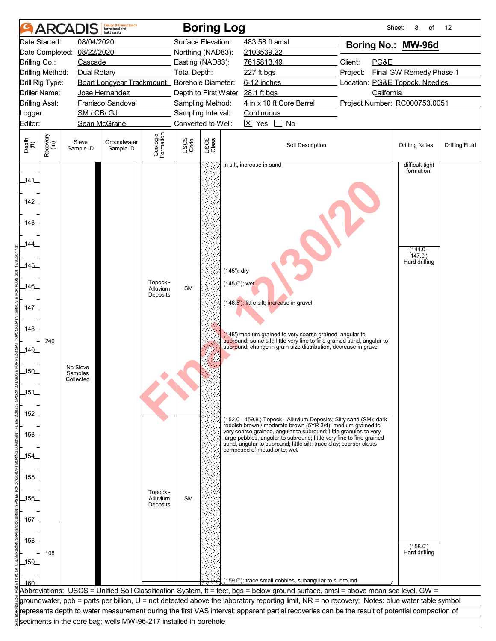|                       | <b>ARCA</b>      |                                  | <b>Design &amp; Consultancy</b><br>for natural and<br>huilt assets |                       |                                        | <b>Boring Log</b> |                                |                                                               |                                                                                                                                         |  |                                                                                                                                               | Sheet:<br>8<br>of                             | 12                    |  |
|-----------------------|------------------|----------------------------------|--------------------------------------------------------------------|-----------------------|----------------------------------------|-------------------|--------------------------------|---------------------------------------------------------------|-----------------------------------------------------------------------------------------------------------------------------------------|--|-----------------------------------------------------------------------------------------------------------------------------------------------|-----------------------------------------------|-----------------------|--|
|                       | Date Started:    | 08/04/2020                       |                                                                    |                       | Surface Elevation:                     |                   |                                | 483.58 ft amsl                                                |                                                                                                                                         |  | Boring No.: MW-96d                                                                                                                            |                                               |                       |  |
|                       | Date Completed:  | 08/22/2020                       |                                                                    |                       | Northing (NAD83):                      |                   |                                | 2103539.22                                                    |                                                                                                                                         |  |                                                                                                                                               |                                               |                       |  |
| Drilling Co.:         |                  | Cascade                          |                                                                    |                       | Easting (NAD83):                       |                   |                                | 7615813.49                                                    |                                                                                                                                         |  | Client:<br>PG&E                                                                                                                               |                                               |                       |  |
| Drilling Method:      |                  | Dual Rotary                      |                                                                    |                       | <b>Total Depth:</b>                    |                   |                                | 227 ft bgs                                                    |                                                                                                                                         |  | Project:                                                                                                                                      | Final GW Remedy Phase 1                       |                       |  |
| Drill Rig Type:       |                  |                                  | Boart Longyear Trackmount_ Borehole Diameter:                      |                       |                                        |                   |                                | 6-12 inches                                                   |                                                                                                                                         |  |                                                                                                                                               | Location: PG&E Topock, Needles,<br>California |                       |  |
| <b>Driller Name:</b>  |                  |                                  | Jose Hernandez                                                     |                       |                                        |                   |                                | Depth to First Water: 28.1 ft bgs<br>4 in x 10 ft Core Barrel |                                                                                                                                         |  |                                                                                                                                               |                                               |                       |  |
| <b>Drilling Asst:</b> |                  | SM / CB/ GJ                      | Franisco Sandoval                                                  |                       | Sampling Method:<br>Sampling Interval: |                   |                                | Continuous                                                    |                                                                                                                                         |  | Project Number: RC000753.0051                                                                                                                 |                                               |                       |  |
| Logger:<br>Editor:    |                  |                                  | Sean McGrane                                                       |                       | Converted to Well:                     |                   |                                | $\overline{\times}$ Yes                                       | No                                                                                                                                      |  |                                                                                                                                               |                                               |                       |  |
|                       |                  |                                  |                                                                    |                       |                                        |                   |                                |                                                               |                                                                                                                                         |  |                                                                                                                                               |                                               |                       |  |
| Depth<br>(ft)         | Recovery<br>(in) | Sieve<br>Sample ID               | Groundwater<br>Sample ID                                           | Geologic<br>Formation | USCS<br>Code                           | USCS<br>Class     |                                |                                                               | Soil Description                                                                                                                        |  |                                                                                                                                               | <b>Drilling Notes</b>                         | <b>Drilling Fluid</b> |  |
| 141                   |                  |                                  |                                                                    |                       |                                        |                   |                                | in silt, increase in sand                                     |                                                                                                                                         |  |                                                                                                                                               | difficult tight<br>formation.                 |                       |  |
| $142$                 |                  |                                  |                                                                    |                       |                                        |                   |                                |                                                               |                                                                                                                                         |  |                                                                                                                                               |                                               |                       |  |
| .143                  |                  |                                  |                                                                    |                       |                                        |                   |                                |                                                               |                                                                                                                                         |  |                                                                                                                                               |                                               |                       |  |
| 144                   |                  |                                  |                                                                    |                       |                                        |                   |                                |                                                               |                                                                                                                                         |  |                                                                                                                                               | $(144.0 -$<br>147.0'<br>Hard drilling         |                       |  |
| $-145$                |                  |                                  |                                                                    | Topock -              |                                        |                   | (145'); dry<br>$(145.6)$ ; wet |                                                               |                                                                                                                                         |  |                                                                                                                                               |                                               |                       |  |
| 146                   |                  |                                  |                                                                    | Alluvium<br>Deposits  | <b>SM</b>                              |                   |                                |                                                               | (146.5'); little silt; increase in gravel                                                                                               |  |                                                                                                                                               |                                               |                       |  |
| 147                   |                  |                                  |                                                                    |                       |                                        |                   |                                |                                                               |                                                                                                                                         |  |                                                                                                                                               |                                               |                       |  |
| _148_                 |                  |                                  |                                                                    |                       |                                        |                   |                                |                                                               | (148') medium grained to very coarse grained, angular to                                                                                |  |                                                                                                                                               |                                               |                       |  |
| 149_                  | 240              |                                  |                                                                    |                       |                                        |                   |                                |                                                               | subround; change in grain size distribution, decrease in gravel                                                                         |  | subround; some silt; little very fine to fine grained sand, angular to                                                                        |                                               |                       |  |
| $-150$                |                  | No Sieve<br>Samples<br>Collected |                                                                    |                       |                                        |                   |                                |                                                               |                                                                                                                                         |  |                                                                                                                                               |                                               |                       |  |
| $151$                 |                  |                                  |                                                                    |                       |                                        |                   |                                |                                                               |                                                                                                                                         |  |                                                                                                                                               |                                               |                       |  |
| _152_                 |                  |                                  |                                                                    |                       |                                        |                   |                                |                                                               | reddish brown / moderate brown (5YR 3/4); medium grained to                                                                             |  | (152.0 - 159.8') Topock - Alluvium Deposits; Silty sand (SM); dark                                                                            |                                               |                       |  |
| _153_                 |                  |                                  |                                                                    |                       |                                        |                   |                                |                                                               | very coarse grained, angular to subround; little granules to very<br>sand, angular to subround; little silt; trace clay; coarser clasts |  | large pebbles, angular to subround; little very fine to fine grained                                                                          |                                               |                       |  |
| 154                   |                  |                                  |                                                                    |                       |                                        |                   |                                | composed of metadiorite: wet                                  |                                                                                                                                         |  |                                                                                                                                               |                                               |                       |  |
| 155                   |                  |                                  |                                                                    |                       |                                        |                   |                                |                                                               |                                                                                                                                         |  |                                                                                                                                               |                                               |                       |  |
| $-156$                |                  |                                  |                                                                    | Topock -<br>Alluvium  | <b>SM</b>                              |                   |                                |                                                               |                                                                                                                                         |  |                                                                                                                                               |                                               |                       |  |
|                       |                  |                                  |                                                                    | Deposits              |                                        |                   |                                |                                                               |                                                                                                                                         |  |                                                                                                                                               |                                               |                       |  |
| _157                  |                  |                                  |                                                                    |                       |                                        |                   |                                |                                                               |                                                                                                                                         |  |                                                                                                                                               |                                               |                       |  |
| 158                   |                  |                                  |                                                                    |                       |                                        |                   |                                |                                                               |                                                                                                                                         |  |                                                                                                                                               |                                               |                       |  |
|                       | 108              |                                  |                                                                    |                       |                                        |                   |                                |                                                               |                                                                                                                                         |  |                                                                                                                                               | (158.0')<br>Hard drilling                     |                       |  |
| 159                   |                  |                                  |                                                                    |                       |                                        |                   |                                |                                                               |                                                                                                                                         |  |                                                                                                                                               |                                               |                       |  |
|                       |                  |                                  |                                                                    |                       |                                        |                   |                                |                                                               |                                                                                                                                         |  |                                                                                                                                               |                                               |                       |  |
| 160                   |                  |                                  |                                                                    |                       |                                        |                   |                                |                                                               | (159.6'); trace small cobbles, subangular to subround                                                                                   |  |                                                                                                                                               |                                               |                       |  |
|                       |                  |                                  |                                                                    |                       |                                        |                   |                                |                                                               |                                                                                                                                         |  | Abbreviations:  USCS = Unified Soil Classification System, ft = feet, bgs = below ground surface, amsl = above mean sea level, GW =           |                                               |                       |  |
|                       |                  |                                  |                                                                    |                       |                                        |                   |                                |                                                               |                                                                                                                                         |  | groundwater, ppb = parts per billion, U = not detected above the laboratory reporting limit, NR = no recovery; Notes: blue water table symbol |                                               |                       |  |
|                       |                  |                                  |                                                                    |                       |                                        |                   |                                |                                                               |                                                                                                                                         |  | represents depth to water measurement during the first VAS interval; apparent partial recoveries can be the result of potential compaction of |                                               |                       |  |
|                       |                  |                                  | sediments in the core bag; wells MW-96-217 installed in borehole   |                       |                                        |                   |                                |                                                               |                                                                                                                                         |  |                                                                                                                                               |                                               |                       |  |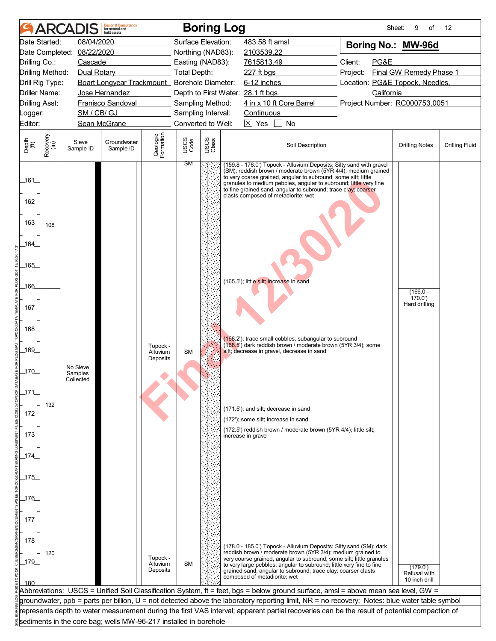|                                  |                  |                      | <b>Design &amp; Consultancy</b><br>for natural and<br>built assets |                       |                                        |               | <b>Boring Log</b> |                                         |                                                                                                                                                                                                       |                                                                                                                                               | Sheet:<br>9<br>of             | 12                    |
|----------------------------------|------------------|----------------------|--------------------------------------------------------------------|-----------------------|----------------------------------------|---------------|-------------------|-----------------------------------------|-------------------------------------------------------------------------------------------------------------------------------------------------------------------------------------------------------|-----------------------------------------------------------------------------------------------------------------------------------------------|-------------------------------|-----------------------|
|                                  | Date Started:    | 08/04/2020           |                                                                    |                       | Surface Elevation:                     |               |                   | 483.58 ft amsl                          |                                                                                                                                                                                                       | Boring No.: MW-96d                                                                                                                            |                               |                       |
| Date Completed:                  |                  | 08/22/2020           |                                                                    |                       | Northing (NAD83):                      |               |                   | 2103539.22                              |                                                                                                                                                                                                       |                                                                                                                                               |                               |                       |
| Drilling Co.:                    |                  | Cascade              |                                                                    |                       | Easting (NAD83):                       |               |                   | 7615813.49                              |                                                                                                                                                                                                       | Client:<br>PG&E                                                                                                                               |                               |                       |
| Drilling Method:                 |                  | Dual Rotary          |                                                                    |                       | <b>Total Depth:</b>                    |               |                   | 227 ft bgs                              |                                                                                                                                                                                                       | Project:                                                                                                                                      | Final GW Remedy Phase 1       |                       |
| Drill Rig Type:                  |                  |                      | Boart Longyear Trackmount_ Borehole Diameter:                      |                       |                                        |               |                   | 6-12 inches                             |                                                                                                                                                                                                       | Location: PG&E Topock, Needles,                                                                                                               |                               |                       |
| <b>Driller Name:</b>             |                  |                      | Jose Hernandez                                                     |                       |                                        |               |                   | Depth to First Water: 28.1 ft bgs       | 4 in x 10 ft Core Barrel                                                                                                                                                                              | California<br>Project Number: RC000753.0051                                                                                                   |                               |                       |
| <b>Drilling Asst:</b><br>Logger: |                  | SM / CB/ GJ          | Franisco Sandoval                                                  |                       | Sampling Method:<br>Sampling Interval: |               |                   | Continuous                              |                                                                                                                                                                                                       |                                                                                                                                               |                               |                       |
| Editor:                          |                  |                      | Sean McGrane                                                       |                       | Converted to Well:                     |               |                   | $\overline{\times}$ Yes                 | No                                                                                                                                                                                                    |                                                                                                                                               |                               |                       |
|                                  |                  |                      |                                                                    |                       |                                        |               |                   |                                         |                                                                                                                                                                                                       |                                                                                                                                               |                               |                       |
| Depth<br>(ft)                    | Recovery<br>(in) | Sieve<br>Sample ID   | Groundwater<br>Sample ID                                           | Geologic<br>Formation | USCS<br>Code                           | USCS<br>Class |                   |                                         | Soil Description                                                                                                                                                                                      |                                                                                                                                               | <b>Drilling Notes</b>         | <b>Drilling Fluid</b> |
| 161<br>162                       |                  |                      |                                                                    |                       | ЗM                                     |               |                   | clasts composed of metadiorite; wet     | to very coarse grained, angular to subround; some silt; little<br>granules to medium pebbles, angular to subround; little very fine<br>to fine grained sand, angular to subround; trace clay; coarser | (159.8 - 178.0') Topock - Alluvium Deposits; Silty sand with gravel<br>(SM); reddish brown / moderate brown (5YR 4/4); medium grained         |                               |                       |
| .163<br>164                      | 108              |                      |                                                                    |                       |                                        |               |                   |                                         |                                                                                                                                                                                                       |                                                                                                                                               |                               |                       |
|                                  |                  |                      |                                                                    |                       |                                        |               |                   |                                         |                                                                                                                                                                                                       |                                                                                                                                               |                               |                       |
| $-165$                           |                  |                      |                                                                    |                       |                                        |               |                   |                                         |                                                                                                                                                                                                       |                                                                                                                                               |                               |                       |
|                                  |                  |                      |                                                                    |                       |                                        |               |                   |                                         |                                                                                                                                                                                                       |                                                                                                                                               |                               |                       |
| 166                              |                  |                      |                                                                    |                       |                                        |               |                   | (165.5'); little silt; increase in sand |                                                                                                                                                                                                       |                                                                                                                                               | $(166.0 -$                    |                       |
|                                  |                  |                      |                                                                    |                       |                                        |               |                   |                                         |                                                                                                                                                                                                       |                                                                                                                                               | 170.0'                        |                       |
| 167                              |                  |                      |                                                                    |                       |                                        |               |                   |                                         |                                                                                                                                                                                                       |                                                                                                                                               | Hard drilling                 |                       |
|                                  |                  |                      |                                                                    |                       |                                        |               |                   |                                         |                                                                                                                                                                                                       |                                                                                                                                               |                               |                       |
| _168_                            |                  |                      |                                                                    |                       |                                        |               |                   |                                         |                                                                                                                                                                                                       |                                                                                                                                               |                               |                       |
|                                  |                  |                      |                                                                    | Topock -              |                                        |               |                   |                                         | (168.2'); trace small cobbles, subangular to subround<br>(168.5') dark reddish brown / moderate brown (5YR 3/4); some                                                                                 |                                                                                                                                               |                               |                       |
| 169                              |                  |                      |                                                                    | Alluvium<br>Deposits  | <b>SM</b>                              |               |                   |                                         | silt; decrease in gravel, decrease in sand                                                                                                                                                            |                                                                                                                                               |                               |                       |
|                                  |                  | No Sieve             |                                                                    |                       |                                        |               |                   |                                         |                                                                                                                                                                                                       |                                                                                                                                               |                               |                       |
| 170                              |                  | Samples<br>Collected |                                                                    |                       |                                        |               |                   |                                         |                                                                                                                                                                                                       |                                                                                                                                               |                               |                       |
| 171                              |                  |                      |                                                                    |                       |                                        |               |                   |                                         |                                                                                                                                                                                                       |                                                                                                                                               |                               |                       |
|                                  |                  |                      |                                                                    |                       |                                        |               |                   |                                         |                                                                                                                                                                                                       |                                                                                                                                               |                               |                       |
| 172                              | 132              |                      |                                                                    |                       |                                        |               |                   | (171.5'); and silt; decrease in sand    |                                                                                                                                                                                                       |                                                                                                                                               |                               |                       |
|                                  |                  |                      |                                                                    |                       |                                        |               |                   | (172'); some silt; increase in sand     |                                                                                                                                                                                                       |                                                                                                                                               |                               |                       |
| $-173$                           |                  |                      |                                                                    |                       |                                        |               |                   |                                         | (172.5') reddish brown / moderate brown (5YR 4/4); little silt;                                                                                                                                       |                                                                                                                                               |                               |                       |
|                                  |                  |                      |                                                                    |                       |                                        |               |                   | increase in gravel                      |                                                                                                                                                                                                       |                                                                                                                                               |                               |                       |
| _174_                            |                  |                      |                                                                    |                       |                                        |               |                   |                                         |                                                                                                                                                                                                       |                                                                                                                                               |                               |                       |
|                                  |                  |                      |                                                                    |                       |                                        |               |                   |                                         |                                                                                                                                                                                                       |                                                                                                                                               |                               |                       |
| 175                              |                  |                      |                                                                    |                       |                                        |               |                   |                                         |                                                                                                                                                                                                       |                                                                                                                                               |                               |                       |
|                                  |                  |                      |                                                                    |                       |                                        |               |                   |                                         |                                                                                                                                                                                                       |                                                                                                                                               |                               |                       |
| $\_176$                          |                  |                      |                                                                    |                       |                                        |               |                   |                                         |                                                                                                                                                                                                       |                                                                                                                                               |                               |                       |
|                                  |                  |                      |                                                                    |                       |                                        |               |                   |                                         |                                                                                                                                                                                                       |                                                                                                                                               |                               |                       |
| _177.                            |                  |                      |                                                                    |                       |                                        |               |                   |                                         |                                                                                                                                                                                                       |                                                                                                                                               |                               |                       |
|                                  |                  |                      |                                                                    |                       |                                        |               |                   |                                         |                                                                                                                                                                                                       |                                                                                                                                               |                               |                       |
| 178                              |                  |                      |                                                                    |                       |                                        |               |                   |                                         |                                                                                                                                                                                                       | (178.0 - 185.0') Topock - Alluvium Deposits; Silty sand (SM); dark                                                                            |                               |                       |
|                                  | 120              |                      |                                                                    | Topock -              |                                        |               |                   |                                         | reddish brown / moderate brown (5YR 3/4); medium grained to                                                                                                                                           |                                                                                                                                               |                               |                       |
| $-179$                           |                  |                      |                                                                    | Alluvium              | <b>SM</b>                              |               |                   |                                         | to very large pebbles, angular to subround; little very fine to fine                                                                                                                                  | very coarse grained, angular to subround; some silt; little granules                                                                          | (179.0')                      |                       |
|                                  |                  |                      |                                                                    | Deposits              |                                        |               |                   | composed of metadiorite; wet            | grained sand, angular to subround; trace clay; coarser clasts                                                                                                                                         |                                                                                                                                               | Refusal with<br>10 inch drill |                       |
| 180                              |                  |                      |                                                                    |                       |                                        |               |                   |                                         |                                                                                                                                                                                                       | Abbreviations:  USCS = Unified Soil Classification System, ft = feet, bgs = below ground surface, amsl = above mean sea level, GW =           |                               |                       |
|                                  |                  |                      |                                                                    |                       |                                        |               |                   |                                         |                                                                                                                                                                                                       | groundwater, ppb = parts per billion, U = not detected above the laboratory reporting limit, NR = no recovery; Notes: blue water table symbol |                               |                       |
|                                  |                  |                      |                                                                    |                       |                                        |               |                   |                                         |                                                                                                                                                                                                       | represents depth to water measurement during the first VAS interval; apparent partial recoveries can be the result of potential compaction of |                               |                       |
|                                  |                  |                      | sediments in the core bag; wells MW-96-217 installed in borehole   |                       |                                        |               |                   |                                         |                                                                                                                                                                                                       |                                                                                                                                               |                               |                       |
|                                  |                  |                      |                                                                    |                       |                                        |               |                   |                                         |                                                                                                                                                                                                       |                                                                                                                                               |                               |                       |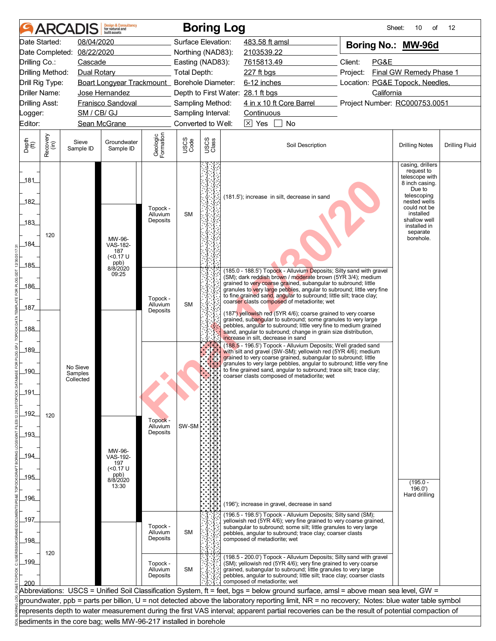| 08/04/2020<br>Date Started:<br>Surface Elevation:<br>483.58 ft amsl<br>Boring No.: MW-96d<br>08/22/2020<br>Date Completed:<br>Northing (NAD83):<br>2103539.22<br>7615813.49<br>Client:<br>PG&E<br>Drilling Co.:<br>Cascade<br>Easting (NAD83):<br><b>Total Depth:</b><br>Final GW Remedy Phase 1<br>Drilling Method:<br>Dual Rotary<br>227 ft bgs<br>Project:<br>Boart Longyear Trackmount_ Borehole Diameter:<br>6-12 inches<br>Location: PG&E Topock, Needles,<br>Drill Rig Type:<br><b>Driller Name:</b><br>California<br>Jose Hernandez<br>Depth to First Water: 28.1 ft bgs<br>4 in x 10 ft Core Barrel<br>Project Number: RC000753.0051<br><b>Drilling Asst:</b><br><b>Franisco Sandoval</b><br>Sampling Method:<br>SM / CB/ GJ<br>Sampling Interval:<br>Continuous<br>_ogger:<br>Converted to Well:<br>$\boxtimes$ Yes<br>Editor:<br>Sean McGrane<br>No<br>Geologic<br>Formation<br>Recovery<br>(in)<br>USCS<br>Class<br>USCS<br>Code<br>Depth<br>(ft)<br>Sieve<br>Groundwater<br>Soil Description<br><b>Drilling Fluid</b><br><b>Drilling Notes</b><br>Sample ID<br>Sample ID<br>casing, drillers<br>request to<br>telescope with<br>_181_<br>8 inch casing.<br>Due to<br>telescoping<br>(181.5'); increase in silt, decrease in sand<br>182<br>nested wells<br>could not be<br>Topock -<br><b>SM</b><br>installed<br>Alluvium<br>shallow well<br>Deposits<br>183<br>installed in<br>separate<br>120<br>borehole.<br>MW-96-<br>184<br>VAS-182-<br>187<br>(<0.17 U<br>ppb)<br>8/8/2020<br>$-185$<br>(185.0 - 188.5') Topock - Alluvium Deposits; Silty sand with gravel<br>09:25<br>(SM); dark reddish brown / moderate brown (5YR 3/4); medium<br>grained to very coarse grained, subangular to subround; little<br>186<br>granules to very large pebbles, angular to subround; little very fine<br>to fine grained sand, angular to subround; little silt; trace clay;<br>Topock -<br>coarser clasts composed of metadiorite; wet<br>Alluvium<br><b>SM</b><br>187<br>Deposits<br>(187') yellowish red (5YR 4/6); coarse grained to very coarse<br>grained, subangular to subround; some granules to very large<br>pebbles, angular to subround; little very fine to medium grained<br>_188_<br>sand, angular to subround; change in grain size distribution,<br>increase in silt, decrease in sand<br>(188.5 - 196.5') Topock - Alluvium Deposits; Well graded sand<br>189<br>with silt and gravel (SW-SM); yellowish red (5YR 4/6); medium<br>grained to very coarse grained, subangular to subround; little<br>granules to very large pebbles, angular to subround; little very fine<br>No Sieve<br>to fine grained sand, angular to subround; trace silt; trace clay;<br>$-190$<br>Samples<br>coarser clasts composed of metadiorite: wet<br>Collected<br>_191<br>_192_<br>120<br>Topock -<br>Alluvium<br>SW-SM<br>Deposits<br>$-193$<br>MW-96-<br>_194_<br>VAS-192-<br>197<br>(<0.17 U<br>ppb)<br>195<br>8/8/2020<br>$(195.0 -$<br>13:30<br>196.0'<br>Hard drilling<br>_196_<br>(196'); increase in gravel, decrease in sand<br>(196.5 - 198.5') Topock - Alluvium Deposits; Silty sand (SM);<br>197<br>yellowish red (5YR 4/6); very fine grained to very coarse grained,<br>Topock -<br>subangular to subround; some silt; little granules to very large<br><b>SM</b><br>Alluvium<br>pebbles, angular to subround; trace clay; coarser clasts<br>Deposits<br>composed of metadiorite; wet<br>_198_<br>120<br>(198.5 - 200.0') Topock - Alluvium Deposits; Silty sand with gravel<br>199<br>(SM); yellowish red (5YR 4/6); very fine grained to very coarse<br>Topock -<br><b>SM</b><br>grained, subangular to subround; little granules to very large<br>Alluvium<br>pebbles, angular to subround; little silt; trace clay; coarser clasts<br>Deposits<br>composed of metadiorite; wet<br>200<br>Abbreviations: USCS = Unified Soil Classification System, ft = feet, bgs = below ground surface, amsl = above mean sea level, GW =<br>groundwater, ppb = parts per billion, U = not detected above the laboratory reporting limit, NR = no recovery; Notes: blue water table symbol<br>represents depth to water measurement during the first VAS interval; apparent partial recoveries can be the result of potential compaction of<br>sediments in the core bag; wells MW-96-217 installed in borehole | ARCAI | <b>Design &amp; Consultancy</b><br>for natural and<br>built assets |  | <b>Boring Log</b> |  |  | Sheet:<br>10<br>of | 12 |
|--------------------------------------------------------------------------------------------------------------------------------------------------------------------------------------------------------------------------------------------------------------------------------------------------------------------------------------------------------------------------------------------------------------------------------------------------------------------------------------------------------------------------------------------------------------------------------------------------------------------------------------------------------------------------------------------------------------------------------------------------------------------------------------------------------------------------------------------------------------------------------------------------------------------------------------------------------------------------------------------------------------------------------------------------------------------------------------------------------------------------------------------------------------------------------------------------------------------------------------------------------------------------------------------------------------------------------------------------------------------------------------------------------------------------------------------------------------------------------------------------------------------------------------------------------------------------------------------------------------------------------------------------------------------------------------------------------------------------------------------------------------------------------------------------------------------------------------------------------------------------------------------------------------------------------------------------------------------------------------------------------------------------------------------------------------------------------------------------------------------------------------------------------------------------------------------------------------------------------------------------------------------------------------------------------------------------------------------------------------------------------------------------------------------------------------------------------------------------------------------------------------------------------------------------------------------------------------------------------------------------------------------------------------------------------------------------------------------------------------------------------------------------------------------------------------------------------------------------------------------------------------------------------------------------------------------------------------------------------------------------------------------------------------------------------------------------------------------------------------------------------------------------------------------------------------------------------------------------------------------------------------------------------------------------------------------------------------------------------------------------------------------------------------------------------------------------------------------------------------------------------------------------------------------------------------------------------------------------------------------------------------------------------------------------------------------------------------------------------------------------------------------------------------------------------------------------------------------------------------------------------------------------------------------------------------------------------------------------------------------------------------------------------------------------------------------------------------------------------------------------------------------------------------------------------------------------------------------------------------------------------------------------------------------------------------------------|-------|--------------------------------------------------------------------|--|-------------------|--|--|--------------------|----|
|                                                                                                                                                                                                                                                                                                                                                                                                                                                                                                                                                                                                                                                                                                                                                                                                                                                                                                                                                                                                                                                                                                                                                                                                                                                                                                                                                                                                                                                                                                                                                                                                                                                                                                                                                                                                                                                                                                                                                                                                                                                                                                                                                                                                                                                                                                                                                                                                                                                                                                                                                                                                                                                                                                                                                                                                                                                                                                                                                                                                                                                                                                                                                                                                                                                                                                                                                                                                                                                                                                                                                                                                                                                                                                                                                                                                                                                                                                                                                                                                                                                                                                                                                                                                                                                                                                                          |       |                                                                    |  |                   |  |  |                    |    |
|                                                                                                                                                                                                                                                                                                                                                                                                                                                                                                                                                                                                                                                                                                                                                                                                                                                                                                                                                                                                                                                                                                                                                                                                                                                                                                                                                                                                                                                                                                                                                                                                                                                                                                                                                                                                                                                                                                                                                                                                                                                                                                                                                                                                                                                                                                                                                                                                                                                                                                                                                                                                                                                                                                                                                                                                                                                                                                                                                                                                                                                                                                                                                                                                                                                                                                                                                                                                                                                                                                                                                                                                                                                                                                                                                                                                                                                                                                                                                                                                                                                                                                                                                                                                                                                                                                                          |       |                                                                    |  |                   |  |  |                    |    |
|                                                                                                                                                                                                                                                                                                                                                                                                                                                                                                                                                                                                                                                                                                                                                                                                                                                                                                                                                                                                                                                                                                                                                                                                                                                                                                                                                                                                                                                                                                                                                                                                                                                                                                                                                                                                                                                                                                                                                                                                                                                                                                                                                                                                                                                                                                                                                                                                                                                                                                                                                                                                                                                                                                                                                                                                                                                                                                                                                                                                                                                                                                                                                                                                                                                                                                                                                                                                                                                                                                                                                                                                                                                                                                                                                                                                                                                                                                                                                                                                                                                                                                                                                                                                                                                                                                                          |       |                                                                    |  |                   |  |  |                    |    |
|                                                                                                                                                                                                                                                                                                                                                                                                                                                                                                                                                                                                                                                                                                                                                                                                                                                                                                                                                                                                                                                                                                                                                                                                                                                                                                                                                                                                                                                                                                                                                                                                                                                                                                                                                                                                                                                                                                                                                                                                                                                                                                                                                                                                                                                                                                                                                                                                                                                                                                                                                                                                                                                                                                                                                                                                                                                                                                                                                                                                                                                                                                                                                                                                                                                                                                                                                                                                                                                                                                                                                                                                                                                                                                                                                                                                                                                                                                                                                                                                                                                                                                                                                                                                                                                                                                                          |       |                                                                    |  |                   |  |  |                    |    |
|                                                                                                                                                                                                                                                                                                                                                                                                                                                                                                                                                                                                                                                                                                                                                                                                                                                                                                                                                                                                                                                                                                                                                                                                                                                                                                                                                                                                                                                                                                                                                                                                                                                                                                                                                                                                                                                                                                                                                                                                                                                                                                                                                                                                                                                                                                                                                                                                                                                                                                                                                                                                                                                                                                                                                                                                                                                                                                                                                                                                                                                                                                                                                                                                                                                                                                                                                                                                                                                                                                                                                                                                                                                                                                                                                                                                                                                                                                                                                                                                                                                                                                                                                                                                                                                                                                                          |       |                                                                    |  |                   |  |  |                    |    |
|                                                                                                                                                                                                                                                                                                                                                                                                                                                                                                                                                                                                                                                                                                                                                                                                                                                                                                                                                                                                                                                                                                                                                                                                                                                                                                                                                                                                                                                                                                                                                                                                                                                                                                                                                                                                                                                                                                                                                                                                                                                                                                                                                                                                                                                                                                                                                                                                                                                                                                                                                                                                                                                                                                                                                                                                                                                                                                                                                                                                                                                                                                                                                                                                                                                                                                                                                                                                                                                                                                                                                                                                                                                                                                                                                                                                                                                                                                                                                                                                                                                                                                                                                                                                                                                                                                                          |       |                                                                    |  |                   |  |  |                    |    |
|                                                                                                                                                                                                                                                                                                                                                                                                                                                                                                                                                                                                                                                                                                                                                                                                                                                                                                                                                                                                                                                                                                                                                                                                                                                                                                                                                                                                                                                                                                                                                                                                                                                                                                                                                                                                                                                                                                                                                                                                                                                                                                                                                                                                                                                                                                                                                                                                                                                                                                                                                                                                                                                                                                                                                                                                                                                                                                                                                                                                                                                                                                                                                                                                                                                                                                                                                                                                                                                                                                                                                                                                                                                                                                                                                                                                                                                                                                                                                                                                                                                                                                                                                                                                                                                                                                                          |       |                                                                    |  |                   |  |  |                    |    |
|                                                                                                                                                                                                                                                                                                                                                                                                                                                                                                                                                                                                                                                                                                                                                                                                                                                                                                                                                                                                                                                                                                                                                                                                                                                                                                                                                                                                                                                                                                                                                                                                                                                                                                                                                                                                                                                                                                                                                                                                                                                                                                                                                                                                                                                                                                                                                                                                                                                                                                                                                                                                                                                                                                                                                                                                                                                                                                                                                                                                                                                                                                                                                                                                                                                                                                                                                                                                                                                                                                                                                                                                                                                                                                                                                                                                                                                                                                                                                                                                                                                                                                                                                                                                                                                                                                                          |       |                                                                    |  |                   |  |  |                    |    |
|                                                                                                                                                                                                                                                                                                                                                                                                                                                                                                                                                                                                                                                                                                                                                                                                                                                                                                                                                                                                                                                                                                                                                                                                                                                                                                                                                                                                                                                                                                                                                                                                                                                                                                                                                                                                                                                                                                                                                                                                                                                                                                                                                                                                                                                                                                                                                                                                                                                                                                                                                                                                                                                                                                                                                                                                                                                                                                                                                                                                                                                                                                                                                                                                                                                                                                                                                                                                                                                                                                                                                                                                                                                                                                                                                                                                                                                                                                                                                                                                                                                                                                                                                                                                                                                                                                                          |       |                                                                    |  |                   |  |  |                    |    |
|                                                                                                                                                                                                                                                                                                                                                                                                                                                                                                                                                                                                                                                                                                                                                                                                                                                                                                                                                                                                                                                                                                                                                                                                                                                                                                                                                                                                                                                                                                                                                                                                                                                                                                                                                                                                                                                                                                                                                                                                                                                                                                                                                                                                                                                                                                                                                                                                                                                                                                                                                                                                                                                                                                                                                                                                                                                                                                                                                                                                                                                                                                                                                                                                                                                                                                                                                                                                                                                                                                                                                                                                                                                                                                                                                                                                                                                                                                                                                                                                                                                                                                                                                                                                                                                                                                                          |       |                                                                    |  |                   |  |  |                    |    |
|                                                                                                                                                                                                                                                                                                                                                                                                                                                                                                                                                                                                                                                                                                                                                                                                                                                                                                                                                                                                                                                                                                                                                                                                                                                                                                                                                                                                                                                                                                                                                                                                                                                                                                                                                                                                                                                                                                                                                                                                                                                                                                                                                                                                                                                                                                                                                                                                                                                                                                                                                                                                                                                                                                                                                                                                                                                                                                                                                                                                                                                                                                                                                                                                                                                                                                                                                                                                                                                                                                                                                                                                                                                                                                                                                                                                                                                                                                                                                                                                                                                                                                                                                                                                                                                                                                                          |       |                                                                    |  |                   |  |  |                    |    |
|                                                                                                                                                                                                                                                                                                                                                                                                                                                                                                                                                                                                                                                                                                                                                                                                                                                                                                                                                                                                                                                                                                                                                                                                                                                                                                                                                                                                                                                                                                                                                                                                                                                                                                                                                                                                                                                                                                                                                                                                                                                                                                                                                                                                                                                                                                                                                                                                                                                                                                                                                                                                                                                                                                                                                                                                                                                                                                                                                                                                                                                                                                                                                                                                                                                                                                                                                                                                                                                                                                                                                                                                                                                                                                                                                                                                                                                                                                                                                                                                                                                                                                                                                                                                                                                                                                                          |       |                                                                    |  |                   |  |  |                    |    |
|                                                                                                                                                                                                                                                                                                                                                                                                                                                                                                                                                                                                                                                                                                                                                                                                                                                                                                                                                                                                                                                                                                                                                                                                                                                                                                                                                                                                                                                                                                                                                                                                                                                                                                                                                                                                                                                                                                                                                                                                                                                                                                                                                                                                                                                                                                                                                                                                                                                                                                                                                                                                                                                                                                                                                                                                                                                                                                                                                                                                                                                                                                                                                                                                                                                                                                                                                                                                                                                                                                                                                                                                                                                                                                                                                                                                                                                                                                                                                                                                                                                                                                                                                                                                                                                                                                                          |       |                                                                    |  |                   |  |  |                    |    |
|                                                                                                                                                                                                                                                                                                                                                                                                                                                                                                                                                                                                                                                                                                                                                                                                                                                                                                                                                                                                                                                                                                                                                                                                                                                                                                                                                                                                                                                                                                                                                                                                                                                                                                                                                                                                                                                                                                                                                                                                                                                                                                                                                                                                                                                                                                                                                                                                                                                                                                                                                                                                                                                                                                                                                                                                                                                                                                                                                                                                                                                                                                                                                                                                                                                                                                                                                                                                                                                                                                                                                                                                                                                                                                                                                                                                                                                                                                                                                                                                                                                                                                                                                                                                                                                                                                                          |       |                                                                    |  |                   |  |  |                    |    |
|                                                                                                                                                                                                                                                                                                                                                                                                                                                                                                                                                                                                                                                                                                                                                                                                                                                                                                                                                                                                                                                                                                                                                                                                                                                                                                                                                                                                                                                                                                                                                                                                                                                                                                                                                                                                                                                                                                                                                                                                                                                                                                                                                                                                                                                                                                                                                                                                                                                                                                                                                                                                                                                                                                                                                                                                                                                                                                                                                                                                                                                                                                                                                                                                                                                                                                                                                                                                                                                                                                                                                                                                                                                                                                                                                                                                                                                                                                                                                                                                                                                                                                                                                                                                                                                                                                                          |       |                                                                    |  |                   |  |  |                    |    |
|                                                                                                                                                                                                                                                                                                                                                                                                                                                                                                                                                                                                                                                                                                                                                                                                                                                                                                                                                                                                                                                                                                                                                                                                                                                                                                                                                                                                                                                                                                                                                                                                                                                                                                                                                                                                                                                                                                                                                                                                                                                                                                                                                                                                                                                                                                                                                                                                                                                                                                                                                                                                                                                                                                                                                                                                                                                                                                                                                                                                                                                                                                                                                                                                                                                                                                                                                                                                                                                                                                                                                                                                                                                                                                                                                                                                                                                                                                                                                                                                                                                                                                                                                                                                                                                                                                                          |       |                                                                    |  |                   |  |  |                    |    |
|                                                                                                                                                                                                                                                                                                                                                                                                                                                                                                                                                                                                                                                                                                                                                                                                                                                                                                                                                                                                                                                                                                                                                                                                                                                                                                                                                                                                                                                                                                                                                                                                                                                                                                                                                                                                                                                                                                                                                                                                                                                                                                                                                                                                                                                                                                                                                                                                                                                                                                                                                                                                                                                                                                                                                                                                                                                                                                                                                                                                                                                                                                                                                                                                                                                                                                                                                                                                                                                                                                                                                                                                                                                                                                                                                                                                                                                                                                                                                                                                                                                                                                                                                                                                                                                                                                                          |       |                                                                    |  |                   |  |  |                    |    |
|                                                                                                                                                                                                                                                                                                                                                                                                                                                                                                                                                                                                                                                                                                                                                                                                                                                                                                                                                                                                                                                                                                                                                                                                                                                                                                                                                                                                                                                                                                                                                                                                                                                                                                                                                                                                                                                                                                                                                                                                                                                                                                                                                                                                                                                                                                                                                                                                                                                                                                                                                                                                                                                                                                                                                                                                                                                                                                                                                                                                                                                                                                                                                                                                                                                                                                                                                                                                                                                                                                                                                                                                                                                                                                                                                                                                                                                                                                                                                                                                                                                                                                                                                                                                                                                                                                                          |       |                                                                    |  |                   |  |  |                    |    |
|                                                                                                                                                                                                                                                                                                                                                                                                                                                                                                                                                                                                                                                                                                                                                                                                                                                                                                                                                                                                                                                                                                                                                                                                                                                                                                                                                                                                                                                                                                                                                                                                                                                                                                                                                                                                                                                                                                                                                                                                                                                                                                                                                                                                                                                                                                                                                                                                                                                                                                                                                                                                                                                                                                                                                                                                                                                                                                                                                                                                                                                                                                                                                                                                                                                                                                                                                                                                                                                                                                                                                                                                                                                                                                                                                                                                                                                                                                                                                                                                                                                                                                                                                                                                                                                                                                                          |       |                                                                    |  |                   |  |  |                    |    |
|                                                                                                                                                                                                                                                                                                                                                                                                                                                                                                                                                                                                                                                                                                                                                                                                                                                                                                                                                                                                                                                                                                                                                                                                                                                                                                                                                                                                                                                                                                                                                                                                                                                                                                                                                                                                                                                                                                                                                                                                                                                                                                                                                                                                                                                                                                                                                                                                                                                                                                                                                                                                                                                                                                                                                                                                                                                                                                                                                                                                                                                                                                                                                                                                                                                                                                                                                                                                                                                                                                                                                                                                                                                                                                                                                                                                                                                                                                                                                                                                                                                                                                                                                                                                                                                                                                                          |       |                                                                    |  |                   |  |  |                    |    |
|                                                                                                                                                                                                                                                                                                                                                                                                                                                                                                                                                                                                                                                                                                                                                                                                                                                                                                                                                                                                                                                                                                                                                                                                                                                                                                                                                                                                                                                                                                                                                                                                                                                                                                                                                                                                                                                                                                                                                                                                                                                                                                                                                                                                                                                                                                                                                                                                                                                                                                                                                                                                                                                                                                                                                                                                                                                                                                                                                                                                                                                                                                                                                                                                                                                                                                                                                                                                                                                                                                                                                                                                                                                                                                                                                                                                                                                                                                                                                                                                                                                                                                                                                                                                                                                                                                                          |       |                                                                    |  |                   |  |  |                    |    |
|                                                                                                                                                                                                                                                                                                                                                                                                                                                                                                                                                                                                                                                                                                                                                                                                                                                                                                                                                                                                                                                                                                                                                                                                                                                                                                                                                                                                                                                                                                                                                                                                                                                                                                                                                                                                                                                                                                                                                                                                                                                                                                                                                                                                                                                                                                                                                                                                                                                                                                                                                                                                                                                                                                                                                                                                                                                                                                                                                                                                                                                                                                                                                                                                                                                                                                                                                                                                                                                                                                                                                                                                                                                                                                                                                                                                                                                                                                                                                                                                                                                                                                                                                                                                                                                                                                                          |       |                                                                    |  |                   |  |  |                    |    |
|                                                                                                                                                                                                                                                                                                                                                                                                                                                                                                                                                                                                                                                                                                                                                                                                                                                                                                                                                                                                                                                                                                                                                                                                                                                                                                                                                                                                                                                                                                                                                                                                                                                                                                                                                                                                                                                                                                                                                                                                                                                                                                                                                                                                                                                                                                                                                                                                                                                                                                                                                                                                                                                                                                                                                                                                                                                                                                                                                                                                                                                                                                                                                                                                                                                                                                                                                                                                                                                                                                                                                                                                                                                                                                                                                                                                                                                                                                                                                                                                                                                                                                                                                                                                                                                                                                                          |       |                                                                    |  |                   |  |  |                    |    |
|                                                                                                                                                                                                                                                                                                                                                                                                                                                                                                                                                                                                                                                                                                                                                                                                                                                                                                                                                                                                                                                                                                                                                                                                                                                                                                                                                                                                                                                                                                                                                                                                                                                                                                                                                                                                                                                                                                                                                                                                                                                                                                                                                                                                                                                                                                                                                                                                                                                                                                                                                                                                                                                                                                                                                                                                                                                                                                                                                                                                                                                                                                                                                                                                                                                                                                                                                                                                                                                                                                                                                                                                                                                                                                                                                                                                                                                                                                                                                                                                                                                                                                                                                                                                                                                                                                                          |       |                                                                    |  |                   |  |  |                    |    |
|                                                                                                                                                                                                                                                                                                                                                                                                                                                                                                                                                                                                                                                                                                                                                                                                                                                                                                                                                                                                                                                                                                                                                                                                                                                                                                                                                                                                                                                                                                                                                                                                                                                                                                                                                                                                                                                                                                                                                                                                                                                                                                                                                                                                                                                                                                                                                                                                                                                                                                                                                                                                                                                                                                                                                                                                                                                                                                                                                                                                                                                                                                                                                                                                                                                                                                                                                                                                                                                                                                                                                                                                                                                                                                                                                                                                                                                                                                                                                                                                                                                                                                                                                                                                                                                                                                                          |       |                                                                    |  |                   |  |  |                    |    |
|                                                                                                                                                                                                                                                                                                                                                                                                                                                                                                                                                                                                                                                                                                                                                                                                                                                                                                                                                                                                                                                                                                                                                                                                                                                                                                                                                                                                                                                                                                                                                                                                                                                                                                                                                                                                                                                                                                                                                                                                                                                                                                                                                                                                                                                                                                                                                                                                                                                                                                                                                                                                                                                                                                                                                                                                                                                                                                                                                                                                                                                                                                                                                                                                                                                                                                                                                                                                                                                                                                                                                                                                                                                                                                                                                                                                                                                                                                                                                                                                                                                                                                                                                                                                                                                                                                                          |       |                                                                    |  |                   |  |  |                    |    |
|                                                                                                                                                                                                                                                                                                                                                                                                                                                                                                                                                                                                                                                                                                                                                                                                                                                                                                                                                                                                                                                                                                                                                                                                                                                                                                                                                                                                                                                                                                                                                                                                                                                                                                                                                                                                                                                                                                                                                                                                                                                                                                                                                                                                                                                                                                                                                                                                                                                                                                                                                                                                                                                                                                                                                                                                                                                                                                                                                                                                                                                                                                                                                                                                                                                                                                                                                                                                                                                                                                                                                                                                                                                                                                                                                                                                                                                                                                                                                                                                                                                                                                                                                                                                                                                                                                                          |       |                                                                    |  |                   |  |  |                    |    |
|                                                                                                                                                                                                                                                                                                                                                                                                                                                                                                                                                                                                                                                                                                                                                                                                                                                                                                                                                                                                                                                                                                                                                                                                                                                                                                                                                                                                                                                                                                                                                                                                                                                                                                                                                                                                                                                                                                                                                                                                                                                                                                                                                                                                                                                                                                                                                                                                                                                                                                                                                                                                                                                                                                                                                                                                                                                                                                                                                                                                                                                                                                                                                                                                                                                                                                                                                                                                                                                                                                                                                                                                                                                                                                                                                                                                                                                                                                                                                                                                                                                                                                                                                                                                                                                                                                                          |       |                                                                    |  |                   |  |  |                    |    |
|                                                                                                                                                                                                                                                                                                                                                                                                                                                                                                                                                                                                                                                                                                                                                                                                                                                                                                                                                                                                                                                                                                                                                                                                                                                                                                                                                                                                                                                                                                                                                                                                                                                                                                                                                                                                                                                                                                                                                                                                                                                                                                                                                                                                                                                                                                                                                                                                                                                                                                                                                                                                                                                                                                                                                                                                                                                                                                                                                                                                                                                                                                                                                                                                                                                                                                                                                                                                                                                                                                                                                                                                                                                                                                                                                                                                                                                                                                                                                                                                                                                                                                                                                                                                                                                                                                                          |       |                                                                    |  |                   |  |  |                    |    |
|                                                                                                                                                                                                                                                                                                                                                                                                                                                                                                                                                                                                                                                                                                                                                                                                                                                                                                                                                                                                                                                                                                                                                                                                                                                                                                                                                                                                                                                                                                                                                                                                                                                                                                                                                                                                                                                                                                                                                                                                                                                                                                                                                                                                                                                                                                                                                                                                                                                                                                                                                                                                                                                                                                                                                                                                                                                                                                                                                                                                                                                                                                                                                                                                                                                                                                                                                                                                                                                                                                                                                                                                                                                                                                                                                                                                                                                                                                                                                                                                                                                                                                                                                                                                                                                                                                                          |       |                                                                    |  |                   |  |  |                    |    |
|                                                                                                                                                                                                                                                                                                                                                                                                                                                                                                                                                                                                                                                                                                                                                                                                                                                                                                                                                                                                                                                                                                                                                                                                                                                                                                                                                                                                                                                                                                                                                                                                                                                                                                                                                                                                                                                                                                                                                                                                                                                                                                                                                                                                                                                                                                                                                                                                                                                                                                                                                                                                                                                                                                                                                                                                                                                                                                                                                                                                                                                                                                                                                                                                                                                                                                                                                                                                                                                                                                                                                                                                                                                                                                                                                                                                                                                                                                                                                                                                                                                                                                                                                                                                                                                                                                                          |       |                                                                    |  |                   |  |  |                    |    |
|                                                                                                                                                                                                                                                                                                                                                                                                                                                                                                                                                                                                                                                                                                                                                                                                                                                                                                                                                                                                                                                                                                                                                                                                                                                                                                                                                                                                                                                                                                                                                                                                                                                                                                                                                                                                                                                                                                                                                                                                                                                                                                                                                                                                                                                                                                                                                                                                                                                                                                                                                                                                                                                                                                                                                                                                                                                                                                                                                                                                                                                                                                                                                                                                                                                                                                                                                                                                                                                                                                                                                                                                                                                                                                                                                                                                                                                                                                                                                                                                                                                                                                                                                                                                                                                                                                                          |       |                                                                    |  |                   |  |  |                    |    |
|                                                                                                                                                                                                                                                                                                                                                                                                                                                                                                                                                                                                                                                                                                                                                                                                                                                                                                                                                                                                                                                                                                                                                                                                                                                                                                                                                                                                                                                                                                                                                                                                                                                                                                                                                                                                                                                                                                                                                                                                                                                                                                                                                                                                                                                                                                                                                                                                                                                                                                                                                                                                                                                                                                                                                                                                                                                                                                                                                                                                                                                                                                                                                                                                                                                                                                                                                                                                                                                                                                                                                                                                                                                                                                                                                                                                                                                                                                                                                                                                                                                                                                                                                                                                                                                                                                                          |       |                                                                    |  |                   |  |  |                    |    |
|                                                                                                                                                                                                                                                                                                                                                                                                                                                                                                                                                                                                                                                                                                                                                                                                                                                                                                                                                                                                                                                                                                                                                                                                                                                                                                                                                                                                                                                                                                                                                                                                                                                                                                                                                                                                                                                                                                                                                                                                                                                                                                                                                                                                                                                                                                                                                                                                                                                                                                                                                                                                                                                                                                                                                                                                                                                                                                                                                                                                                                                                                                                                                                                                                                                                                                                                                                                                                                                                                                                                                                                                                                                                                                                                                                                                                                                                                                                                                                                                                                                                                                                                                                                                                                                                                                                          |       |                                                                    |  |                   |  |  |                    |    |
|                                                                                                                                                                                                                                                                                                                                                                                                                                                                                                                                                                                                                                                                                                                                                                                                                                                                                                                                                                                                                                                                                                                                                                                                                                                                                                                                                                                                                                                                                                                                                                                                                                                                                                                                                                                                                                                                                                                                                                                                                                                                                                                                                                                                                                                                                                                                                                                                                                                                                                                                                                                                                                                                                                                                                                                                                                                                                                                                                                                                                                                                                                                                                                                                                                                                                                                                                                                                                                                                                                                                                                                                                                                                                                                                                                                                                                                                                                                                                                                                                                                                                                                                                                                                                                                                                                                          |       |                                                                    |  |                   |  |  |                    |    |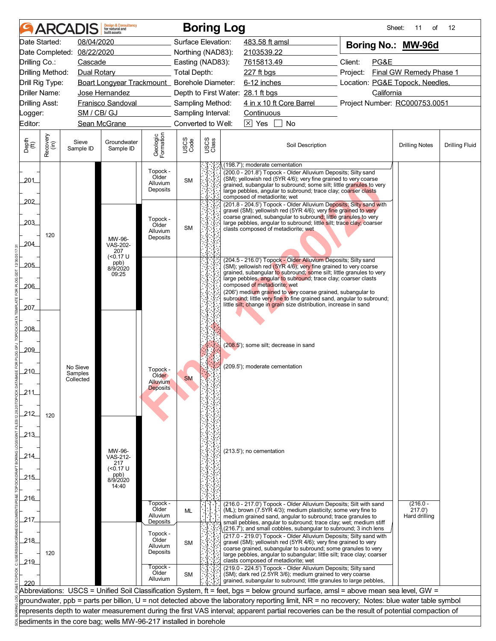|                       |                  |                      | <b>Design &amp; Consultancy</b><br>for natural and<br>huilt assets |                                           |                                          |               | <b>Boring Log</b>                                                                                                                             | Sheet:                                                                                                                                                                                                                                                                    | 11<br>οf                | 12                    |  |  |  |
|-----------------------|------------------|----------------------|--------------------------------------------------------------------|-------------------------------------------|------------------------------------------|---------------|-----------------------------------------------------------------------------------------------------------------------------------------------|---------------------------------------------------------------------------------------------------------------------------------------------------------------------------------------------------------------------------------------------------------------------------|-------------------------|-----------------------|--|--|--|
|                       | Date Started:    | 08/04/2020           |                                                                    |                                           | Surface Elevation:                       |               | 483.58 ft amsl                                                                                                                                | Boring No.: MW-96d                                                                                                                                                                                                                                                        |                         |                       |  |  |  |
|                       | Date Completed:  | 08/22/2020           |                                                                    |                                           | Northing (NAD83):                        |               | 2103539.22                                                                                                                                    |                                                                                                                                                                                                                                                                           |                         |                       |  |  |  |
| Drilling Co.:         |                  | Cascade              |                                                                    |                                           | Easting (NAD83):                         |               | 7615813.49                                                                                                                                    | Client:<br>PG&E                                                                                                                                                                                                                                                           |                         |                       |  |  |  |
|                       | Drilling Method: | Dual Rotary          |                                                                    |                                           | <b>Total Depth:</b>                      |               | 227 ft bgs                                                                                                                                    | Project:                                                                                                                                                                                                                                                                  | Final GW Remedy Phase 1 |                       |  |  |  |
|                       | Drill Rig Type:  |                      | Boart Longyear Trackmount_ Borehole Diameter:                      |                                           |                                          |               | 6-12 inches                                                                                                                                   | Location: PG&E Topock, Needles,                                                                                                                                                                                                                                           |                         |                       |  |  |  |
|                       | Driller Name:    |                      | Jose Hernandez                                                     |                                           |                                          |               | Depth to First Water: 28.1 ft bgs                                                                                                             | California<br>Project Number: RC000753.0051                                                                                                                                                                                                                               |                         |                       |  |  |  |
| <b>Drilling Asst:</b> |                  | SM / CB/ GJ          | <b>Franisco Sandoval</b>                                           |                                           | Sampling Method:                         |               | 4 in x 10 ft Core Barrel                                                                                                                      |                                                                                                                                                                                                                                                                           |                         |                       |  |  |  |
| _ogger:<br>Editor:    |                  |                      | Sean McGrane                                                       |                                           | Sampling Interval:<br>Converted to Well: |               | Continuous<br>$\boxed{\times}$ Yes<br><b>No</b>                                                                                               |                                                                                                                                                                                                                                                                           |                         |                       |  |  |  |
|                       |                  |                      |                                                                    |                                           |                                          |               |                                                                                                                                               |                                                                                                                                                                                                                                                                           |                         |                       |  |  |  |
| Depth<br>(ft)         | Recovery<br>(in) | Sieve<br>Sample ID   | Groundwater<br>Sample ID                                           | Geologic<br>Formation                     | USCS<br>Code                             | USCS<br>Class | Soil Description                                                                                                                              |                                                                                                                                                                                                                                                                           | <b>Drilling Notes</b>   | <b>Drilling Fluid</b> |  |  |  |
| 201                   |                  |                      |                                                                    | Topock -<br>Older<br>Alluvium<br>Deposits | <b>SM</b>                                |               | (198.7'); moderate cementation                                                                                                                | (200.0 - 201.8') Topock - Older Alluvium Deposits; Silty sand<br>(SM); yellowish red (5YR 4/6); very fine grained to very coarse<br>grained, subangular to subround; some silt; little granules to very<br>large pebbles, angular to subround; trace clay; coarser clasts |                         |                       |  |  |  |
| 202                   |                  |                      |                                                                    |                                           |                                          |               | composed of metadiorite; wet<br>(201.8 - 204.5') Topock - Older Alluvium Deposits; Silty sand with                                            |                                                                                                                                                                                                                                                                           |                         |                       |  |  |  |
|                       |                  |                      |                                                                    | Topock -                                  |                                          |               | gravel (SM); yellowish red (5YR 4/6); very fine grained to very<br>coarse grained, subangular to subround; little granules to very            |                                                                                                                                                                                                                                                                           |                         |                       |  |  |  |
| 203                   |                  |                      |                                                                    | Older                                     | <b>SM</b>                                |               | large pebbles, angular to subround; little silt; trace clay; coarser<br>clasts composed of metadiorite; wet                                   |                                                                                                                                                                                                                                                                           |                         |                       |  |  |  |
| 204                   | 120              |                      | MW-96-<br>VAS-202-<br>207                                          | Alluvium<br>Deposits                      |                                          |               |                                                                                                                                               |                                                                                                                                                                                                                                                                           |                         |                       |  |  |  |
|                       |                  |                      | $(0.17 \text{ U}$<br>ppb)                                          |                                           |                                          |               | (204.5 - 216.0') Topock - Older Alluvium Deposits; Silty sand                                                                                 |                                                                                                                                                                                                                                                                           |                         |                       |  |  |  |
| -205                  |                  |                      | 8/9/2020<br>09:25                                                  |                                           |                                          |               | (SM); yellowish red (5YR 4/6); very fine grained to very coarse<br>grained, subangular to subround; some silt; little granules to very        |                                                                                                                                                                                                                                                                           |                         |                       |  |  |  |
| $-206$                |                  |                      |                                                                    |                                           |                                          |               | large pebbles, angular to subround; trace clay; coarser clasts<br>composed of metadiorite; wet                                                |                                                                                                                                                                                                                                                                           |                         |                       |  |  |  |
|                       |                  |                      |                                                                    |                                           |                                          |               | (206') medium grained to very coarse grained, subangular to<br>subround; little very fine to fine grained sand, angular to subround;          |                                                                                                                                                                                                                                                                           |                         |                       |  |  |  |
| -207                  |                  |                      |                                                                    |                                           |                                          |               | little silt; change in grain size distribution, increase in sand                                                                              |                                                                                                                                                                                                                                                                           |                         |                       |  |  |  |
|                       |                  |                      |                                                                    |                                           |                                          |               |                                                                                                                                               |                                                                                                                                                                                                                                                                           |                         |                       |  |  |  |
| 208                   |                  |                      |                                                                    |                                           |                                          |               |                                                                                                                                               |                                                                                                                                                                                                                                                                           |                         |                       |  |  |  |
|                       |                  |                      |                                                                    |                                           |                                          |               | (208.5'); some silt; decrease in sand                                                                                                         |                                                                                                                                                                                                                                                                           |                         |                       |  |  |  |
| -209                  |                  |                      |                                                                    |                                           |                                          |               |                                                                                                                                               |                                                                                                                                                                                                                                                                           |                         |                       |  |  |  |
|                       |                  | No Sieve             |                                                                    | Topock -                                  |                                          |               | (209.5'); moderate cementation                                                                                                                |                                                                                                                                                                                                                                                                           |                         |                       |  |  |  |
| 210                   |                  | Samples<br>Collected |                                                                    | Older<br><b>Alluvium</b>                  | <b>SM</b>                                |               |                                                                                                                                               |                                                                                                                                                                                                                                                                           |                         |                       |  |  |  |
| 211                   |                  |                      |                                                                    | <b>Deposits</b>                           |                                          |               |                                                                                                                                               |                                                                                                                                                                                                                                                                           |                         |                       |  |  |  |
|                       |                  |                      |                                                                    |                                           |                                          |               |                                                                                                                                               |                                                                                                                                                                                                                                                                           |                         |                       |  |  |  |
| 212                   | 120              |                      |                                                                    |                                           |                                          |               |                                                                                                                                               |                                                                                                                                                                                                                                                                           |                         |                       |  |  |  |
|                       |                  |                      |                                                                    |                                           |                                          |               |                                                                                                                                               |                                                                                                                                                                                                                                                                           |                         |                       |  |  |  |
| 213                   |                  |                      |                                                                    |                                           |                                          |               |                                                                                                                                               |                                                                                                                                                                                                                                                                           |                         |                       |  |  |  |
|                       |                  |                      | MW-96-                                                             |                                           |                                          |               | $(213.5)$ ; no cementation                                                                                                                    |                                                                                                                                                                                                                                                                           |                         |                       |  |  |  |
| 214                   |                  |                      | VAS-212-<br>217                                                    |                                           |                                          |               |                                                                                                                                               |                                                                                                                                                                                                                                                                           |                         |                       |  |  |  |
|                       |                  |                      | (<0.17 U<br>ppb)                                                   |                                           |                                          |               |                                                                                                                                               |                                                                                                                                                                                                                                                                           |                         |                       |  |  |  |
| 215                   |                  |                      | 8/9/2020<br>14:40                                                  |                                           |                                          |               |                                                                                                                                               |                                                                                                                                                                                                                                                                           |                         |                       |  |  |  |
| .216                  |                  |                      |                                                                    |                                           |                                          |               |                                                                                                                                               |                                                                                                                                                                                                                                                                           |                         |                       |  |  |  |
|                       |                  |                      |                                                                    | Topock -<br>Older                         | <b>ML</b>                                |               | (216.0 - 217.0') Topock - Older Alluvium Deposits; Silt with sand<br>(ML); brown (7.5YR 4/3); medium plasticity; some very fine to            |                                                                                                                                                                                                                                                                           | $(216.0 -$<br>217.0'    |                       |  |  |  |
| 217.                  |                  |                      |                                                                    | Alluvium<br>Deposits                      |                                          |               | medium grained sand, angular to subround; trace granules to<br>small pebbles, angular to subround; trace clay; wet; medium stiff              |                                                                                                                                                                                                                                                                           | Hard drilling           |                       |  |  |  |
|                       |                  |                      |                                                                    | Topock -                                  |                                          |               | (216.7'); and small cobbles, subangular to subround; 3 inch lens                                                                              |                                                                                                                                                                                                                                                                           |                         |                       |  |  |  |
| 218                   |                  |                      |                                                                    | Older<br><b>Alluvium</b>                  | <b>SM</b>                                |               | (217.0 - 219.0') Topock - Older Alluvium Deposits; Silty sand with<br>gravel (SM); yellowish red (5YR 4/6); very fine grained to very         |                                                                                                                                                                                                                                                                           |                         |                       |  |  |  |
|                       | 120              |                      |                                                                    | Deposits                                  |                                          |               | coarse grained, subangular to subround; some granules to very<br>large pebbles, angular to subangular; little silt; trace clay; coarser       |                                                                                                                                                                                                                                                                           |                         |                       |  |  |  |
| $-219$                |                  |                      |                                                                    | Topock -                                  |                                          |               | clasts composed of metadiorite; wet<br>(219.0 - 224.5') Topock - Older Alluvium Deposits; Silty sand                                          |                                                                                                                                                                                                                                                                           |                         |                       |  |  |  |
|                       |                  |                      |                                                                    | Older<br>Alluvium                         | <b>SM</b>                                |               | (SM); dark red (2.5YR 3/6); medium grained to very coarse<br>grained, subangular to subround; little granules to large pebbles,               |                                                                                                                                                                                                                                                                           |                         |                       |  |  |  |
| 220                   |                  |                      |                                                                    |                                           |                                          |               | Abbreviations: USCS = Unified Soil Classification System, ft = feet, bgs = below ground surface, amsl = above mean sea level, GW =            |                                                                                                                                                                                                                                                                           |                         |                       |  |  |  |
|                       |                  |                      |                                                                    |                                           |                                          |               | groundwater, ppb = parts per billion, U = not detected above the laboratory reporting limit, NR = no recovery; Notes: blue water table symbol |                                                                                                                                                                                                                                                                           |                         |                       |  |  |  |
|                       |                  |                      |                                                                    |                                           |                                          |               | represents depth to water measurement during the first VAS interval; apparent partial recoveries can be the result of potential compaction of |                                                                                                                                                                                                                                                                           |                         |                       |  |  |  |
|                       |                  |                      | sediments in the core bag; wells MW-96-217 installed in borehole   |                                           |                                          |               |                                                                                                                                               |                                                                                                                                                                                                                                                                           |                         |                       |  |  |  |